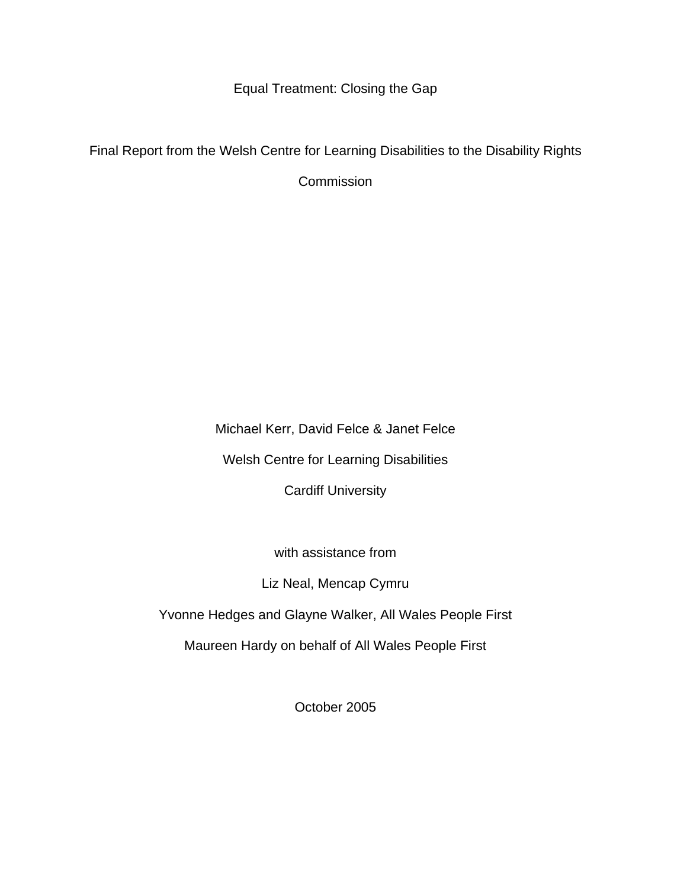Equal Treatment: Closing the Gap

Final Report from the Welsh Centre for Learning Disabilities to the Disability Rights

**Commission** 

Michael Kerr, David Felce & Janet Felce

Welsh Centre for Learning Disabilities

Cardiff University

with assistance from

Liz Neal, Mencap Cymru

Yvonne Hedges and Glayne Walker, All Wales People First

Maureen Hardy on behalf of All Wales People First

October 2005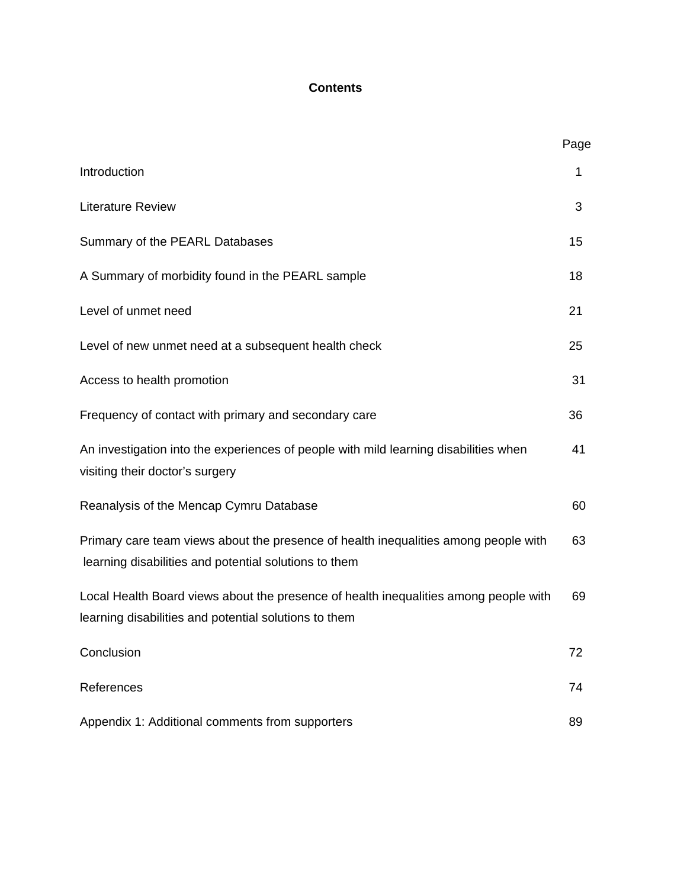# **Contents**

|                                                                                                                                               | Page |
|-----------------------------------------------------------------------------------------------------------------------------------------------|------|
| Introduction                                                                                                                                  | 1    |
| <b>Literature Review</b>                                                                                                                      | 3    |
| Summary of the PEARL Databases                                                                                                                | 15   |
| A Summary of morbidity found in the PEARL sample                                                                                              | 18   |
| Level of unmet need                                                                                                                           | 21   |
| Level of new unmet need at a subsequent health check                                                                                          | 25   |
| Access to health promotion                                                                                                                    | 31   |
| Frequency of contact with primary and secondary care                                                                                          | 36   |
| An investigation into the experiences of people with mild learning disabilities when<br>visiting their doctor's surgery                       | 41   |
| Reanalysis of the Mencap Cymru Database                                                                                                       | 60   |
| Primary care team views about the presence of health inequalities among people with<br>learning disabilities and potential solutions to them  | 63   |
| Local Health Board views about the presence of health inequalities among people with<br>learning disabilities and potential solutions to them | 69   |
| Conclusion                                                                                                                                    | 72   |
| References                                                                                                                                    | 74   |
| Appendix 1: Additional comments from supporters                                                                                               | 89   |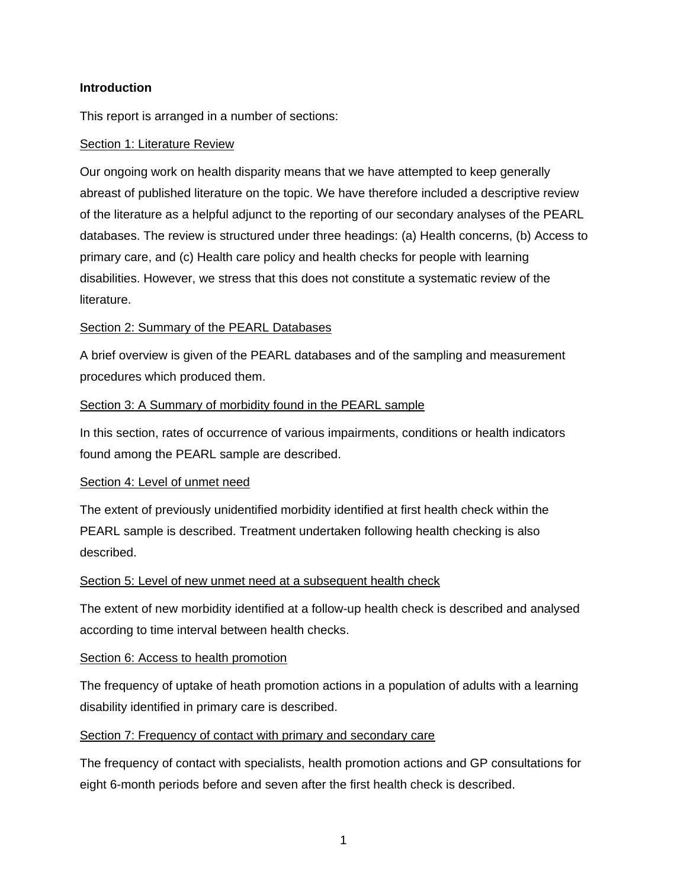## **Introduction**

This report is arranged in a number of sections:

#### Section 1: Literature Review

Our ongoing work on health disparity means that we have attempted to keep generally abreast of published literature on the topic. We have therefore included a descriptive review of the literature as a helpful adjunct to the reporting of our secondary analyses of the PEARL databases. The review is structured under three headings: (a) Health concerns, (b) Access to primary care, and (c) Health care policy and health checks for people with learning disabilities. However, we stress that this does not constitute a systematic review of the literature.

#### Section 2: Summary of the PEARL Databases

A brief overview is given of the PEARL databases and of the sampling and measurement procedures which produced them.

#### Section 3: A Summary of morbidity found in the PEARL sample

In this section, rates of occurrence of various impairments, conditions or health indicators found among the PEARL sample are described.

## Section 4: Level of unmet need

The extent of previously unidentified morbidity identified at first health check within the PEARL sample is described. Treatment undertaken following health checking is also described.

#### Section 5: Level of new unmet need at a subsequent health check

The extent of new morbidity identified at a follow-up health check is described and analysed according to time interval between health checks.

## Section 6: Access to health promotion

The frequency of uptake of heath promotion actions in a population of adults with a learning disability identified in primary care is described.

## Section 7: Frequency of contact with primary and secondary care

The frequency of contact with specialists, health promotion actions and GP consultations for eight 6-month periods before and seven after the first health check is described.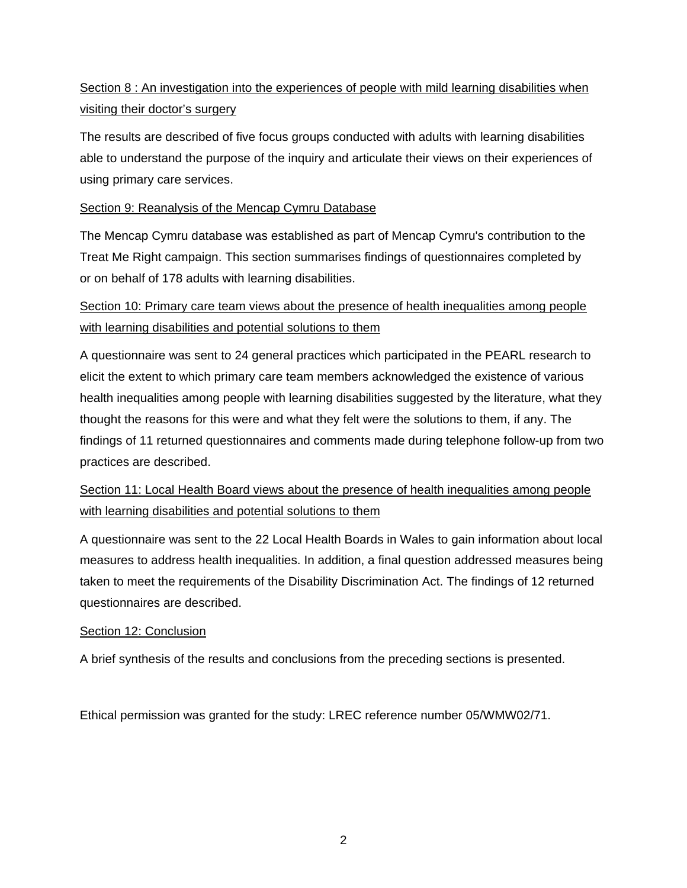# Section 8 : An investigation into the experiences of people with mild learning disabilities when visiting their doctor's surgery

The results are described of five focus groups conducted with adults with learning disabilities able to understand the purpose of the inquiry and articulate their views on their experiences of using primary care services.

# Section 9: Reanalysis of the Mencap Cymru Database

The Mencap Cymru database was established as part of Mencap Cymru's contribution to the Treat Me Right campaign. This section summarises findings of questionnaires completed by or on behalf of 178 adults with learning disabilities.

# Section 10: Primary care team views about the presence of health inequalities among people with learning disabilities and potential solutions to them

A questionnaire was sent to 24 general practices which participated in the PEARL research to elicit the extent to which primary care team members acknowledged the existence of various health inequalities among people with learning disabilities suggested by the literature, what they thought the reasons for this were and what they felt were the solutions to them, if any. The findings of 11 returned questionnaires and comments made during telephone follow-up from two practices are described.

# Section 11: Local Health Board views about the presence of health inequalities among people with learning disabilities and potential solutions to them

A questionnaire was sent to the 22 Local Health Boards in Wales to gain information about local measures to address health inequalities. In addition, a final question addressed measures being taken to meet the requirements of the Disability Discrimination Act. The findings of 12 returned questionnaires are described.

# Section 12: Conclusion

A brief synthesis of the results and conclusions from the preceding sections is presented.

Ethical permission was granted for the study: LREC reference number 05/WMW02/71.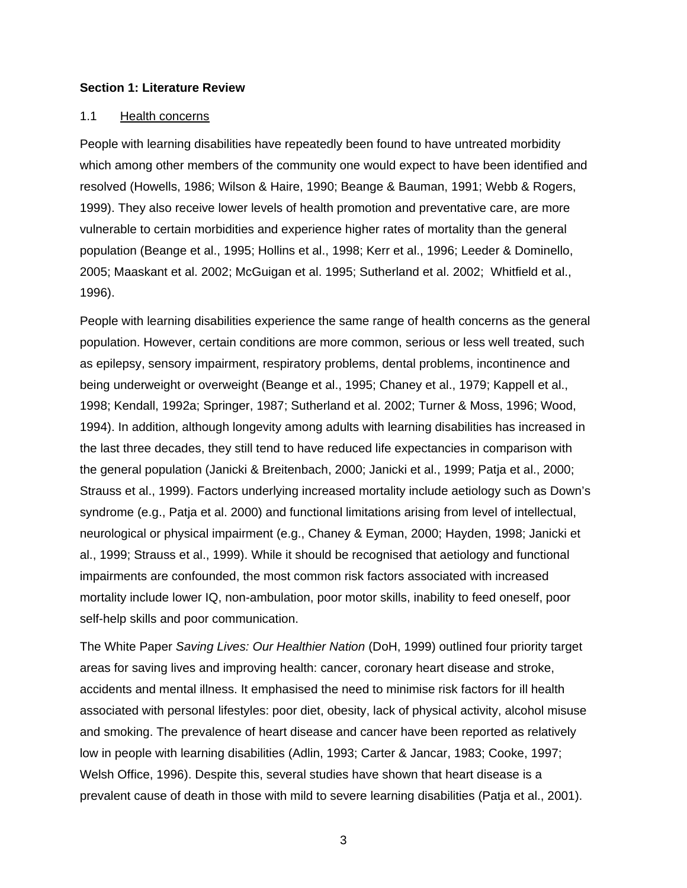#### **Section 1: Literature Review**

#### 1.1 Health concerns

People with learning disabilities have repeatedly been found to have untreated morbidity which among other members of the community one would expect to have been identified and resolved (Howells, 1986; Wilson & Haire, 1990; Beange & Bauman, 1991; Webb & Rogers, 1999). They also receive lower levels of health promotion and preventative care, are more vulnerable to certain morbidities and experience higher rates of mortality than the general population (Beange et al., 1995; Hollins et al., 1998; Kerr et al., 1996; Leeder & Dominello, 2005; Maaskant et al. 2002; McGuigan et al. 1995; Sutherland et al. 2002; Whitfield et al., 1996).

People with learning disabilities experience the same range of health concerns as the general population. However, certain conditions are more common, serious or less well treated, such as epilepsy, sensory impairment, respiratory problems, dental problems, incontinence and being underweight or overweight (Beange et al., 1995; Chaney et al., 1979; Kappell et al., 1998; Kendall, 1992a; Springer, 1987; Sutherland et al. 2002; Turner & Moss, 1996; Wood, 1994). In addition, although longevity among adults with learning disabilities has increased in the last three decades, they still tend to have reduced life expectancies in comparison with the general population (Janicki & Breitenbach, 2000; Janicki et al., 1999; Patja et al., 2000; Strauss et al., 1999). Factors underlying increased mortality include aetiology such as Down's syndrome (e.g., Patja et al. 2000) and functional limitations arising from level of intellectual, neurological or physical impairment (e.g., Chaney & Eyman, 2000; Hayden, 1998; Janicki et al., 1999; Strauss et al., 1999). While it should be recognised that aetiology and functional impairments are confounded, the most common risk factors associated with increased mortality include lower IQ, non-ambulation, poor motor skills, inability to feed oneself, poor self-help skills and poor communication.

The White Paper *Saving Lives: Our Healthier Nation* (DoH, 1999) outlined four priority target areas for saving lives and improving health: cancer, coronary heart disease and stroke, accidents and mental illness. It emphasised the need to minimise risk factors for ill health associated with personal lifestyles: poor diet, obesity, lack of physical activity, alcohol misuse and smoking. The prevalence of heart disease and cancer have been reported as relatively low in people with learning disabilities (Adlin, 1993; Carter & Jancar, 1983; Cooke, 1997; Welsh Office, 1996). Despite this, several studies have shown that heart disease is a prevalent cause of death in those with mild to severe learning disabilities (Patja et al., 2001).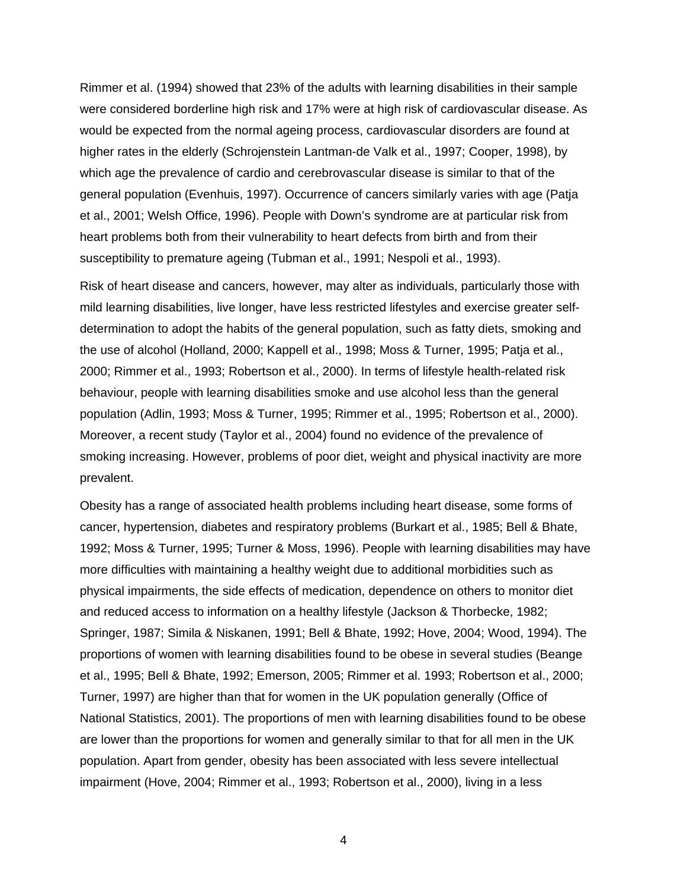Rimmer et al. (1994) showed that 23% of the adults with learning disabilities in their sample were considered borderline high risk and 17% were at high risk of cardiovascular disease. As would be expected from the normal ageing process, cardiovascular disorders are found at higher rates in the elderly (Schrojenstein Lantman-de Valk et al., 1997; Cooper, 1998), by which age the prevalence of cardio and cerebrovascular disease is similar to that of the general population (Evenhuis, 1997). Occurrence of cancers similarly varies with age (Patja et al., 2001; Welsh Office, 1996). People with Down's syndrome are at particular risk from heart problems both from their vulnerability to heart defects from birth and from their susceptibility to premature ageing (Tubman et al., 1991; Nespoli et al., 1993).

Risk of heart disease and cancers, however, may alter as individuals, particularly those with mild learning disabilities, live longer, have less restricted lifestyles and exercise greater selfdetermination to adopt the habits of the general population, such as fatty diets, smoking and the use of alcohol (Holland, 2000; Kappell et al., 1998; Moss & Turner, 1995; Patja et al., 2000; Rimmer et al., 1993; Robertson et al., 2000). In terms of lifestyle health-related risk behaviour, people with learning disabilities smoke and use alcohol less than the general population (Adlin, 1993; Moss & Turner, 1995; Rimmer et al., 1995; Robertson et al., 2000). Moreover, a recent study (Taylor et al., 2004) found no evidence of the prevalence of smoking increasing. However, problems of poor diet, weight and physical inactivity are more prevalent.

Obesity has a range of associated health problems including heart disease, some forms of cancer, hypertension, diabetes and respiratory problems (Burkart et al., 1985; Bell & Bhate, 1992; Moss & Turner, 1995; Turner & Moss, 1996). People with learning disabilities may have more difficulties with maintaining a healthy weight due to additional morbidities such as physical impairments, the side effects of medication, dependence on others to monitor diet and reduced access to information on a healthy lifestyle (Jackson & Thorbecke, 1982; Springer, 1987; Simila & Niskanen, 1991; Bell & Bhate, 1992; Hove, 2004; Wood, 1994). The proportions of women with learning disabilities found to be obese in several studies (Beange et al., 1995; Bell & Bhate, 1992; Emerson, 2005; Rimmer et al. 1993; Robertson et al., 2000; Turner, 1997) are higher than that for women in the UK population generally (Office of National Statistics, 2001). The proportions of men with learning disabilities found to be obese are lower than the proportions for women and generally similar to that for all men in the UK population. Apart from gender, obesity has been associated with less severe intellectual impairment (Hove, 2004; Rimmer et al., 1993; Robertson et al., 2000), living in a less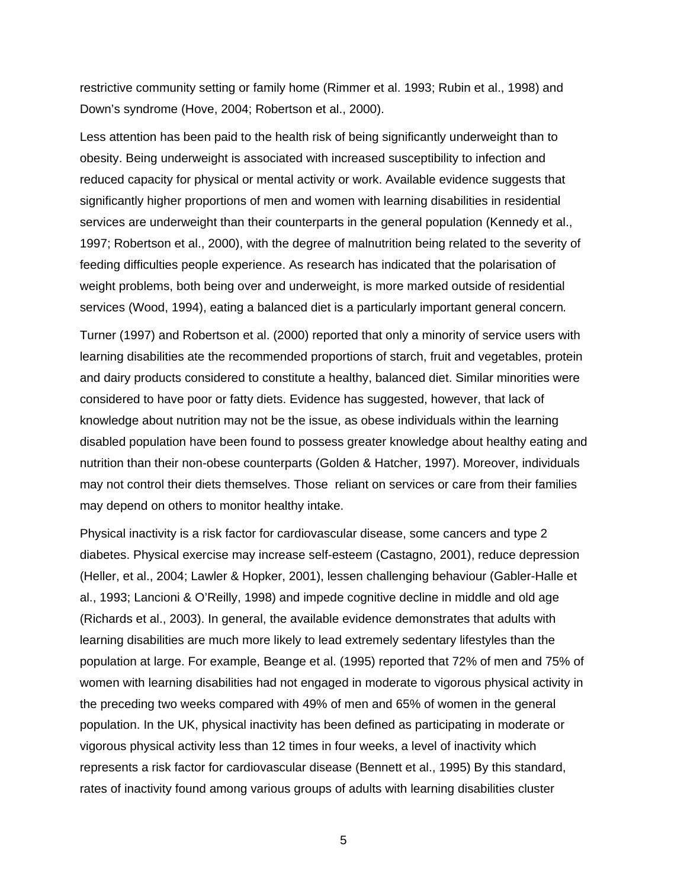restrictive community setting or family home (Rimmer et al. 1993; Rubin et al., 1998) and Down's syndrome (Hove, 2004; Robertson et al., 2000).

Less attention has been paid to the health risk of being significantly underweight than to obesity. Being underweight is associated with increased susceptibility to infection and reduced capacity for physical or mental activity or work. Available evidence suggests that significantly higher proportions of men and women with learning disabilities in residential services are underweight than their counterparts in the general population (Kennedy et al., 1997; Robertson et al., 2000), with the degree of malnutrition being related to the severity of feeding difficulties people experience. As research has indicated that the polarisation of weight problems, both being over and underweight, is more marked outside of residential services (Wood, 1994), eating a balanced diet is a particularly important general concern*.* 

Turner (1997) and Robertson et al. (2000) reported that only a minority of service users with learning disabilities ate the recommended proportions of starch, fruit and vegetables, protein and dairy products considered to constitute a healthy, balanced diet. Similar minorities were considered to have poor or fatty diets. Evidence has suggested, however, that lack of knowledge about nutrition may not be the issue, as obese individuals within the learning disabled population have been found to possess greater knowledge about healthy eating and nutrition than their non-obese counterparts (Golden & Hatcher, 1997). Moreover, individuals may not control their diets themselves. Those reliant on services or care from their families may depend on others to monitor healthy intake.

Physical inactivity is a risk factor for cardiovascular disease, some cancers and type 2 diabetes. Physical exercise may increase self-esteem (Castagno, 2001), reduce depression (Heller, et al., 2004; Lawler & Hopker, 2001), lessen challenging behaviour (Gabler-Halle et al., 1993; Lancioni & O'Reilly, 1998) and impede cognitive decline in middle and old age (Richards et al., 2003). In general, the available evidence demonstrates that adults with learning disabilities are much more likely to lead extremely sedentary lifestyles than the population at large. For example, Beange et al. (1995) reported that 72% of men and 75% of women with learning disabilities had not engaged in moderate to vigorous physical activity in the preceding two weeks compared with 49% of men and 65% of women in the general population. In the UK, physical inactivity has been defined as participating in moderate or vigorous physical activity less than 12 times in four weeks, a level of inactivity which represents a risk factor for cardiovascular disease (Bennett et al., 1995) By this standard, rates of inactivity found among various groups of adults with learning disabilities cluster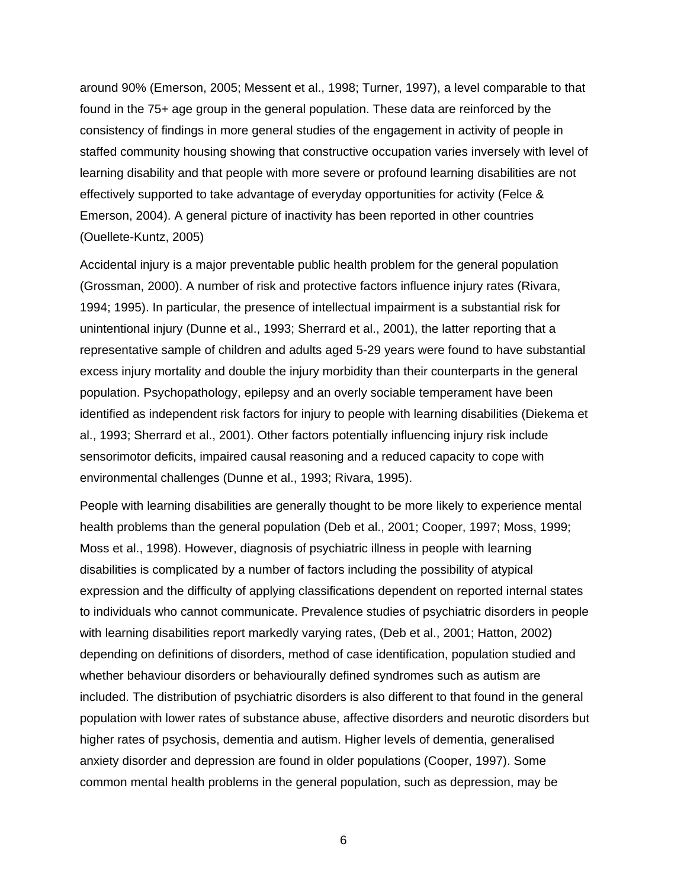around 90% (Emerson, 2005; Messent et al., 1998; Turner, 1997), a level comparable to that found in the 75+ age group in the general population. These data are reinforced by the consistency of findings in more general studies of the engagement in activity of people in staffed community housing showing that constructive occupation varies inversely with level of learning disability and that people with more severe or profound learning disabilities are not effectively supported to take advantage of everyday opportunities for activity (Felce & Emerson, 2004). A general picture of inactivity has been reported in other countries (Ouellete-Kuntz, 2005)

Accidental injury is a major preventable public health problem for the general population (Grossman, 2000). A number of risk and protective factors influence injury rates (Rivara, 1994; 1995). In particular, the presence of intellectual impairment is a substantial risk for unintentional injury (Dunne et al., 1993; Sherrard et al., 2001), the latter reporting that a representative sample of children and adults aged 5-29 years were found to have substantial excess injury mortality and double the injury morbidity than their counterparts in the general population. Psychopathology, epilepsy and an overly sociable temperament have been identified as independent risk factors for injury to people with learning disabilities (Diekema et al., 1993; Sherrard et al., 2001). Other factors potentially influencing injury risk include sensorimotor deficits, impaired causal reasoning and a reduced capacity to cope with environmental challenges (Dunne et al., 1993; Rivara, 1995).

People with learning disabilities are generally thought to be more likely to experience mental health problems than the general population (Deb et al., 2001; Cooper, 1997; Moss, 1999; Moss et al., 1998). However, diagnosis of psychiatric illness in people with learning disabilities is complicated by a number of factors including the possibility of atypical expression and the difficulty of applying classifications dependent on reported internal states to individuals who cannot communicate. Prevalence studies of psychiatric disorders in people with learning disabilities report markedly varying rates, (Deb et al., 2001; Hatton, 2002) depending on definitions of disorders, method of case identification, population studied and whether behaviour disorders or behaviourally defined syndromes such as autism are included. The distribution of psychiatric disorders is also different to that found in the general population with lower rates of substance abuse, affective disorders and neurotic disorders but higher rates of psychosis, dementia and autism. Higher levels of dementia, generalised anxiety disorder and depression are found in older populations (Cooper, 1997). Some common mental health problems in the general population, such as depression, may be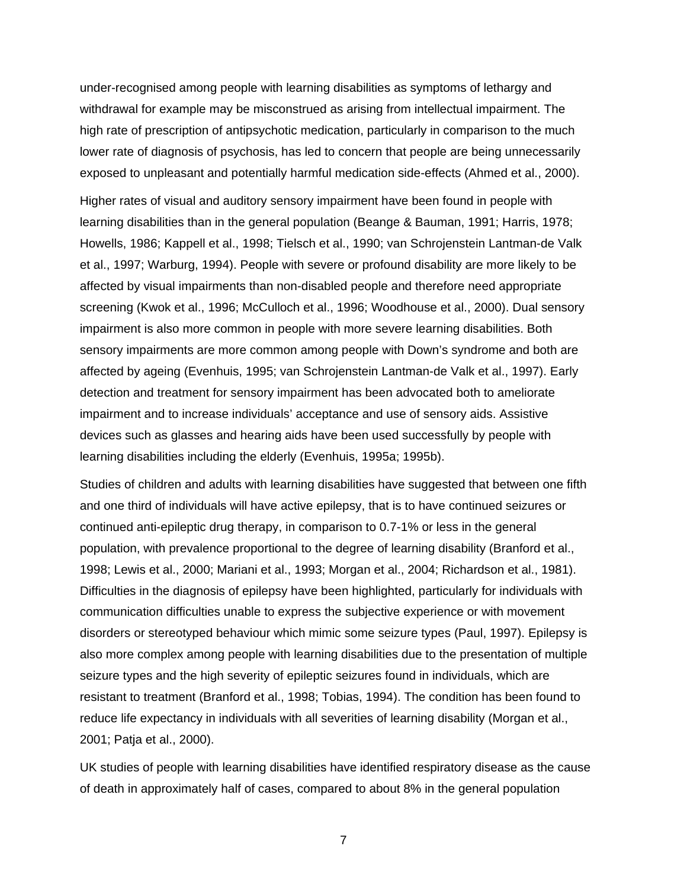under-recognised among people with learning disabilities as symptoms of lethargy and withdrawal for example may be misconstrued as arising from intellectual impairment. The high rate of prescription of antipsychotic medication, particularly in comparison to the much lower rate of diagnosis of psychosis, has led to concern that people are being unnecessarily exposed to unpleasant and potentially harmful medication side-effects (Ahmed et al., 2000).

Higher rates of visual and auditory sensory impairment have been found in people with learning disabilities than in the general population (Beange & Bauman, 1991; Harris, 1978; Howells, 1986; Kappell et al., 1998; Tielsch et al., 1990; van Schrojenstein Lantman-de Valk et al., 1997; Warburg, 1994). People with severe or profound disability are more likely to be affected by visual impairments than non-disabled people and therefore need appropriate screening (Kwok et al., 1996; McCulloch et al., 1996; Woodhouse et al., 2000). Dual sensory impairment is also more common in people with more severe learning disabilities. Both sensory impairments are more common among people with Down's syndrome and both are affected by ageing (Evenhuis, 1995; van Schrojenstein Lantman-de Valk et al., 1997). Early detection and treatment for sensory impairment has been advocated both to ameliorate impairment and to increase individuals' acceptance and use of sensory aids. Assistive devices such as glasses and hearing aids have been used successfully by people with learning disabilities including the elderly (Evenhuis, 1995a; 1995b).

Studies of children and adults with learning disabilities have suggested that between one fifth and one third of individuals will have active epilepsy, that is to have continued seizures or continued anti-epileptic drug therapy, in comparison to 0.7-1% or less in the general population, with prevalence proportional to the degree of learning disability (Branford et al., 1998; Lewis et al., 2000; Mariani et al., 1993; Morgan et al., 2004; Richardson et al., 1981). Difficulties in the diagnosis of epilepsy have been highlighted, particularly for individuals with communication difficulties unable to express the subjective experience or with movement disorders or stereotyped behaviour which mimic some seizure types (Paul, 1997). Epilepsy is also more complex among people with learning disabilities due to the presentation of multiple seizure types and the high severity of epileptic seizures found in individuals, which are resistant to treatment (Branford et al., 1998; Tobias, 1994). The condition has been found to reduce life expectancy in individuals with all severities of learning disability (Morgan et al., 2001; Patja et al., 2000).

UK studies of people with learning disabilities have identified respiratory disease as the cause of death in approximately half of cases, compared to about 8% in the general population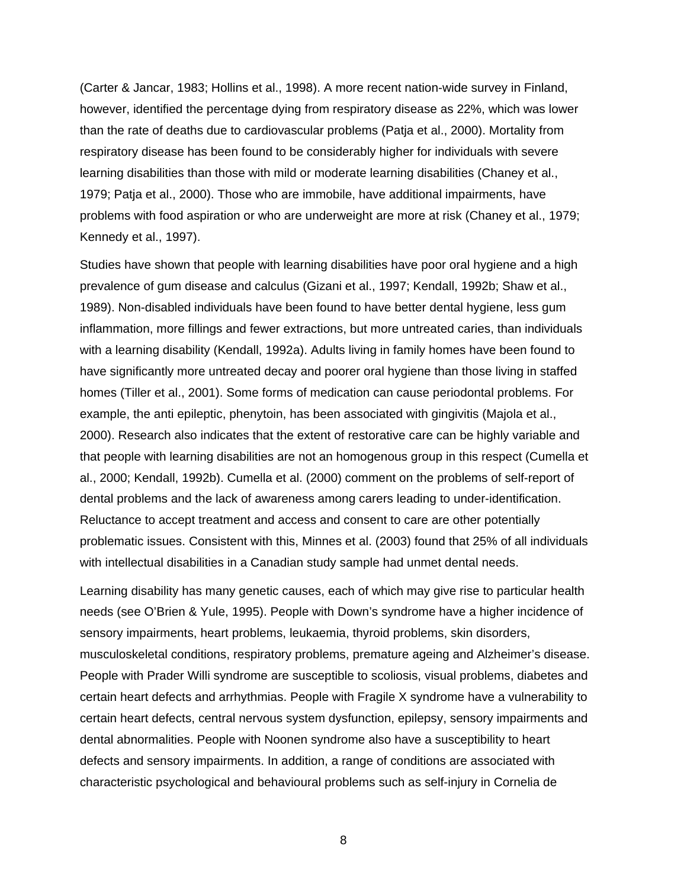(Carter & Jancar, 1983; Hollins et al., 1998). A more recent nation-wide survey in Finland, however, identified the percentage dying from respiratory disease as 22%, which was lower than the rate of deaths due to cardiovascular problems (Patja et al., 2000). Mortality from respiratory disease has been found to be considerably higher for individuals with severe learning disabilities than those with mild or moderate learning disabilities (Chaney et al., 1979; Patja et al., 2000). Those who are immobile, have additional impairments, have problems with food aspiration or who are underweight are more at risk (Chaney et al., 1979; Kennedy et al., 1997).

Studies have shown that people with learning disabilities have poor oral hygiene and a high prevalence of gum disease and calculus (Gizani et al., 1997; Kendall, 1992b; Shaw et al., 1989). Non-disabled individuals have been found to have better dental hygiene, less gum inflammation, more fillings and fewer extractions, but more untreated caries, than individuals with a learning disability (Kendall, 1992a). Adults living in family homes have been found to have significantly more untreated decay and poorer oral hygiene than those living in staffed homes (Tiller et al., 2001). Some forms of medication can cause periodontal problems. For example, the anti epileptic, phenytoin, has been associated with gingivitis (Majola et al., 2000). Research also indicates that the extent of restorative care can be highly variable and that people with learning disabilities are not an homogenous group in this respect (Cumella et al., 2000; Kendall, 1992b). Cumella et al. (2000) comment on the problems of self-report of dental problems and the lack of awareness among carers leading to under-identification. Reluctance to accept treatment and access and consent to care are other potentially problematic issues. Consistent with this, Minnes et al. (2003) found that 25% of all individuals with intellectual disabilities in a Canadian study sample had unmet dental needs.

Learning disability has many genetic causes, each of which may give rise to particular health needs (see O'Brien & Yule, 1995). People with Down's syndrome have a higher incidence of sensory impairments, heart problems, leukaemia, thyroid problems, skin disorders, musculoskeletal conditions, respiratory problems, premature ageing and Alzheimer's disease. People with Prader Willi syndrome are susceptible to scoliosis, visual problems, diabetes and certain heart defects and arrhythmias. People with Fragile X syndrome have a vulnerability to certain heart defects, central nervous system dysfunction, epilepsy, sensory impairments and dental abnormalities. People with Noonen syndrome also have a susceptibility to heart defects and sensory impairments. In addition, a range of conditions are associated with characteristic psychological and behavioural problems such as self-injury in Cornelia de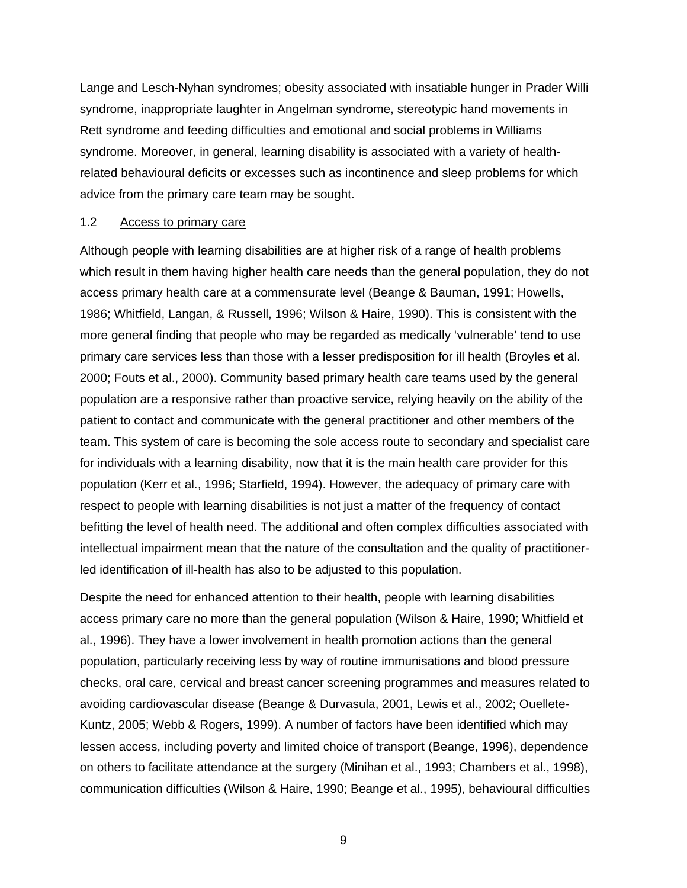Lange and Lesch-Nyhan syndromes; obesity associated with insatiable hunger in Prader Willi syndrome, inappropriate laughter in Angelman syndrome, stereotypic hand movements in Rett syndrome and feeding difficulties and emotional and social problems in Williams syndrome. Moreover, in general, learning disability is associated with a variety of healthrelated behavioural deficits or excesses such as incontinence and sleep problems for which advice from the primary care team may be sought.

#### 1.2 Access to primary care

Although people with learning disabilities are at higher risk of a range of health problems which result in them having higher health care needs than the general population, they do not access primary health care at a commensurate level (Beange & Bauman, 1991; Howells, 1986; Whitfield, Langan, & Russell, 1996; Wilson & Haire, 1990). This is consistent with the more general finding that people who may be regarded as medically 'vulnerable' tend to use primary care services less than those with a lesser predisposition for ill health (Broyles et al. 2000; Fouts et al., 2000). Community based primary health care teams used by the general population are a responsive rather than proactive service, relying heavily on the ability of the patient to contact and communicate with the general practitioner and other members of the team. This system of care is becoming the sole access route to secondary and specialist care for individuals with a learning disability, now that it is the main health care provider for this population (Kerr et al., 1996; Starfield, 1994). However, the adequacy of primary care with respect to people with learning disabilities is not just a matter of the frequency of contact befitting the level of health need. The additional and often complex difficulties associated with intellectual impairment mean that the nature of the consultation and the quality of practitionerled identification of ill-health has also to be adjusted to this population.

Despite the need for enhanced attention to their health, people with learning disabilities access primary care no more than the general population (Wilson & Haire, 1990; Whitfield et al., 1996). They have a lower involvement in health promotion actions than the general population, particularly receiving less by way of routine immunisations and blood pressure checks, oral care, cervical and breast cancer screening programmes and measures related to avoiding cardiovascular disease (Beange & Durvasula, 2001, Lewis et al., 2002; Ouellete-Kuntz, 2005; Webb & Rogers, 1999). A number of factors have been identified which may lessen access, including poverty and limited choice of transport (Beange, 1996), dependence on others to facilitate attendance at the surgery (Minihan et al., 1993; Chambers et al., 1998), communication difficulties (Wilson & Haire, 1990; Beange et al., 1995), behavioural difficulties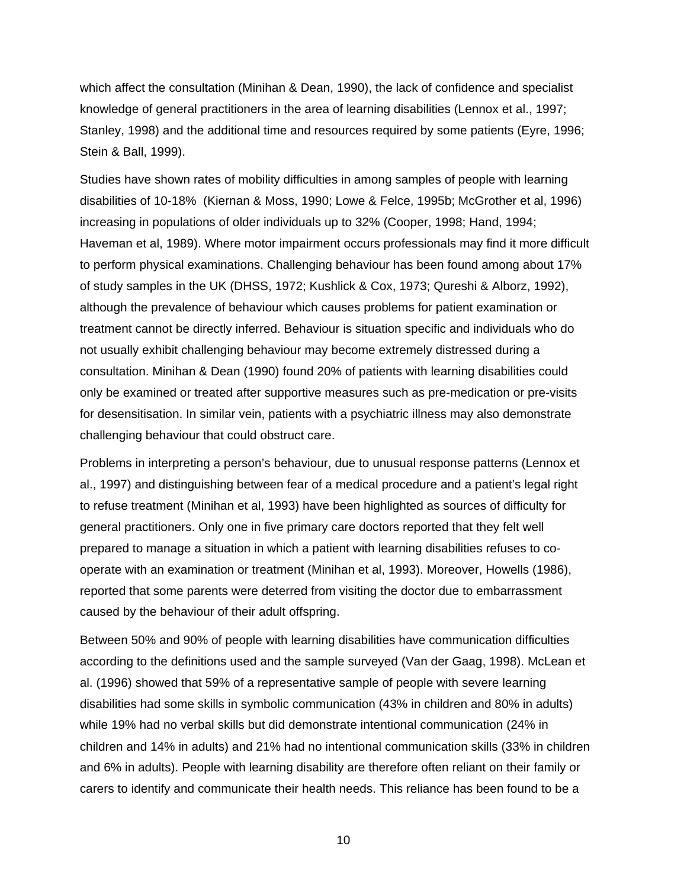which affect the consultation (Minihan & Dean, 1990), the lack of confidence and specialist knowledge of general practitioners in the area of learning disabilities (Lennox et al., 1997; Stanley, 1998) and the additional time and resources required by some patients (Eyre, 1996; Stein & Ball, 1999).

Studies have shown rates of mobility difficulties in among samples of people with learning disabilities of 10-18% (Kiernan & Moss, 1990; Lowe & Felce, 1995b; McGrother et al, 1996) increasing in populations of older individuals up to 32% (Cooper, 1998; Hand, 1994; Haveman et al, 1989). Where motor impairment occurs professionals may find it more difficult to perform physical examinations. Challenging behaviour has been found among about 17% of study samples in the UK (DHSS, 1972; Kushlick & Cox, 1973; Qureshi & Alborz, 1992), although the prevalence of behaviour which causes problems for patient examination or treatment cannot be directly inferred. Behaviour is situation specific and individuals who do not usually exhibit challenging behaviour may become extremely distressed during a consultation. Minihan & Dean (1990) found 20% of patients with learning disabilities could only be examined or treated after supportive measures such as pre-medication or pre-visits for desensitisation. In similar vein, patients with a psychiatric illness may also demonstrate challenging behaviour that could obstruct care.

Problems in interpreting a person's behaviour, due to unusual response patterns (Lennox et al., 1997) and distinguishing between fear of a medical procedure and a patient's legal right to refuse treatment (Minihan et al, 1993) have been highlighted as sources of difficulty for general practitioners. Only one in five primary care doctors reported that they felt well prepared to manage a situation in which a patient with learning disabilities refuses to cooperate with an examination or treatment (Minihan et al, 1993). Moreover, Howells (1986), reported that some parents were deterred from visiting the doctor due to embarrassment caused by the behaviour of their adult offspring.

Between 50% and 90% of people with learning disabilities have communication difficulties according to the definitions used and the sample surveyed (Van der Gaag, 1998). McLean et al. (1996) showed that 59% of a representative sample of people with severe learning disabilities had some skills in symbolic communication (43% in children and 80% in adults) while 19% had no verbal skills but did demonstrate intentional communication (24% in children and 14% in adults) and 21% had no intentional communication skills (33% in children and 6% in adults). People with learning disability are therefore often reliant on their family or carers to identify and communicate their health needs. This reliance has been found to be a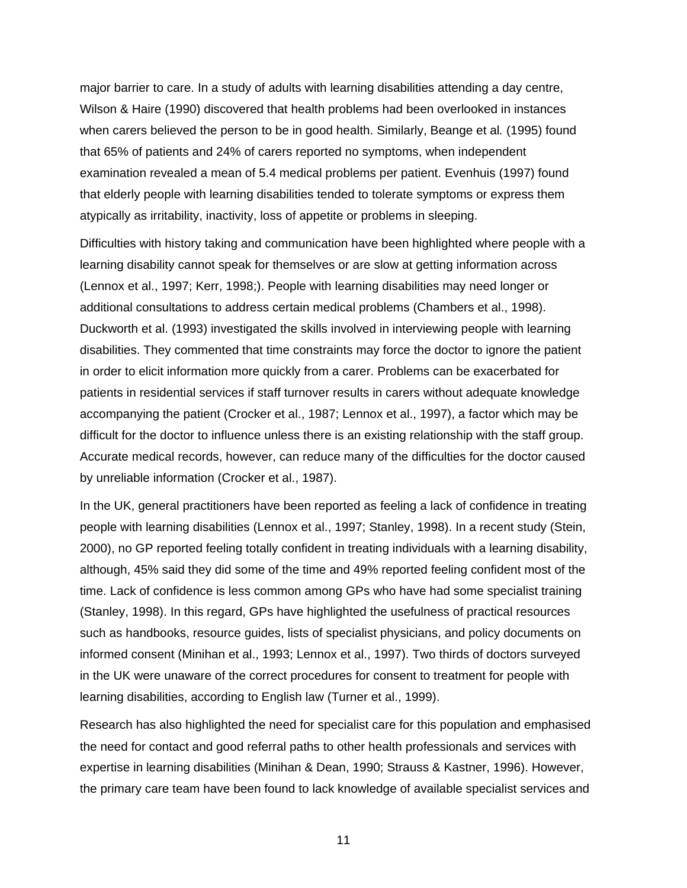major barrier to care. In a study of adults with learning disabilities attending a day centre, Wilson & Haire (1990) discovered that health problems had been overlooked in instances when carers believed the person to be in good health. Similarly, Beange et al*.* (1995) found that 65% of patients and 24% of carers reported no symptoms, when independent examination revealed a mean of 5.4 medical problems per patient. Evenhuis (1997) found that elderly people with learning disabilities tended to tolerate symptoms or express them atypically as irritability, inactivity, loss of appetite or problems in sleeping.

Difficulties with history taking and communication have been highlighted where people with a learning disability cannot speak for themselves or are slow at getting information across (Lennox et al., 1997; Kerr, 1998;). People with learning disabilities may need longer or additional consultations to address certain medical problems (Chambers et al., 1998). Duckworth et al. (1993) investigated the skills involved in interviewing people with learning disabilities. They commented that time constraints may force the doctor to ignore the patient in order to elicit information more quickly from a carer. Problems can be exacerbated for patients in residential services if staff turnover results in carers without adequate knowledge accompanying the patient (Crocker et al., 1987; Lennox et al., 1997), a factor which may be difficult for the doctor to influence unless there is an existing relationship with the staff group. Accurate medical records, however, can reduce many of the difficulties for the doctor caused by unreliable information (Crocker et al., 1987).

In the UK, general practitioners have been reported as feeling a lack of confidence in treating people with learning disabilities (Lennox et al., 1997; Stanley, 1998). In a recent study (Stein, 2000), no GP reported feeling totally confident in treating individuals with a learning disability, although, 45% said they did some of the time and 49% reported feeling confident most of the time. Lack of confidence is less common among GPs who have had some specialist training (Stanley, 1998). In this regard, GPs have highlighted the usefulness of practical resources such as handbooks, resource guides, lists of specialist physicians, and policy documents on informed consent (Minihan et al., 1993; Lennox et al., 1997). Two thirds of doctors surveyed in the UK were unaware of the correct procedures for consent to treatment for people with learning disabilities, according to English law (Turner et al., 1999).

Research has also highlighted the need for specialist care for this population and emphasised the need for contact and good referral paths to other health professionals and services with expertise in learning disabilities (Minihan & Dean, 1990; Strauss & Kastner, 1996). However, the primary care team have been found to lack knowledge of available specialist services and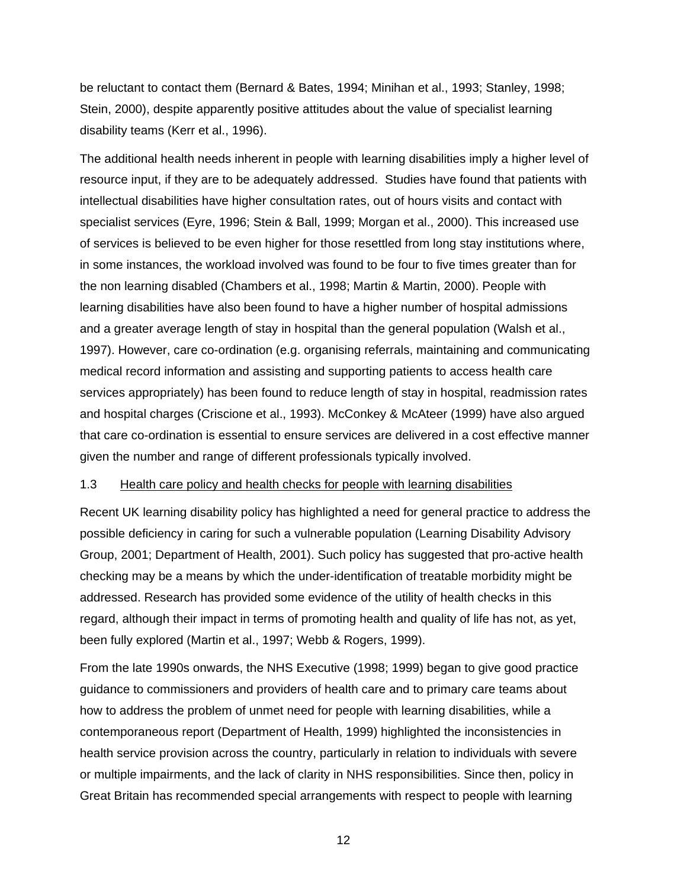be reluctant to contact them (Bernard & Bates, 1994; Minihan et al., 1993; Stanley, 1998; Stein, 2000), despite apparently positive attitudes about the value of specialist learning disability teams (Kerr et al., 1996).

The additional health needs inherent in people with learning disabilities imply a higher level of resource input, if they are to be adequately addressed. Studies have found that patients with intellectual disabilities have higher consultation rates, out of hours visits and contact with specialist services (Eyre, 1996; Stein & Ball, 1999; Morgan et al., 2000). This increased use of services is believed to be even higher for those resettled from long stay institutions where, in some instances, the workload involved was found to be four to five times greater than for the non learning disabled (Chambers et al., 1998; Martin & Martin, 2000). People with learning disabilities have also been found to have a higher number of hospital admissions and a greater average length of stay in hospital than the general population (Walsh et al., 1997). However, care co-ordination (e.g. organising referrals, maintaining and communicating medical record information and assisting and supporting patients to access health care services appropriately) has been found to reduce length of stay in hospital, readmission rates and hospital charges (Criscione et al., 1993). McConkey & McAteer (1999) have also argued that care co-ordination is essential to ensure services are delivered in a cost effective manner given the number and range of different professionals typically involved.

#### 1.3 Health care policy and health checks for people with learning disabilities

Recent UK learning disability policy has highlighted a need for general practice to address the possible deficiency in caring for such a vulnerable population (Learning Disability Advisory Group, 2001; Department of Health, 2001). Such policy has suggested that pro-active health checking may be a means by which the under-identification of treatable morbidity might be addressed. Research has provided some evidence of the utility of health checks in this regard, although their impact in terms of promoting health and quality of life has not, as yet, been fully explored (Martin et al., 1997; Webb & Rogers, 1999).

From the late 1990s onwards, the NHS Executive (1998; 1999) began to give good practice guidance to commissioners and providers of health care and to primary care teams about how to address the problem of unmet need for people with learning disabilities, while a contemporaneous report (Department of Health, 1999) highlighted the inconsistencies in health service provision across the country, particularly in relation to individuals with severe or multiple impairments, and the lack of clarity in NHS responsibilities. Since then, policy in Great Britain has recommended special arrangements with respect to people with learning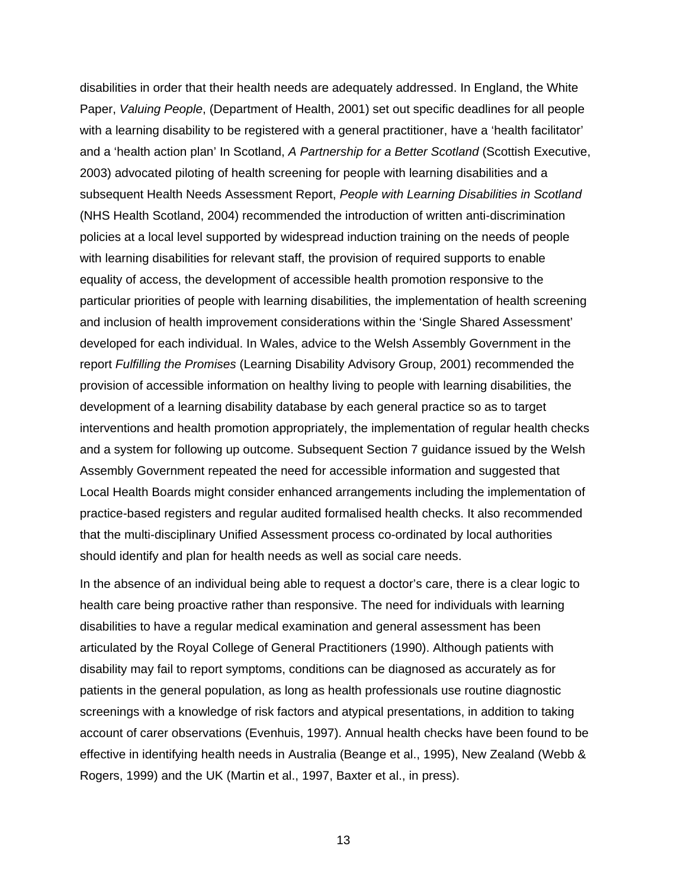disabilities in order that their health needs are adequately addressed. In England, the White Paper, *Valuing People*, (Department of Health, 2001) set out specific deadlines for all people with a learning disability to be registered with a general practitioner, have a 'health facilitator' and a 'health action plan' In Scotland, *A Partnership for a Better Scotland* (Scottish Executive, 2003) advocated piloting of health screening for people with learning disabilities and a subsequent Health Needs Assessment Report, *People with Learning Disabilities in Scotland* (NHS Health Scotland, 2004) recommended the introduction of written anti-discrimination policies at a local level supported by widespread induction training on the needs of people with learning disabilities for relevant staff, the provision of required supports to enable equality of access, the development of accessible health promotion responsive to the particular priorities of people with learning disabilities, the implementation of health screening and inclusion of health improvement considerations within the 'Single Shared Assessment' developed for each individual. In Wales, advice to the Welsh Assembly Government in the report *Fulfilling the Promises* (Learning Disability Advisory Group, 2001) recommended the provision of accessible information on healthy living to people with learning disabilities, the development of a learning disability database by each general practice so as to target interventions and health promotion appropriately, the implementation of regular health checks and a system for following up outcome. Subsequent Section 7 guidance issued by the Welsh Assembly Government repeated the need for accessible information and suggested that Local Health Boards might consider enhanced arrangements including the implementation of practice-based registers and regular audited formalised health checks. It also recommended that the multi-disciplinary Unified Assessment process co-ordinated by local authorities should identify and plan for health needs as well as social care needs.

In the absence of an individual being able to request a doctor's care, there is a clear logic to health care being proactive rather than responsive. The need for individuals with learning disabilities to have a regular medical examination and general assessment has been articulated by the Royal College of General Practitioners (1990). Although patients with disability may fail to report symptoms, conditions can be diagnosed as accurately as for patients in the general population, as long as health professionals use routine diagnostic screenings with a knowledge of risk factors and atypical presentations, in addition to taking account of carer observations (Evenhuis, 1997). Annual health checks have been found to be effective in identifying health needs in Australia (Beange et al., 1995), New Zealand (Webb & Rogers, 1999) and the UK (Martin et al., 1997, Baxter et al., in press).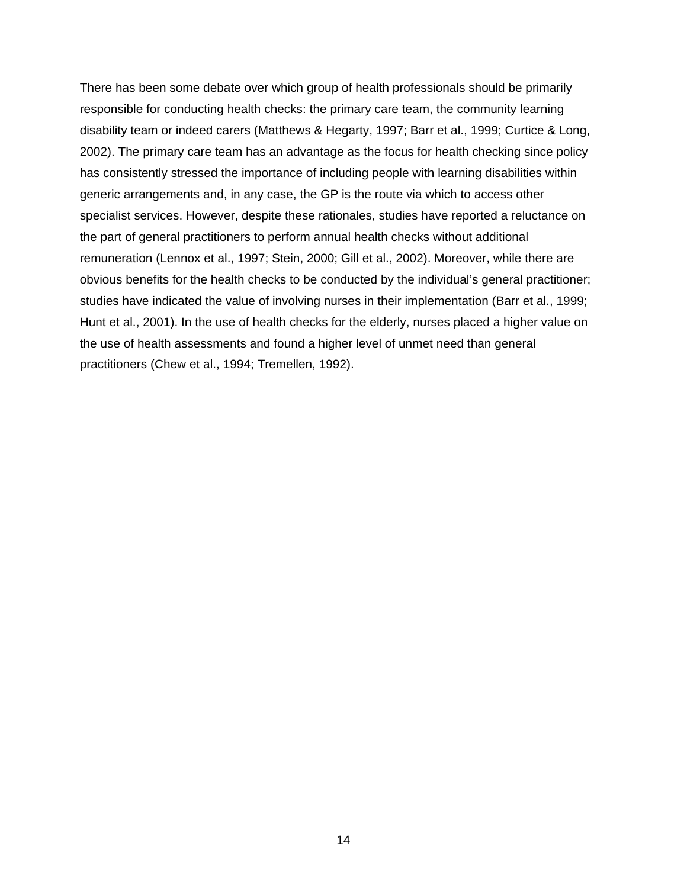There has been some debate over which group of health professionals should be primarily responsible for conducting health checks: the primary care team, the community learning disability team or indeed carers (Matthews & Hegarty, 1997; Barr et al., 1999; Curtice & Long, 2002). The primary care team has an advantage as the focus for health checking since policy has consistently stressed the importance of including people with learning disabilities within generic arrangements and, in any case, the GP is the route via which to access other specialist services. However, despite these rationales, studies have reported a reluctance on the part of general practitioners to perform annual health checks without additional remuneration (Lennox et al., 1997; Stein, 2000; Gill et al., 2002). Moreover, while there are obvious benefits for the health checks to be conducted by the individual's general practitioner; studies have indicated the value of involving nurses in their implementation (Barr et al., 1999; Hunt et al., 2001). In the use of health checks for the elderly, nurses placed a higher value on the use of health assessments and found a higher level of unmet need than general practitioners (Chew et al., 1994; Tremellen, 1992).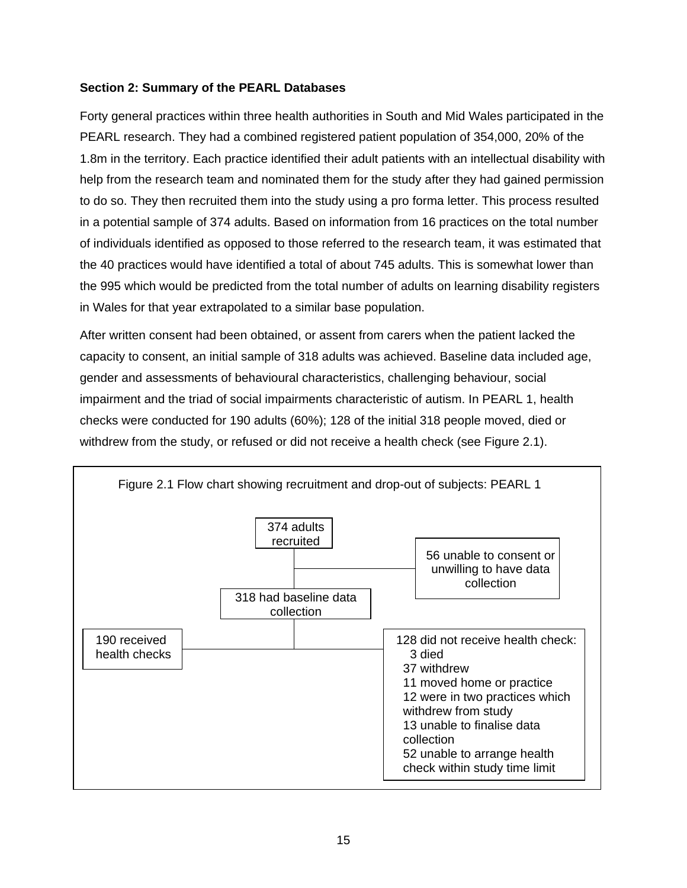# **Section 2: Summary of the PEARL Databases**

Forty general practices within three health authorities in South and Mid Wales participated in the PEARL research. They had a combined registered patient population of 354,000, 20% of the 1.8m in the territory. Each practice identified their adult patients with an intellectual disability with help from the research team and nominated them for the study after they had gained permission to do so. They then recruited them into the study using a pro forma letter. This process resulted in a potential sample of 374 adults. Based on information from 16 practices on the total number of individuals identified as opposed to those referred to the research team, it was estimated that the 40 practices would have identified a total of about 745 adults. This is somewhat lower than the 995 which would be predicted from the total number of adults on learning disability registers in Wales for that year extrapolated to a similar base population.

After written consent had been obtained, or assent from carers when the patient lacked the capacity to consent, an initial sample of 318 adults was achieved. Baseline data included age, gender and assessments of behavioural characteristics, challenging behaviour, social impairment and the triad of social impairments characteristic of autism. In PEARL 1, health checks were conducted for 190 adults (60%); 128 of the initial 318 people moved, died or withdrew from the study, or refused or did not receive a health check (see Figure 2.1).

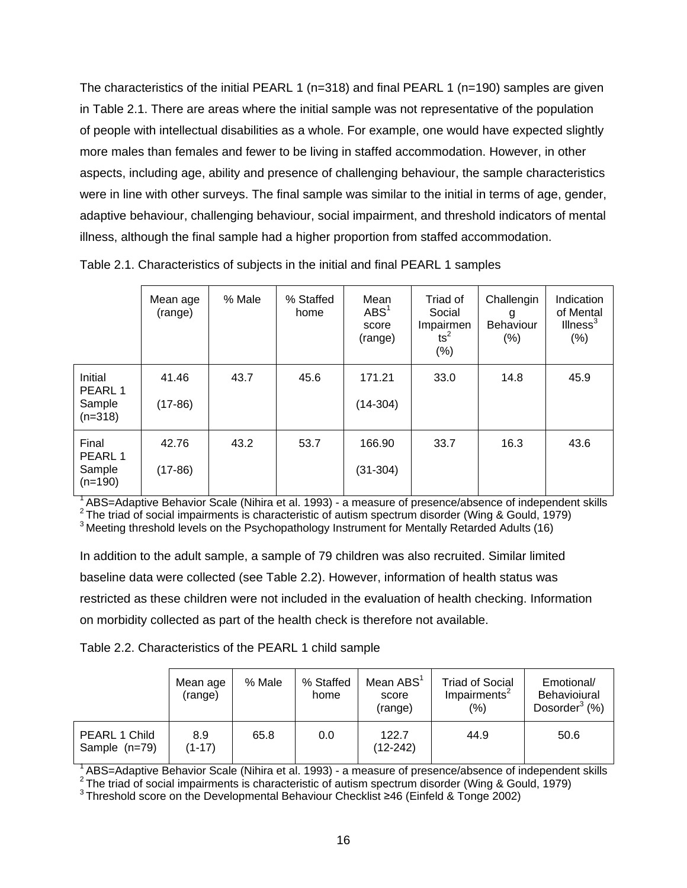The characteristics of the initial PEARL 1 ( $n=318$ ) and final PEARL 1 ( $n=190$ ) samples are given in Table 2.1. There are areas where the initial sample was not representative of the population of people with intellectual disabilities as a whole. For example, one would have expected slightly more males than females and fewer to be living in staffed accommodation. However, in other aspects, including age, ability and presence of challenging behaviour, the sample characteristics were in line with other surveys. The final sample was similar to the initial in terms of age, gender, adaptive behaviour, challenging behaviour, social impairment, and threshold indicators of mental illness, although the final sample had a higher proportion from staffed accommodation.

|                                           | Mean age<br>(range) | % Male | % Staffed<br>home | Mean<br>$\mathsf{ABS}^1$<br>score<br>(range) | Triad of<br>Social<br>Impairmen<br>$\text{ts}^2$<br>$(\%)$ | Challengin<br>g<br><b>Behaviour</b><br>(% ) | Indication<br>of Mental<br>Ilness <sup>3</sup><br>(% ) |
|-------------------------------------------|---------------------|--------|-------------------|----------------------------------------------|------------------------------------------------------------|---------------------------------------------|--------------------------------------------------------|
| Initial<br>PEARL 1<br>Sample<br>$(n=318)$ | 41.46<br>$(17-86)$  | 43.7   | 45.6              | 171.21<br>$(14-304)$                         | 33.0                                                       | 14.8                                        | 45.9                                                   |
| Final<br>PEARL 1<br>Sample<br>$(n=190)$   | 42.76<br>$(17-86)$  | 43.2   | 53.7              | 166.90<br>$(31-304)$                         | 33.7                                                       | 16.3                                        | 43.6                                                   |

Table 2.1. Characteristics of subjects in the initial and final PEARL 1 samples

<sup>1</sup>ABS=Adaptive Behavior Scale (Nihira et al. 1993) - a measure of presence/absence of independent skills  $2^2$ The triad of social impairments is characteristic of autism spectrum disorder (Wing & Gould, 1979)  $3^3$ Meetin

In addition to the adult sample, a sample of 79 children was also recruited. Similar limited baseline data were collected (see Table 2.2). However, information of health status was restricted as these children were not included in the evaluation of health checking. Information on morbidity collected as part of the health check is therefore not available.

| Table 2.2. Characteristics of the PEARL 1 child sample |  |  |  |
|--------------------------------------------------------|--|--|--|
|                                                        |  |  |  |

|                                | Mean age<br>(range) | % Male | % Staffed<br>home | Mean $ABS1$<br>score<br>(range) | <b>Triad of Social</b><br>Impairments <sup>2</sup><br>(%) | Emotional/<br><b>Behavioiural</b><br>Dosorder $3$ (%) |
|--------------------------------|---------------------|--------|-------------------|---------------------------------|-----------------------------------------------------------|-------------------------------------------------------|
| PEARL 1 Child<br>Sample (n=79) | 8.9<br>$(1-17)$     | 65.8   | 0.0               | 122.7<br>$(12-242)$             | 44.9                                                      | 50.6                                                  |

<sup>1</sup>ABS=Adaptive Behavior Scale (Nihira et al. 1993) - a measure of presence/absence of independent skills  $2^2$ The triad of social impairments is characteristic of autism spectrum disorder (Wing & Gould, 1979)  $3^3$ Thresh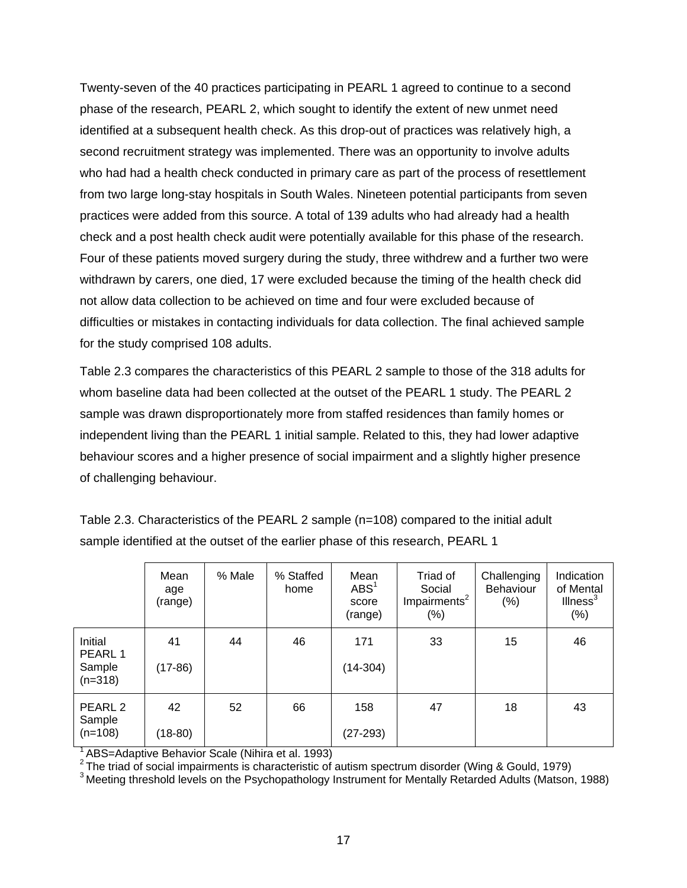Twenty-seven of the 40 practices participating in PEARL 1 agreed to continue to a second phase of the research, PEARL 2, which sought to identify the extent of new unmet need identified at a subsequent health check. As this drop-out of practices was relatively high, a second recruitment strategy was implemented. There was an opportunity to involve adults who had had a health check conducted in primary care as part of the process of resettlement from two large long-stay hospitals in South Wales. Nineteen potential participants from seven practices were added from this source. A total of 139 adults who had already had a health check and a post health check audit were potentially available for this phase of the research. Four of these patients moved surgery during the study, three withdrew and a further two were withdrawn by carers, one died, 17 were excluded because the timing of the health check did not allow data collection to be achieved on time and four were excluded because of difficulties or mistakes in contacting individuals for data collection. The final achieved sample for the study comprised 108 adults.

Table 2.3 compares the characteristics of this PEARL 2 sample to those of the 318 adults for whom baseline data had been collected at the outset of the PEARL 1 study. The PEARL 2 sample was drawn disproportionately more from staffed residences than family homes or independent living than the PEARL 1 initial sample. Related to this, they had lower adaptive behaviour scores and a higher presence of social impairment and a slightly higher presence of challenging behaviour.

|                                           | Mean<br>age<br>(range) | % Male | % Staffed<br>home | Mean<br>$\mathsf{ABS}^1$<br>score<br>(range) | Triad of<br>Social<br>Impairments <sup>2</sup><br>$(\%)$ | Challenging<br><b>Behaviour</b><br>(%) | Indication<br>of Mental<br>Ilness <sup>3</sup><br>(%) |
|-------------------------------------------|------------------------|--------|-------------------|----------------------------------------------|----------------------------------------------------------|----------------------------------------|-------------------------------------------------------|
| Initial<br>PEARL 1<br>Sample<br>$(n=318)$ | 41<br>(17-86)          | 44     | 46                | 171<br>$(14-304)$                            | 33                                                       | 15                                     | 46                                                    |
| PEARL <sub>2</sub><br>Sample<br>$(n=108)$ | 42<br>$(18-80)$        | 52     | 66                | 158<br>$(27-293)$                            | 47                                                       | 18                                     | 43                                                    |

Table 2.3. Characteristics of the PEARL 2 sample (n=108) compared to the initial adult sample identified at the outset of the earlier phase of this research, PEARL 1

<sup>1</sup> ABS=Adaptive Behavior Scale (Nihira et al. 1993)<br><sup>2</sup> The triad of social impairments is characteristic of autism spectrum disorder (Wing & Gould, 1979)

 $3$  Meeting threshold levels on the Psychopathology Instrument for Mentally Retarded Adults (Matson, 1988)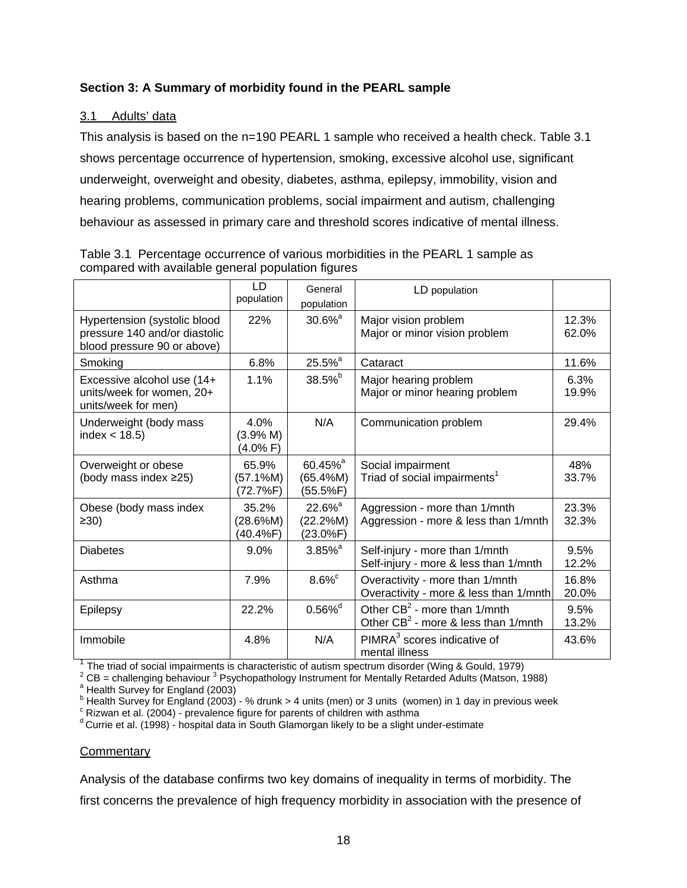# **Section 3: A Summary of morbidity found in the PEARL sample**

# 3.1 Adults' data

This analysis is based on the n=190 PEARL 1 sample who received a health check. Table 3.1 shows percentage occurrence of hypertension, smoking, excessive alcohol use, significant underweight, overweight and obesity, diabetes, asthma, epilepsy, immobility, vision and hearing problems, communication problems, social impairment and autism, challenging behaviour as assessed in primary care and threshold scores indicative of mental illness.

|                                                                                              | LD<br>population              | General<br>population                            | LD population                                                             |                |
|----------------------------------------------------------------------------------------------|-------------------------------|--------------------------------------------------|---------------------------------------------------------------------------|----------------|
| Hypertension (systolic blood<br>pressure 140 and/or diastolic<br>blood pressure 90 or above) | 22%                           | $30.6\%$ <sup>a</sup>                            | Major vision problem<br>Major or minor vision problem                     | 12.3%<br>62.0% |
| Smoking                                                                                      | 6.8%                          | $25.5\%$ <sup>a</sup>                            | Cataract                                                                  | 11.6%          |
| Excessive alcohol use (14+<br>units/week for women, 20+<br>units/week for men)               | 1.1%                          | 38.5%b                                           | Major hearing problem<br>Major or minor hearing problem                   | 6.3%<br>19.9%  |
| Underweight (body mass<br>index $<$ 18.5)                                                    | 4.0%<br>(3.9% M)<br>(4.0% F)  | N/A                                              | Communication problem                                                     | 29.4%          |
| Overweight or obese<br>(body mass index ≥25)                                                 | 65.9%<br>(57.1%M)<br>(72.7%F) | 60.45% <sup>a</sup><br>(65.4%M)<br>(55.5%F)      | Social impairment<br>Triad of social impairments <sup>1</sup>             | 48%<br>33.7%   |
| Obese (body mass index<br>$\geq 30$                                                          | 35.2%<br>(28.6%M)<br>(40.4%F) | $22.6\%$ <sup>a</sup><br>(22.2%M)<br>$(23.0\%F)$ | Aggression - more than 1/mnth<br>Aggression - more & less than 1/mnth     | 23.3%<br>32.3% |
| <b>Diabetes</b>                                                                              | 9.0%                          | $3.85\%$ <sup>a</sup>                            | Self-injury - more than 1/mnth<br>Self-injury - more & less than 1/mnth   | 9.5%<br>12.2%  |
| Asthma                                                                                       | 7.9%                          | $8.6\%$                                          | Overactivity - more than 1/mnth<br>Overactivity - more & less than 1/mnth | 16.8%<br>20.0% |
| Epilepsy                                                                                     | 22.2%                         | $0.56\%$ <sup>d</sup>                            | Other $CB^2$ - more than 1/mnth<br>Other $CB^2$ - more & less than 1/mnth | 9.5%<br>13.2%  |
| Immobile                                                                                     | 4.8%                          | N/A                                              | PIMRA <sup>3</sup> scores indicative of<br>mental illness                 | 43.6%          |

Table 3.1 Percentage occurrence of various morbidities in the PEARL 1 sample as compared with available general population figures

 $1$  The triad of social impairments is characteristic of autism spectrum disorder (Wing & Gould, 1979)

 $\alpha^2$  CB = challenging behaviour  $\alpha^3$  Psychopathology Instrument for Mentally Retarded Adults (Matson, 1988)

<sup>a</sup> Health Survey for England (2003)

 $^{\rm b}$  Health Survey for England (2003) - % drunk > 4 units (men) or 3 units (women) in 1 day in previous week

 $\textdegree$  Rizwan et al. (2004) - prevalence figure for parents of children with asthma

 $d$  Currie et al. (1998) - hospital data in South Glamorgan likely to be a slight under-estimate

## **Commentary**

Analysis of the database confirms two key domains of inequality in terms of morbidity. The

first concerns the prevalence of high frequency morbidity in association with the presence of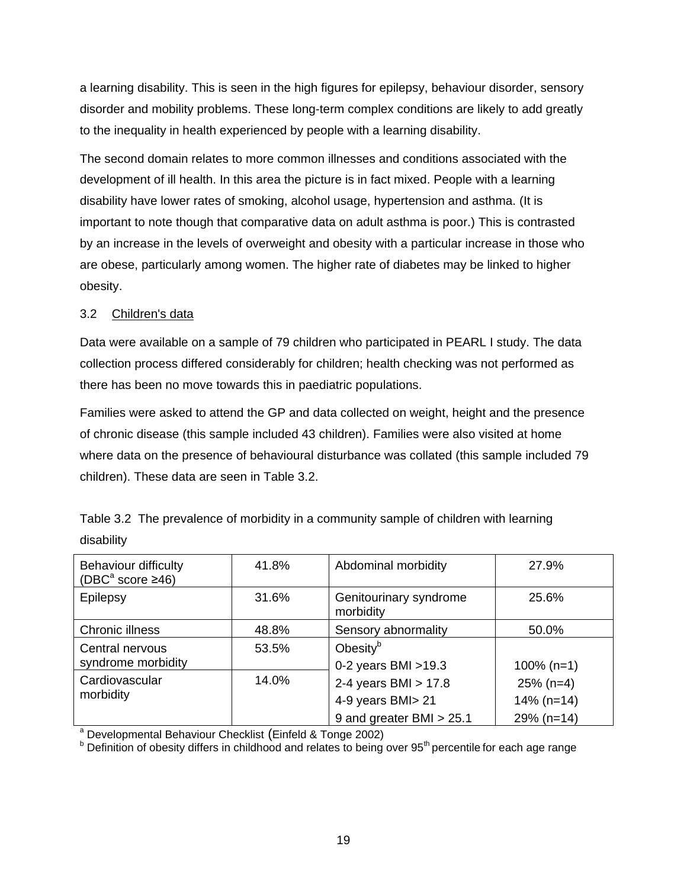a learning disability. This is seen in the high figures for epilepsy, behaviour disorder, sensory disorder and mobility problems. These long-term complex conditions are likely to add greatly to the inequality in health experienced by people with a learning disability.

The second domain relates to more common illnesses and conditions associated with the development of ill health. In this area the picture is in fact mixed. People with a learning disability have lower rates of smoking, alcohol usage, hypertension and asthma. (It is important to note though that comparative data on adult asthma is poor.) This is contrasted by an increase in the levels of overweight and obesity with a particular increase in those who are obese, particularly among women. The higher rate of diabetes may be linked to higher obesity.

# 3.2 Children's data

Data were available on a sample of 79 children who participated in PEARL I study. The data collection process differed considerably for children; health checking was not performed as there has been no move towards this in paediatric populations.

Families were asked to attend the GP and data collected on weight, height and the presence of chronic disease (this sample included 43 children). Families were also visited at home where data on the presence of behavioural disturbance was collated (this sample included 79 children). These data are seen in Table 3.2.

| <b>Behaviour difficulty</b><br>(DBC <sup>a</sup> score $\geq 46$ )    | 41.8% | Abdominal morbidity                                                     | 27.9%                                       |  |  |  |  |
|-----------------------------------------------------------------------|-------|-------------------------------------------------------------------------|---------------------------------------------|--|--|--|--|
| <b>Epilepsy</b>                                                       | 31.6% | Genitourinary syndrome<br>morbidity                                     | 25.6%                                       |  |  |  |  |
| Chronic illness                                                       | 48.8% | Sensory abnormality                                                     | 50.0%                                       |  |  |  |  |
| Central nervous<br>syndrome morbidity                                 | 53.5% | Obesity $b$<br>0-2 years BMI $>19.3$                                    | $100\%$ (n=1)                               |  |  |  |  |
| Cardiovascular<br>morbidity                                           | 14.0% | 2-4 years BMI $> 17.8$<br>4-9 years BMI> 21<br>9 and greater BMI > 25.1 | $25\%$ (n=4)<br>$14\%$ (n=14)<br>29% (n=14) |  |  |  |  |
| <sup>a</sup> Developmental Behaviour Checklist (Einfeld & Tonge 2002) |       |                                                                         |                                             |  |  |  |  |
|                                                                       |       |                                                                         |                                             |  |  |  |  |

Table 3.2 The prevalence of morbidity in a community sample of children with learning disability

<sup>b</sup> Definition of obesity differs in childhood and relates to being over 95<sup>th</sup> percentile for each age range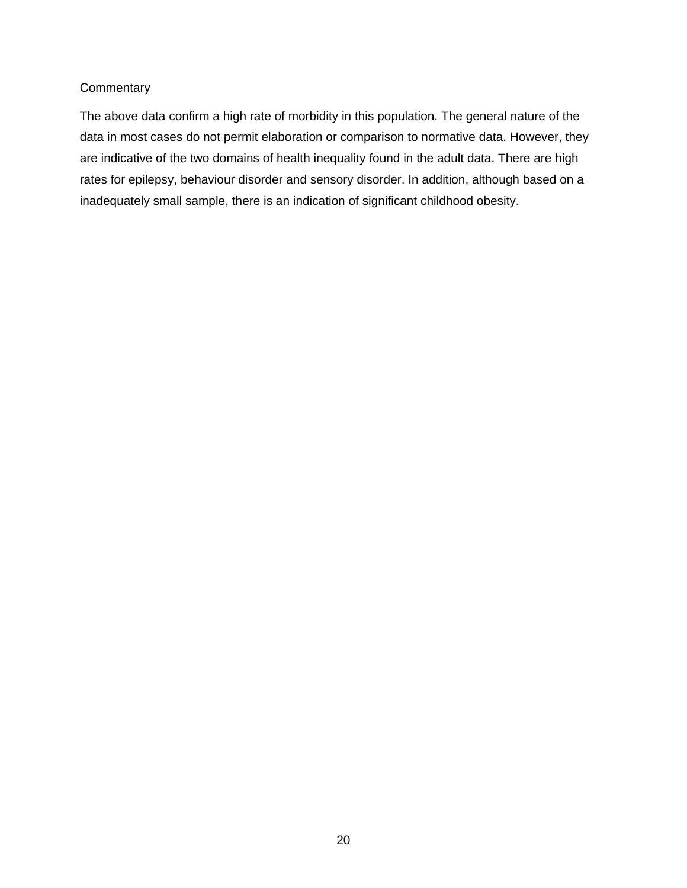#### **Commentary**

The above data confirm a high rate of morbidity in this population. The general nature of the data in most cases do not permit elaboration or comparison to normative data. However, they are indicative of the two domains of health inequality found in the adult data. There are high rates for epilepsy, behaviour disorder and sensory disorder. In addition, although based on a inadequately small sample, there is an indication of significant childhood obesity.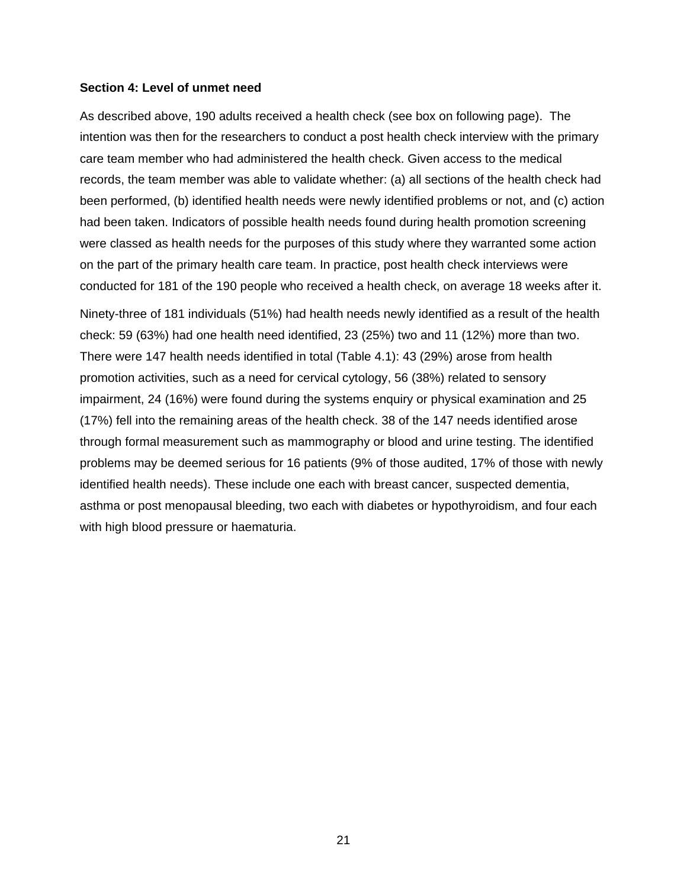#### **Section 4: Level of unmet need**

As described above, 190 adults received a health check (see box on following page). The intention was then for the researchers to conduct a post health check interview with the primary care team member who had administered the health check. Given access to the medical records, the team member was able to validate whether: (a) all sections of the health check had been performed, (b) identified health needs were newly identified problems or not, and (c) action had been taken. Indicators of possible health needs found during health promotion screening were classed as health needs for the purposes of this study where they warranted some action on the part of the primary health care team. In practice, post health check interviews were conducted for 181 of the 190 people who received a health check, on average 18 weeks after it.

Ninety-three of 181 individuals (51%) had health needs newly identified as a result of the health check: 59 (63%) had one health need identified, 23 (25%) two and 11 (12%) more than two. There were 147 health needs identified in total (Table 4.1): 43 (29%) arose from health promotion activities, such as a need for cervical cytology, 56 (38%) related to sensory impairment, 24 (16%) were found during the systems enquiry or physical examination and 25 (17%) fell into the remaining areas of the health check. 38 of the 147 needs identified arose through formal measurement such as mammography or blood and urine testing. The identified problems may be deemed serious for 16 patients (9% of those audited, 17% of those with newly identified health needs). These include one each with breast cancer, suspected dementia, asthma or post menopausal bleeding, two each with diabetes or hypothyroidism, and four each with high blood pressure or haematuria.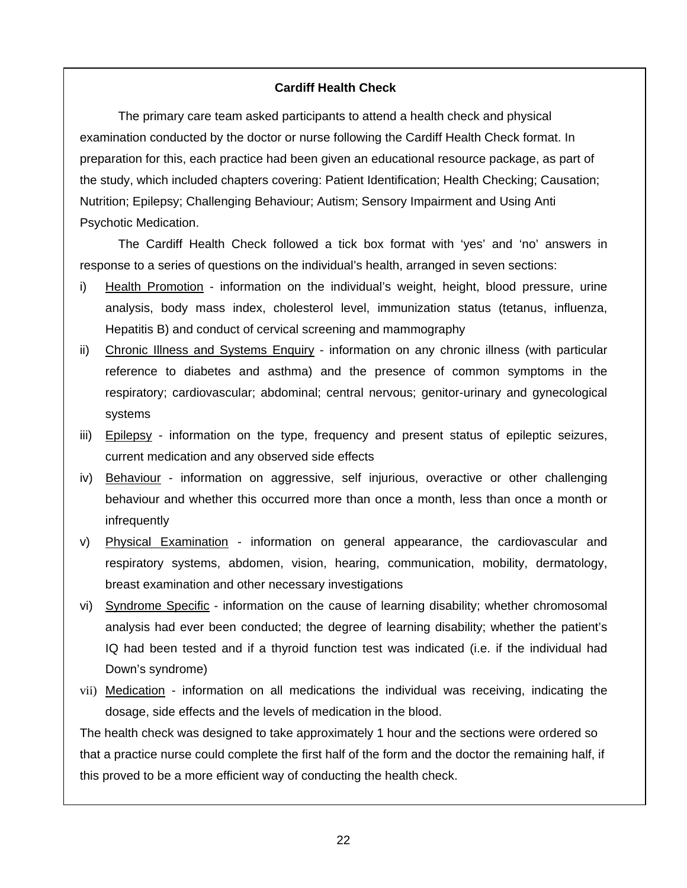## **Cardiff Health Check**

The primary care team asked participants to attend a health check and physical examination conducted by the doctor or nurse following the Cardiff Health Check format. In preparation for this, each practice had been given an educational resource package, as part of the study, which included chapters covering: Patient Identification; Health Checking; Causation; Nutrition; Epilepsy; Challenging Behaviour; Autism; Sensory Impairment and Using Anti Psychotic Medication.

The Cardiff Health Check followed a tick box format with 'yes' and 'no' answers in response to a series of questions on the individual's health, arranged in seven sections:

- i) Health Promotion information on the individual's weight, height, blood pressure, urine analysis, body mass index, cholesterol level, immunization status (tetanus, influenza, Hepatitis B) and conduct of cervical screening and mammography
- ii) Chronic Illness and Systems Enquiry information on any chronic illness (with particular reference to diabetes and asthma) and the presence of common symptoms in the respiratory; cardiovascular; abdominal; central nervous; genitor-urinary and gynecological systems
- iii) Epilepsy information on the type, frequency and present status of epileptic seizures, current medication and any observed side effects
- iv) Behaviour information on aggressive, self injurious, overactive or other challenging behaviour and whether this occurred more than once a month, less than once a month or infrequently
- v) Physical Examination information on general appearance, the cardiovascular and respiratory systems, abdomen, vision, hearing, communication, mobility, dermatology, breast examination and other necessary investigations
- vi) Syndrome Specific information on the cause of learning disability; whether chromosomal analysis had ever been conducted; the degree of learning disability; whether the patient's IQ had been tested and if a thyroid function test was indicated (i.e. if the individual had Down's syndrome)
- vii) Medication information on all medications the individual was receiving, indicating the dosage, side effects and the levels of medication in the blood.

The health check was designed to take approximately 1 hour and the sections were ordered so that a practice nurse could complete the first half of the form and the doctor the remaining half, if this proved to be a more efficient way of conducting the health check.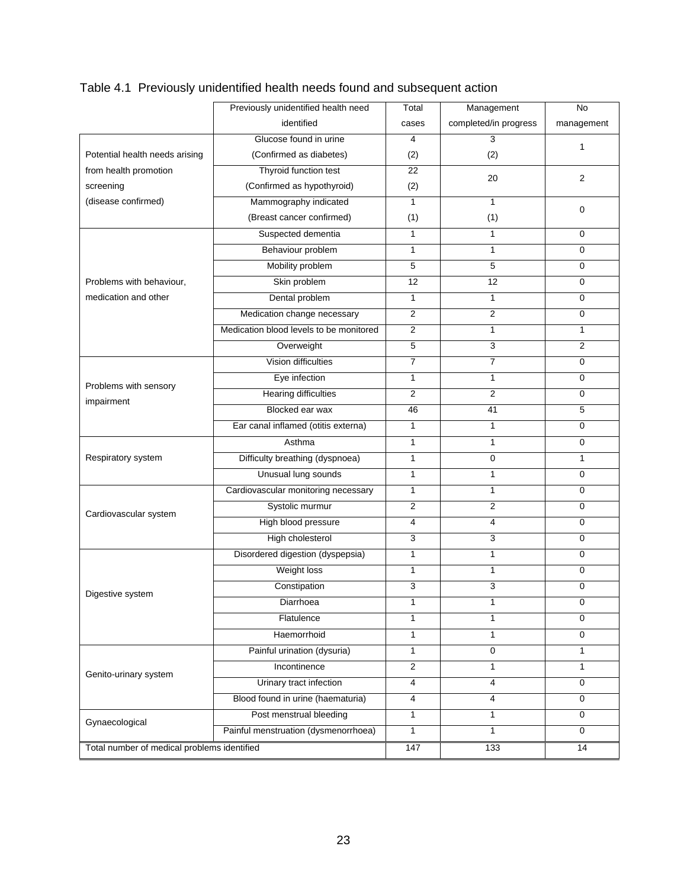|                                             | Previously unidentified health need     | Total                   | Management            | No             |
|---------------------------------------------|-----------------------------------------|-------------------------|-----------------------|----------------|
|                                             | identified                              | cases                   | completed/in progress | management     |
|                                             | Glucose found in urine                  | 4                       | 3                     | 1              |
| Potential health needs arising              | (Confirmed as diabetes)                 | (2)                     | (2)                   |                |
| from health promotion                       | Thyroid function test                   | 22                      | 20                    | 2              |
| screening                                   | (Confirmed as hypothyroid)              | (2)                     |                       |                |
| (disease confirmed)                         | Mammography indicated                   | $\mathbf{1}$            | $\mathbf{1}$          | 0              |
|                                             | (Breast cancer confirmed)               | (1)                     | (1)                   |                |
|                                             | Suspected dementia                      | $\mathbf{1}$            | $\mathbf{1}$          | 0              |
|                                             | Behaviour problem                       | $\mathbf{1}$            | $\mathbf{1}$          | $\mathbf 0$    |
|                                             | Mobility problem                        | 5                       | 5                     | 0              |
| Problems with behaviour,                    | Skin problem                            | 12                      | 12                    | 0              |
| medication and other                        | Dental problem                          | $\mathbf{1}$            | $\mathbf{1}$          | 0              |
|                                             | Medication change necessary             | $\overline{\mathbf{c}}$ | $\overline{2}$        | 0              |
|                                             | Medication blood levels to be monitored | 2                       | $\mathbf{1}$          | 1              |
|                                             | Overweight                              | 5                       | 3                     | $\overline{2}$ |
|                                             | Vision difficulties                     | $\overline{7}$          | $\overline{7}$        | 0              |
|                                             | Eye infection                           | $\mathbf{1}$            | $\mathbf{1}$          | 0              |
| Problems with sensory                       | <b>Hearing difficulties</b>             | $\overline{2}$          | $\overline{2}$        | 0              |
| impairment                                  | Blocked ear wax                         | 46                      | 41                    | 5              |
|                                             | Ear canal inflamed (otitis externa)     | $\mathbf{1}$            | $\mathbf{1}$          | $\mathbf 0$    |
|                                             | Asthma                                  | $\mathbf{1}$            | $\mathbf{1}$          | 0              |
| Respiratory system                          | Difficulty breathing (dyspnoea)         | $\mathbf{1}$            | $\mathbf 0$           | $\mathbf{1}$   |
|                                             | Unusual lung sounds                     | $\mathbf{1}$            | $\mathbf{1}$          | 0              |
|                                             | Cardiovascular monitoring necessary     | 1                       | $\mathbf{1}$          | 0              |
| Cardiovascular system                       | Systolic murmur                         | $\overline{c}$          | $\overline{2}$        | 0              |
|                                             | High blood pressure                     | $\overline{4}$          | 4                     | 0              |
|                                             | High cholesterol                        | 3                       | 3                     | 0              |
|                                             | Disordered digestion (dyspepsia)        | 1                       | $\mathbf{1}$          | 0              |
|                                             | Weight loss                             | $\mathbf{1}$            | $\mathbf{1}$          | 0              |
| Digestive system                            | Constipation                            | 3                       | 3                     | 0              |
|                                             | Diarrhoea                               | 1                       | 1                     | 0              |
|                                             | Flatulence                              | 1                       | 1                     | 0              |
|                                             | Haemorrhoid                             | $\mathbf{1}$            | $\mathbf{1}$          | $\mathbf 0$    |
|                                             | Painful urination (dysuria)             | $\mathbf{1}$            | $\mathbf 0$           | 1              |
| Genito-urinary system                       | Incontinence                            | $\overline{2}$          | 1                     | $\mathbf{1}$   |
|                                             | Urinary tract infection                 | $\overline{4}$          | $\overline{4}$        | 0              |
|                                             | Blood found in urine (haematuria)       | $\overline{\mathbf{4}}$ | $\overline{4}$        | 0              |
|                                             | Post menstrual bleeding                 | $\mathbf{1}$            | $\mathbf{1}$          | $\mathbf 0$    |
| Gynaecological                              | Painful menstruation (dysmenorrhoea)    | 1                       | $\mathbf{1}$          | 0              |
| Total number of medical problems identified |                                         | 147                     | 133                   | 14             |

# Table 4.1 Previously unidentified health needs found and subsequent action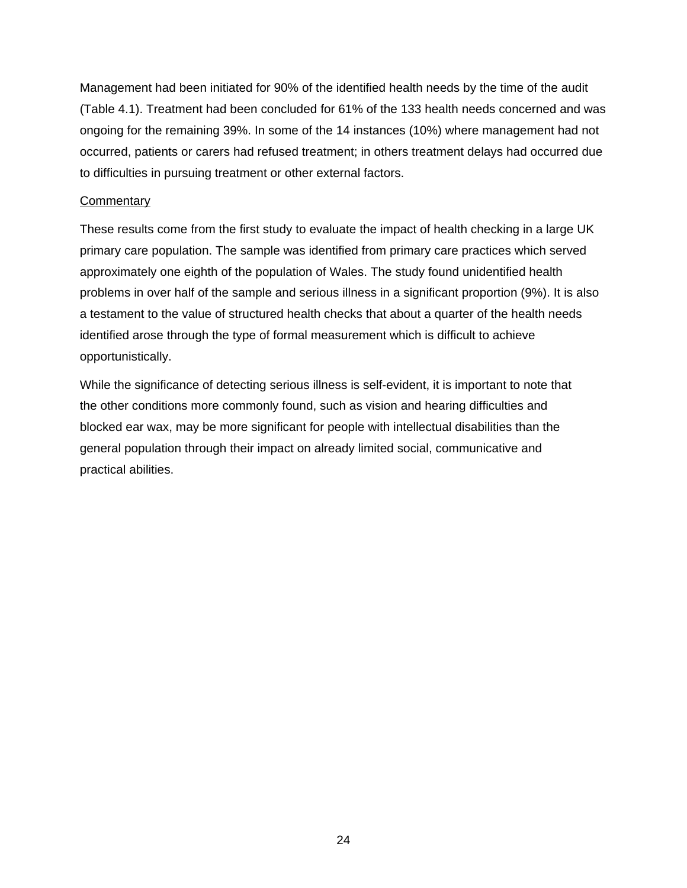Management had been initiated for 90% of the identified health needs by the time of the audit (Table 4.1). Treatment had been concluded for 61% of the 133 health needs concerned and was ongoing for the remaining 39%. In some of the 14 instances (10%) where management had not occurred, patients or carers had refused treatment; in others treatment delays had occurred due to difficulties in pursuing treatment or other external factors.

## **Commentary**

These results come from the first study to evaluate the impact of health checking in a large UK primary care population. The sample was identified from primary care practices which served approximately one eighth of the population of Wales. The study found unidentified health problems in over half of the sample and serious illness in a significant proportion (9%). It is also a testament to the value of structured health checks that about a quarter of the health needs identified arose through the type of formal measurement which is difficult to achieve opportunistically.

While the significance of detecting serious illness is self-evident, it is important to note that the other conditions more commonly found, such as vision and hearing difficulties and blocked ear wax, may be more significant for people with intellectual disabilities than the general population through their impact on already limited social, communicative and practical abilities.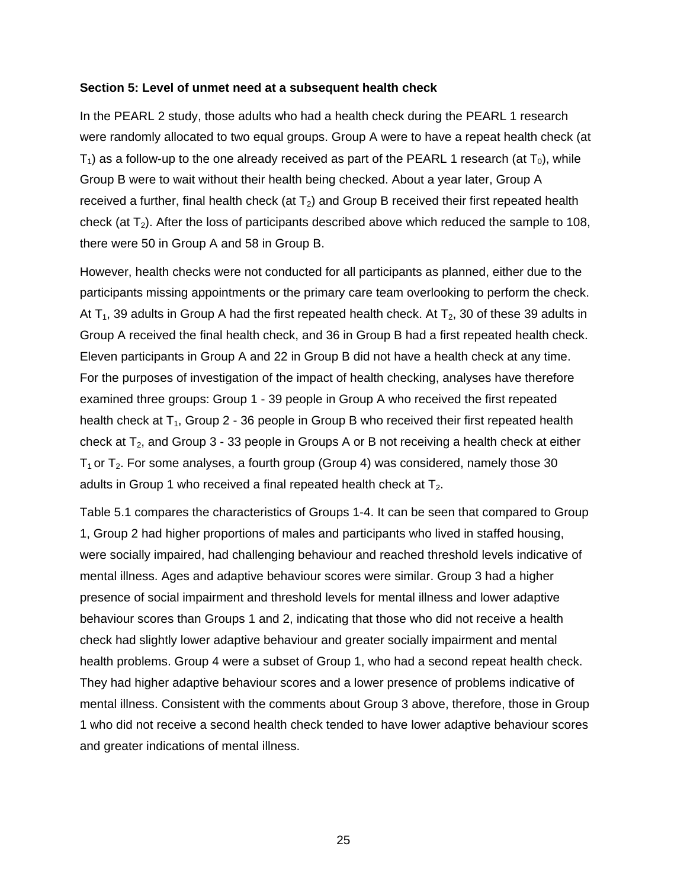#### **Section 5: Level of unmet need at a subsequent health check**

In the PEARL 2 study, those adults who had a health check during the PEARL 1 research were randomly allocated to two equal groups. Group A were to have a repeat health check (at  $T_1$ ) as a follow-up to the one already received as part of the PEARL 1 research (at  $T_0$ ), while Group B were to wait without their health being checked. About a year later, Group A received a further, final health check (at  $T_2$ ) and Group B received their first repeated health check (at  $T_2$ ). After the loss of participants described above which reduced the sample to 108, there were 50 in Group A and 58 in Group B.

However, health checks were not conducted for all participants as planned, either due to the participants missing appointments or the primary care team overlooking to perform the check. At  $T_1$ , 39 adults in Group A had the first repeated health check. At  $T_2$ , 30 of these 39 adults in Group A received the final health check, and 36 in Group B had a first repeated health check. Eleven participants in Group A and 22 in Group B did not have a health check at any time. For the purposes of investigation of the impact of health checking, analyses have therefore examined three groups: Group 1 - 39 people in Group A who received the first repeated health check at  $T_1$ , Group 2 - 36 people in Group B who received their first repeated health check at  $T_2$ , and Group 3 - 33 people in Groups A or B not receiving a health check at either  $T_1$  or  $T_2$ . For some analyses, a fourth group (Group 4) was considered, namely those 30 adults in Group 1 who received a final repeated health check at  $T_2$ .

Table 5.1 compares the characteristics of Groups 1-4. It can be seen that compared to Group 1, Group 2 had higher proportions of males and participants who lived in staffed housing, were socially impaired, had challenging behaviour and reached threshold levels indicative of mental illness. Ages and adaptive behaviour scores were similar. Group 3 had a higher presence of social impairment and threshold levels for mental illness and lower adaptive behaviour scores than Groups 1 and 2, indicating that those who did not receive a health check had slightly lower adaptive behaviour and greater socially impairment and mental health problems. Group 4 were a subset of Group 1, who had a second repeat health check. They had higher adaptive behaviour scores and a lower presence of problems indicative of mental illness. Consistent with the comments about Group 3 above, therefore, those in Group 1 who did not receive a second health check tended to have lower adaptive behaviour scores and greater indications of mental illness.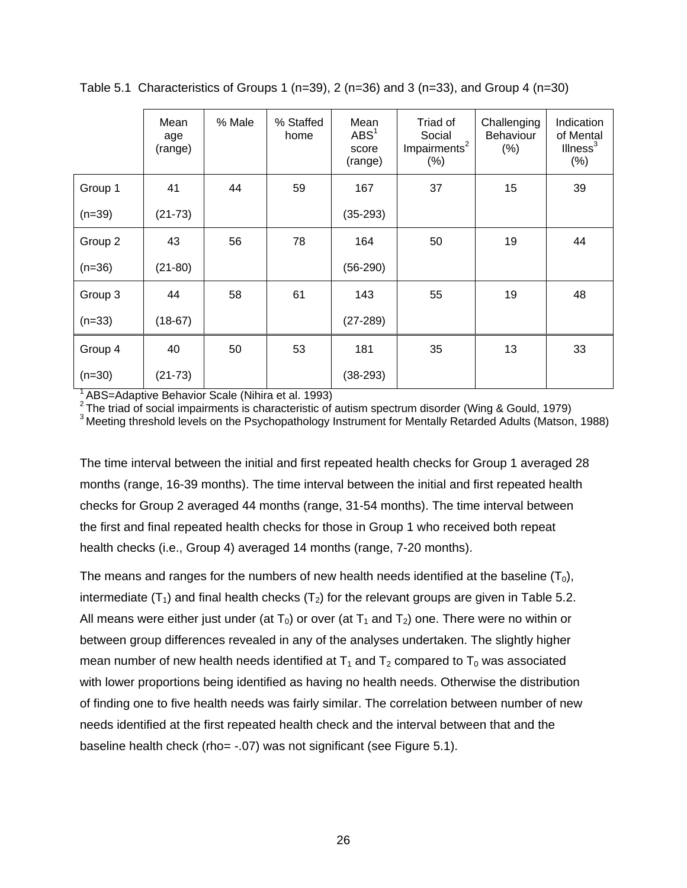|          | Mean<br>age<br>(range) | % Male | % Staffed<br>home | Mean<br>ABS <sup>1</sup><br>score<br>(range) | Triad of<br>Social<br>Impairments <sup>2</sup><br>(% ) | Challenging<br><b>Behaviour</b><br>(%) | Indication<br>of Mental<br>Ilness <sup>3</sup><br>(%) |
|----------|------------------------|--------|-------------------|----------------------------------------------|--------------------------------------------------------|----------------------------------------|-------------------------------------------------------|
| Group 1  | 41                     | 44     | 59                | 167                                          | 37                                                     | 15                                     | 39                                                    |
| $(n=39)$ | $(21-73)$              |        |                   | $(35-293)$                                   |                                                        |                                        |                                                       |
| Group 2  | 43                     | 56     | 78                | 164                                          | 50                                                     | 19                                     | 44                                                    |
| $(n=36)$ | $(21-80)$              |        |                   | $(56-290)$                                   |                                                        |                                        |                                                       |
| Group 3  | 44                     | 58     | 61                | 143                                          | 55                                                     | 19                                     | 48                                                    |
| $(n=33)$ | $(18-67)$              |        |                   | $(27-289)$                                   |                                                        |                                        |                                                       |
| Group 4  | 40                     | 50     | 53                | 181                                          | 35                                                     | 13                                     | 33                                                    |
| $(n=30)$ | $(21-73)$              |        |                   | $(38-293)$                                   |                                                        |                                        |                                                       |

Table 5.1 Characteristics of Groups 1 (n=39), 2 (n=36) and 3 (n=33), and Group 4 (n=30)

<sup>1</sup> ABS=Adaptive Behavior Scale (Nihira et al. 1993)

2 The triad of social impairments is characteristic of autism spectrum disorder (Wing & Gould, 1979)<br><sup>3</sup> The triad of social impairments is characteristic of autism spectrum disorder (Wing & Gould, 1979)<br><sup>3</sup> Meeting thresh

The time interval between the initial and first repeated health checks for Group 1 averaged 28 months (range, 16-39 months). The time interval between the initial and first repeated health checks for Group 2 averaged 44 months (range, 31-54 months). The time interval between the first and final repeated health checks for those in Group 1 who received both repeat health checks (i.e., Group 4) averaged 14 months (range, 7-20 months).

The means and ranges for the numbers of new health needs identified at the baseline  $(T_0)$ , intermediate  $(T_1)$  and final health checks  $(T_2)$  for the relevant groups are given in Table 5.2. All means were either just under (at  $T_0$ ) or over (at  $T_1$  and  $T_2$ ) one. There were no within or between group differences revealed in any of the analyses undertaken. The slightly higher mean number of new health needs identified at  $T_1$  and  $T_2$  compared to  $T_0$  was associated with lower proportions being identified as having no health needs. Otherwise the distribution of finding one to five health needs was fairly similar. The correlation between number of new needs identified at the first repeated health check and the interval between that and the baseline health check (rho= -.07) was not significant (see Figure 5.1).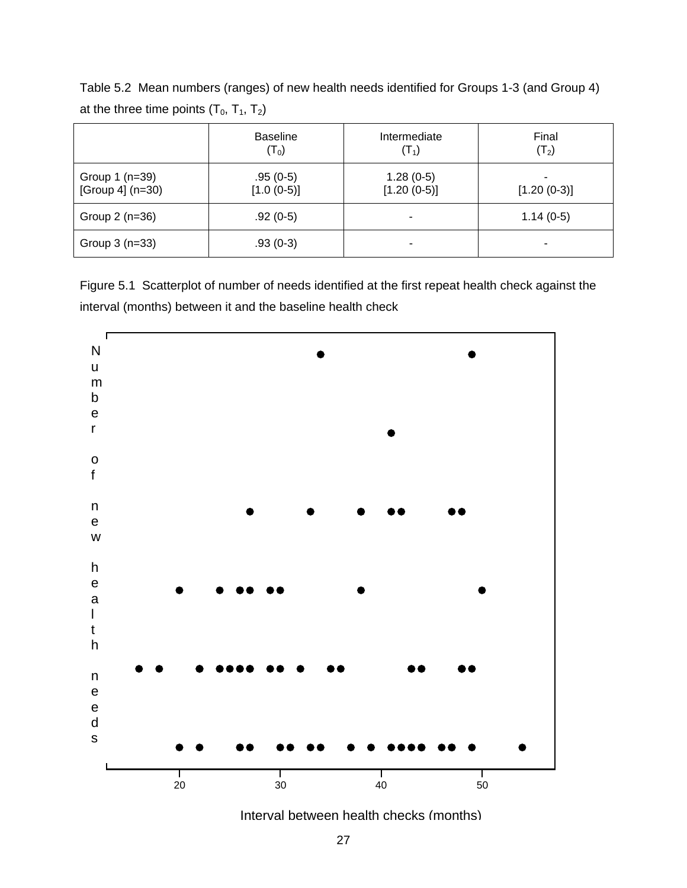Table 5.2 Mean numbers (ranges) of new health needs identified for Groups 1-3 (and Group 4) at the three time points  $(T_0, T_1, T_2)$ 

|                  | <b>Baseline</b> | Intermediate             | Final         |
|------------------|-----------------|--------------------------|---------------|
|                  | $(T_0)$         | $(T_1)$                  | $(T_2)$       |
| Group $1$ (n=39) | $.95(0-5)$      | $1.28(0-5)$              | ۰             |
| [Group 4] (n=30) | $[1.0 (0-5)]$   | $[1.20(0-5)]$            | $[1.20(0-3)]$ |
| Group $2(n=36)$  | $.92(0-5)$      | ٠                        | $1.14(0-5)$   |
| Group $3(n=33)$  | $.93(0-3)$      | $\overline{\phantom{0}}$ | ۰             |

Figure 5.1 Scatterplot of number of needs identified at the first repeat health check against the interval (months) between it and the baseline health check



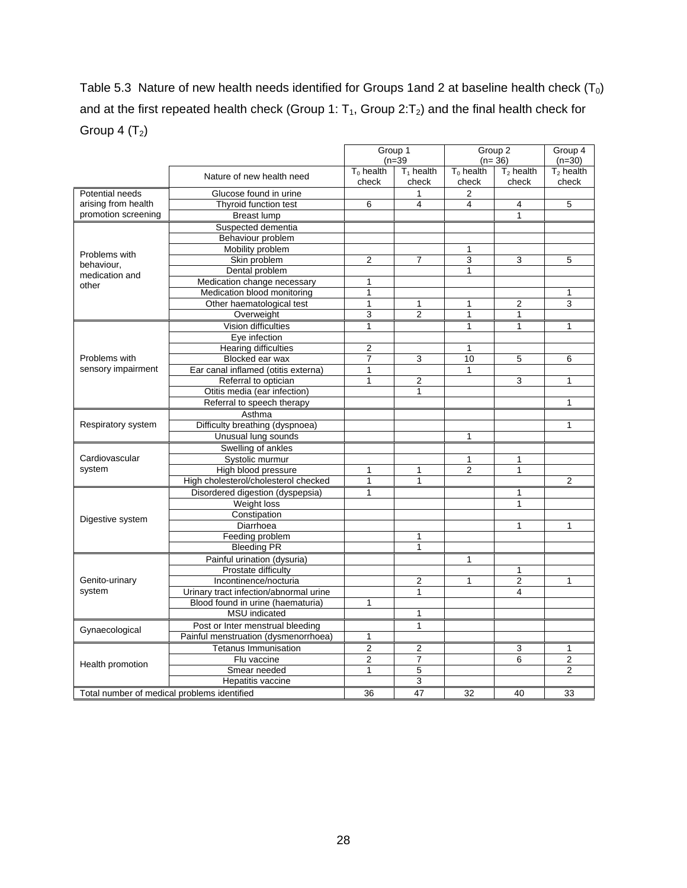Table 5.3 Nature of new health needs identified for Groups 1and 2 at baseline health check  $(T_0)$ and at the first repeated health check (Group 1:  $T_1$ , Group 2: $T_2$ ) and the final health check for Group 4  $(T_2)$ 

|                                             |                                        | Group 1<br>$(n=39)$ |                | Group 2<br>$(n=36)$ |                | Group 4<br>$(n=30)$ |
|---------------------------------------------|----------------------------------------|---------------------|----------------|---------------------|----------------|---------------------|
|                                             |                                        | $T_0$ health        | $T_1$ health   | $T_0$ health        | $T2$ health    | $T2$ health         |
|                                             | Nature of new health need              | check               | check          | check               | check          | check               |
| Potential needs                             | Glucose found in urine                 |                     | 1              | 2                   |                |                     |
| arising from health                         | Thyroid function test                  | 6                   | 4              | 4                   | 4              | 5                   |
| promotion screening                         | <b>Breast lump</b>                     |                     |                |                     | 1              |                     |
|                                             | Suspected dementia                     |                     |                |                     |                |                     |
|                                             | Behaviour problem                      |                     |                |                     |                |                     |
|                                             | Mobility problem                       |                     |                | 1                   |                |                     |
| Problems with                               | Skin problem                           | $\overline{2}$      | $\overline{7}$ | 3                   | 3              | 5                   |
| behaviour,<br>medication and                | Dental problem                         |                     |                | 1                   |                |                     |
| other                                       | Medication change necessary            | 1                   |                |                     |                |                     |
|                                             | Medication blood monitoring            | 1                   |                |                     |                | 1                   |
|                                             | Other haematological test              | 1                   | 1              | 1                   | $\overline{2}$ | 3                   |
|                                             | Overweight                             | 3                   | $\overline{2}$ | 1                   | $\mathbf{1}$   |                     |
|                                             | Vision difficulties                    | 1                   |                | $\mathbf{1}$        | $\mathbf{1}$   | $\mathbf{1}$        |
|                                             | Eye infection                          |                     |                |                     |                |                     |
|                                             | <b>Hearing difficulties</b>            | 2                   |                | 1                   |                |                     |
| Problems with                               | Blocked ear wax                        | 7                   | 3              | 10                  | 5              | 6                   |
| sensory impairment                          | Ear canal inflamed (otitis externa)    | 1                   |                | $\mathbf{1}$        |                |                     |
|                                             | Referral to optician                   | $\mathbf{1}$        | $\overline{2}$ |                     | 3              | 1                   |
|                                             | Otitis media (ear infection)           |                     | $\mathbf{1}$   |                     |                |                     |
|                                             | Referral to speech therapy             |                     |                |                     |                | 1                   |
|                                             | Asthma                                 |                     |                |                     |                |                     |
| Respiratory system                          | Difficulty breathing (dyspnoea)        |                     |                |                     |                | 1                   |
|                                             | Unusual lung sounds                    |                     |                | $\mathbf{1}$        |                |                     |
|                                             | Swelling of ankles                     |                     |                |                     |                |                     |
| Cardiovascular                              | Systolic murmur                        |                     |                | $\mathbf{1}$        | 1              |                     |
| system                                      | High blood pressure                    | 1                   | 1              | $\overline{2}$      | 1              |                     |
|                                             | High cholesterol/cholesterol checked   | 1                   | 1              |                     |                | $\overline{2}$      |
|                                             | Disordered digestion (dyspepsia)       | 1                   |                |                     | 1              |                     |
|                                             | Weight loss                            |                     |                |                     | $\mathbf{1}$   |                     |
|                                             | Constipation                           |                     |                |                     |                |                     |
| Digestive system                            | Diarrhoea                              |                     |                |                     | 1              | 1                   |
|                                             | Feeding problem                        |                     | 1              |                     |                |                     |
|                                             | <b>Bleeding PR</b>                     |                     | 1              |                     |                |                     |
|                                             | Painful urination (dysuria)            |                     |                | $\mathbf{1}$        |                |                     |
|                                             | Prostate difficulty                    |                     |                |                     | 1              |                     |
| Genito-urinary                              | Incontinence/nocturia                  |                     | $\overline{2}$ | 1                   | $\overline{2}$ | 1                   |
| system                                      | Urinary tract infection/abnormal urine |                     | 1              |                     | 4              |                     |
|                                             | Blood found in urine (haematuria)      | 1                   |                |                     |                |                     |
|                                             | <b>MSU</b> indicated                   |                     | 1              |                     |                |                     |
|                                             | Post or Inter menstrual bleeding       |                     | $\mathbf{1}$   |                     |                |                     |
| Gynaecological                              | Painful menstruation (dysmenorrhoea)   | 1                   |                |                     |                |                     |
|                                             | <b>Tetanus Immunisation</b>            | $\overline{2}$      | $\overline{2}$ |                     | 3              | 1                   |
|                                             | Flu vaccine                            | $\overline{2}$      | $\overline{7}$ |                     | 6              | $\overline{2}$      |
| Health promotion                            | Smear needed                           | $\mathbf{1}$        | 5              |                     |                | $\overline{2}$      |
|                                             | Hepatitis vaccine                      |                     | 3              |                     |                |                     |
|                                             |                                        |                     | 47             |                     |                |                     |
| Total number of medical problems identified |                                        | 36                  |                | 32                  | 40             | 33                  |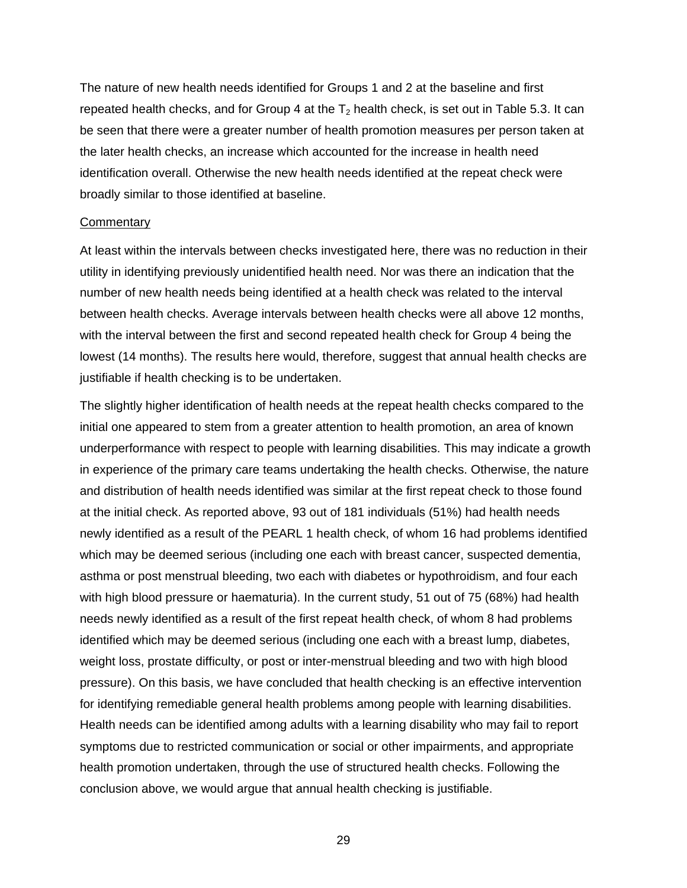The nature of new health needs identified for Groups 1 and 2 at the baseline and first repeated health checks, and for Group 4 at the  $T_2$  health check, is set out in Table 5.3. It can be seen that there were a greater number of health promotion measures per person taken at the later health checks, an increase which accounted for the increase in health need identification overall. Otherwise the new health needs identified at the repeat check were broadly similar to those identified at baseline.

#### **Commentary**

At least within the intervals between checks investigated here, there was no reduction in their utility in identifying previously unidentified health need. Nor was there an indication that the number of new health needs being identified at a health check was related to the interval between health checks. Average intervals between health checks were all above 12 months, with the interval between the first and second repeated health check for Group 4 being the lowest (14 months). The results here would, therefore, suggest that annual health checks are justifiable if health checking is to be undertaken.

The slightly higher identification of health needs at the repeat health checks compared to the initial one appeared to stem from a greater attention to health promotion, an area of known underperformance with respect to people with learning disabilities. This may indicate a growth in experience of the primary care teams undertaking the health checks. Otherwise, the nature and distribution of health needs identified was similar at the first repeat check to those found at the initial check. As reported above, 93 out of 181 individuals (51%) had health needs newly identified as a result of the PEARL 1 health check, of whom 16 had problems identified which may be deemed serious (including one each with breast cancer, suspected dementia, asthma or post menstrual bleeding, two each with diabetes or hypothroidism, and four each with high blood pressure or haematuria). In the current study, 51 out of 75 (68%) had health needs newly identified as a result of the first repeat health check, of whom 8 had problems identified which may be deemed serious (including one each with a breast lump, diabetes, weight loss, prostate difficulty, or post or inter-menstrual bleeding and two with high blood pressure). On this basis, we have concluded that health checking is an effective intervention for identifying remediable general health problems among people with learning disabilities. Health needs can be identified among adults with a learning disability who may fail to report symptoms due to restricted communication or social or other impairments, and appropriate health promotion undertaken, through the use of structured health checks. Following the conclusion above, we would argue that annual health checking is justifiable.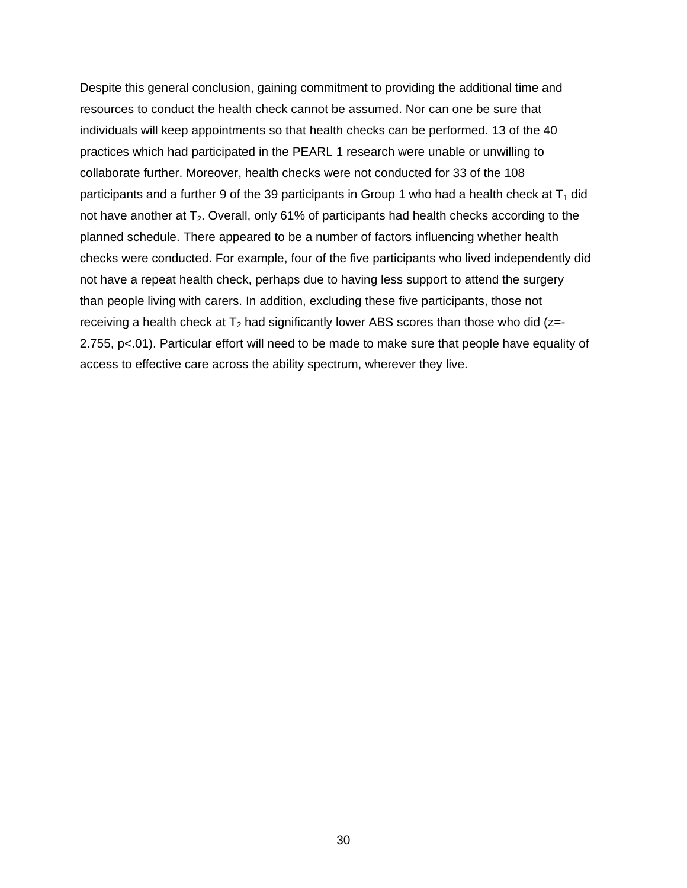Despite this general conclusion, gaining commitment to providing the additional time and resources to conduct the health check cannot be assumed. Nor can one be sure that individuals will keep appointments so that health checks can be performed. 13 of the 40 practices which had participated in the PEARL 1 research were unable or unwilling to collaborate further. Moreover, health checks were not conducted for 33 of the 108 participants and a further 9 of the 39 participants in Group 1 who had a health check at  $T_1$  did not have another at  $T_2$ . Overall, only 61% of participants had health checks according to the planned schedule. There appeared to be a number of factors influencing whether health checks were conducted. For example, four of the five participants who lived independently did not have a repeat health check, perhaps due to having less support to attend the surgery than people living with carers. In addition, excluding these five participants, those not receiving a health check at  $T_2$  had significantly lower ABS scores than those who did ( $z = -$ 2.755, p<.01). Particular effort will need to be made to make sure that people have equality of access to effective care across the ability spectrum, wherever they live.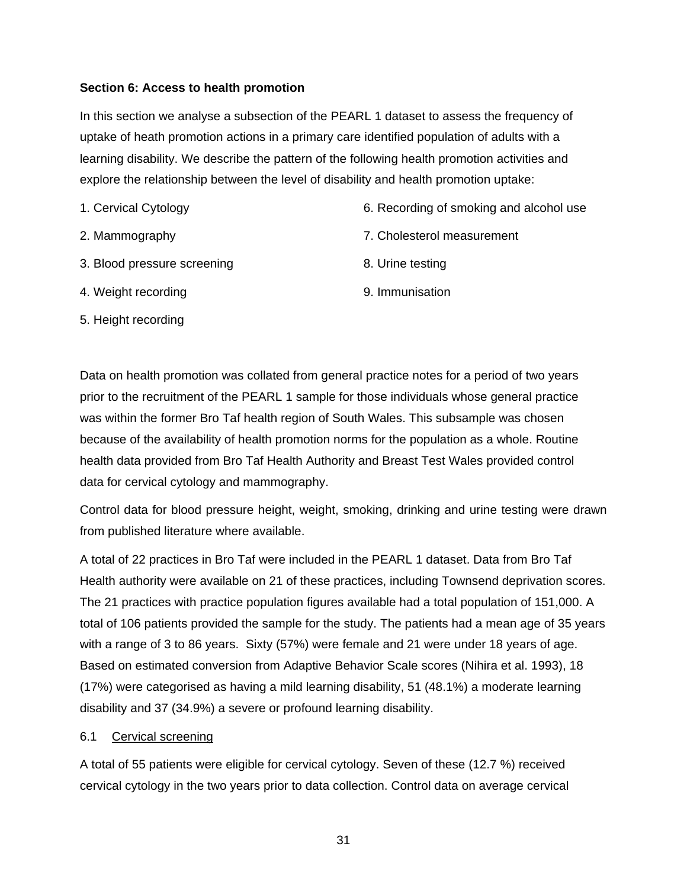## **Section 6: Access to health promotion**

In this section we analyse a subsection of the PEARL 1 dataset to assess the frequency of uptake of heath promotion actions in a primary care identified population of adults with a learning disability. We describe the pattern of the following health promotion activities and explore the relationship between the level of disability and health promotion uptake:

- 1. Cervical Cytology 2. Mammography 3. Blood pressure screening 6. Recording of smoking and alcohol use 7. Cholesterol measurement 8. Urine testing
- 4. Weight recording

9. Immunisation

5. Height recording

Data on health promotion was collated from general practice notes for a period of two years prior to the recruitment of the PEARL 1 sample for those individuals whose general practice was within the former Bro Taf health region of South Wales. This subsample was chosen because of the availability of health promotion norms for the population as a whole. Routine health data provided from Bro Taf Health Authority and Breast Test Wales provided control data for cervical cytology and mammography.

Control data for blood pressure height, weight, smoking, drinking and urine testing were drawn from published literature where available.

A total of 22 practices in Bro Taf were included in the PEARL 1 dataset. Data from Bro Taf Health authority were available on 21 of these practices, including Townsend deprivation scores. The 21 practices with practice population figures available had a total population of 151,000. A total of 106 patients provided the sample for the study. The patients had a mean age of 35 years with a range of 3 to 86 years. Sixty (57%) were female and 21 were under 18 years of age. Based on estimated conversion from Adaptive Behavior Scale scores (Nihira et al. 1993), 18 (17%) were categorised as having a mild learning disability, 51 (48.1%) a moderate learning disability and 37 (34.9%) a severe or profound learning disability.

## 6.1 Cervical screening

A total of 55 patients were eligible for cervical cytology. Seven of these (12.7 %) received cervical cytology in the two years prior to data collection. Control data on average cervical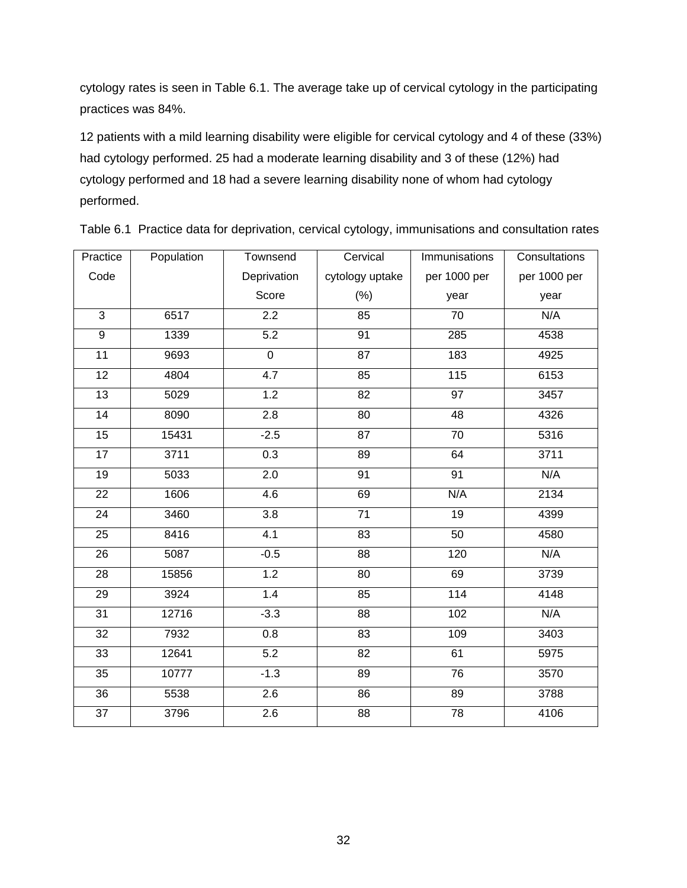cytology rates is seen in Table 6.1. The average take up of cervical cytology in the participating practices was 84%.

12 patients with a mild learning disability were eligible for cervical cytology and 4 of these (33%) had cytology performed. 25 had a moderate learning disability and 3 of these (12%) had cytology performed and 18 had a severe learning disability none of whom had cytology performed.

| Practice        | Population | Townsend         | Cervical        | Immunisations    | Consultations |
|-----------------|------------|------------------|-----------------|------------------|---------------|
| Code            |            | Deprivation      | cytology uptake | per 1000 per     | per 1000 per  |
|                 |            | Score            | $(\%)$          | year             | year          |
| $\overline{3}$  | 6517       | $\overline{2.2}$ | 85              | 70               | N/A           |
| $\overline{9}$  | 1339       | $\overline{5.2}$ | 91              | 285              | 4538          |
| $\overline{11}$ | 9693       | $\overline{0}$   | $\overline{87}$ | 183              | 4925          |
| 12              | 4804       | 4.7              | 85              | 115              | 6153          |
| 13              | 5029       | 1.2              | $\overline{82}$ | $\overline{97}$  | 3457          |
| $\overline{14}$ | 8090       | 2.8              | 80              | $\overline{48}$  | 4326          |
| 15              | 15431      | $-2.5$           | 87              | $\overline{70}$  | 5316          |
| 17              | 3711       | 0.3              | 89              | 64               | 3711          |
| 19              | 5033       | 2.0              | 91              | 91               | N/A           |
| 22              | 1606       | 4.6              | 69              | N/A              | 2134          |
| 24              | 3460       | $\overline{3.8}$ | $\overline{71}$ | 19               | 4399          |
| 25              | 8416       | 4.1              | $\overline{83}$ | $\overline{50}$  | 4580          |
| 26              | 5087       | $-0.5$           | $\overline{88}$ | $\overline{120}$ | N/A           |
| 28              | 15856      | 1.2              | 80              | 69               | 3739          |
| $\overline{29}$ | 3924       | 1.4              | 85              | 114              | 4148          |
| $\overline{31}$ | 12716      | $-3.3$           | 88              | 102              | N/A           |
| 32              | 7932       | 0.8              | 83              | 109              | 3403          |
| $\overline{33}$ | 12641      | 5.2              | $\overline{82}$ | 61               | 5975          |
| 35              | 10777      | $-1.3$           | 89              | 76               | 3570          |
| 36              | 5538       | 2.6              | 86              | 89               | 3788          |
| $\overline{37}$ | 3796       | 2.6              | $\overline{88}$ | 78               | 4106          |

Table 6.1 Practice data for deprivation, cervical cytology, immunisations and consultation rates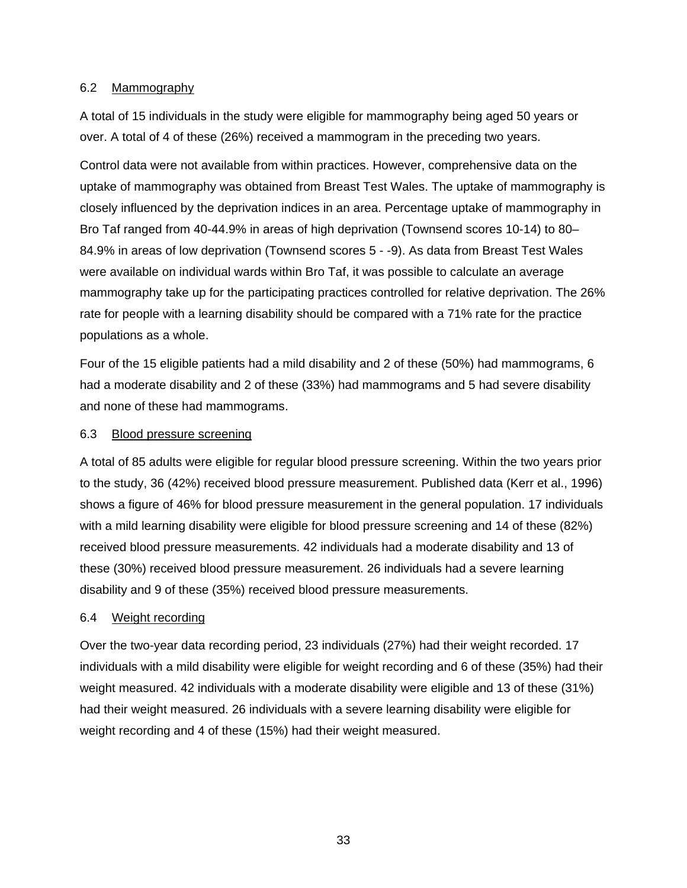## 6.2 Mammography

A total of 15 individuals in the study were eligible for mammography being aged 50 years or over. A total of 4 of these (26%) received a mammogram in the preceding two years.

Control data were not available from within practices. However, comprehensive data on the uptake of mammography was obtained from Breast Test Wales. The uptake of mammography is closely influenced by the deprivation indices in an area. Percentage uptake of mammography in Bro Taf ranged from 40-44.9% in areas of high deprivation (Townsend scores 10-14) to 80– 84.9% in areas of low deprivation (Townsend scores 5 - -9). As data from Breast Test Wales were available on individual wards within Bro Taf, it was possible to calculate an average mammography take up for the participating practices controlled for relative deprivation. The 26% rate for people with a learning disability should be compared with a 71% rate for the practice populations as a whole.

Four of the 15 eligible patients had a mild disability and 2 of these (50%) had mammograms, 6 had a moderate disability and 2 of these (33%) had mammograms and 5 had severe disability and none of these had mammograms.

#### 6.3 Blood pressure screening

A total of 85 adults were eligible for regular blood pressure screening. Within the two years prior to the study, 36 (42%) received blood pressure measurement. Published data (Kerr et al., 1996) shows a figure of 46% for blood pressure measurement in the general population. 17 individuals with a mild learning disability were eligible for blood pressure screening and 14 of these (82%) received blood pressure measurements. 42 individuals had a moderate disability and 13 of these (30%) received blood pressure measurement. 26 individuals had a severe learning disability and 9 of these (35%) received blood pressure measurements.

## 6.4 Weight recording

Over the two-year data recording period, 23 individuals (27%) had their weight recorded. 17 individuals with a mild disability were eligible for weight recording and 6 of these (35%) had their weight measured. 42 individuals with a moderate disability were eligible and 13 of these (31%) had their weight measured. 26 individuals with a severe learning disability were eligible for weight recording and 4 of these (15%) had their weight measured.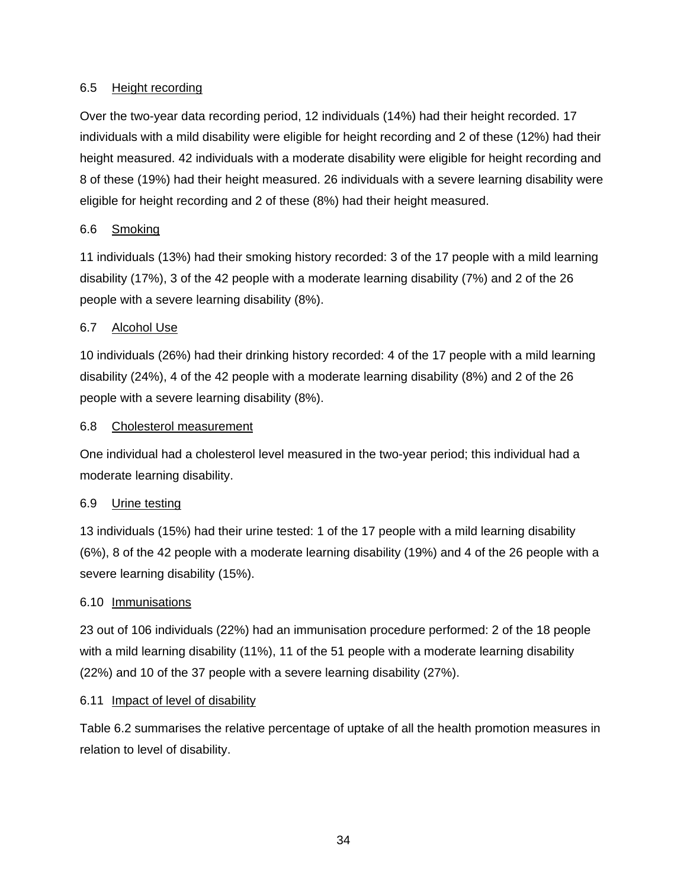# 6.5 Height recording

Over the two-year data recording period, 12 individuals (14%) had their height recorded. 17 individuals with a mild disability were eligible for height recording and 2 of these (12%) had their height measured. 42 individuals with a moderate disability were eligible for height recording and 8 of these (19%) had their height measured. 26 individuals with a severe learning disability were eligible for height recording and 2 of these (8%) had their height measured.

# 6.6 Smoking

11 individuals (13%) had their smoking history recorded: 3 of the 17 people with a mild learning disability (17%), 3 of the 42 people with a moderate learning disability (7%) and 2 of the 26 people with a severe learning disability (8%).

# 6.7 Alcohol Use

10 individuals (26%) had their drinking history recorded: 4 of the 17 people with a mild learning disability (24%), 4 of the 42 people with a moderate learning disability (8%) and 2 of the 26 people with a severe learning disability (8%).

## 6.8 Cholesterol measurement

One individual had a cholesterol level measured in the two-year period; this individual had a moderate learning disability.

## 6.9 Urine testing

13 individuals (15%) had their urine tested: 1 of the 17 people with a mild learning disability (6%), 8 of the 42 people with a moderate learning disability (19%) and 4 of the 26 people with a severe learning disability (15%).

## 6.10 Immunisations

23 out of 106 individuals (22%) had an immunisation procedure performed: 2 of the 18 people with a mild learning disability (11%), 11 of the 51 people with a moderate learning disability (22%) and 10 of the 37 people with a severe learning disability (27%).

## 6.11 Impact of level of disability

Table 6.2 summarises the relative percentage of uptake of all the health promotion measures in relation to level of disability.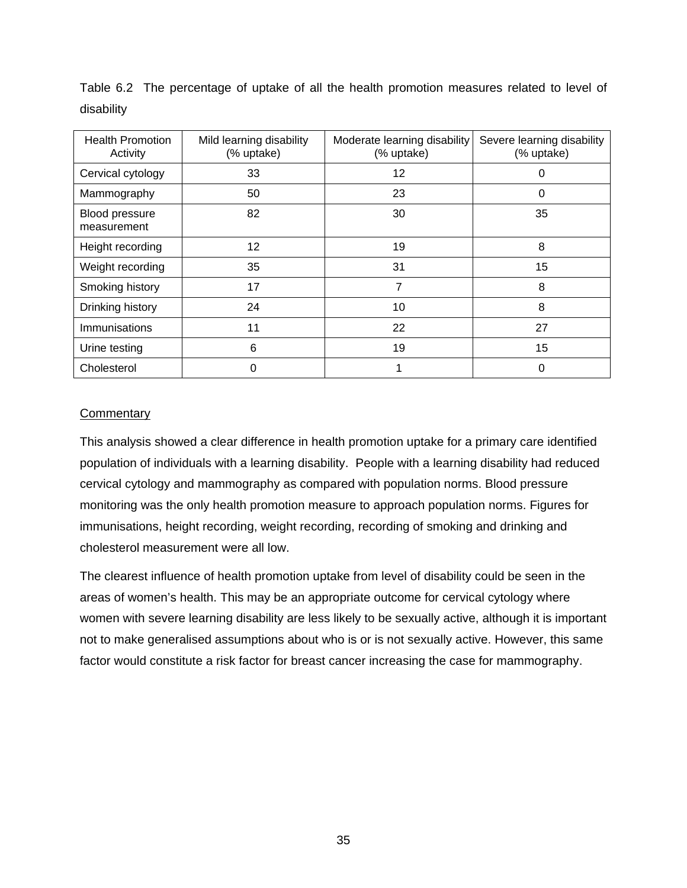| <b>Health Promotion</b><br>Activity | Mild learning disability<br>(% uptake) | Moderate learning disability<br>(% uptake) | Severe learning disability<br>(% uptake) |  |
|-------------------------------------|----------------------------------------|--------------------------------------------|------------------------------------------|--|
| Cervical cytology                   | 33                                     | 12                                         |                                          |  |
| Mammography                         | 50                                     | 23                                         | 0                                        |  |
| Blood pressure<br>measurement       | 82                                     | 30                                         | 35                                       |  |
| Height recording                    | 12                                     | 19                                         | 8                                        |  |
| Weight recording                    | 35                                     | 31                                         | 15                                       |  |
| Smoking history                     | 17                                     | 7                                          | 8                                        |  |
| Drinking history                    | 24                                     | 10                                         | 8                                        |  |
| Immunisations                       | 11                                     | 22                                         | 27                                       |  |
| Urine testing                       | 6                                      | 19                                         | 15                                       |  |
| Cholesterol                         | 0                                      |                                            | 0                                        |  |

Table 6.2 The percentage of uptake of all the health promotion measures related to level of disability

### **Commentary**

This analysis showed a clear difference in health promotion uptake for a primary care identified population of individuals with a learning disability. People with a learning disability had reduced cervical cytology and mammography as compared with population norms. Blood pressure monitoring was the only health promotion measure to approach population norms. Figures for immunisations, height recording, weight recording, recording of smoking and drinking and cholesterol measurement were all low.

The clearest influence of health promotion uptake from level of disability could be seen in the areas of women's health. This may be an appropriate outcome for cervical cytology where women with severe learning disability are less likely to be sexually active, although it is important not to make generalised assumptions about who is or is not sexually active. However, this same factor would constitute a risk factor for breast cancer increasing the case for mammography.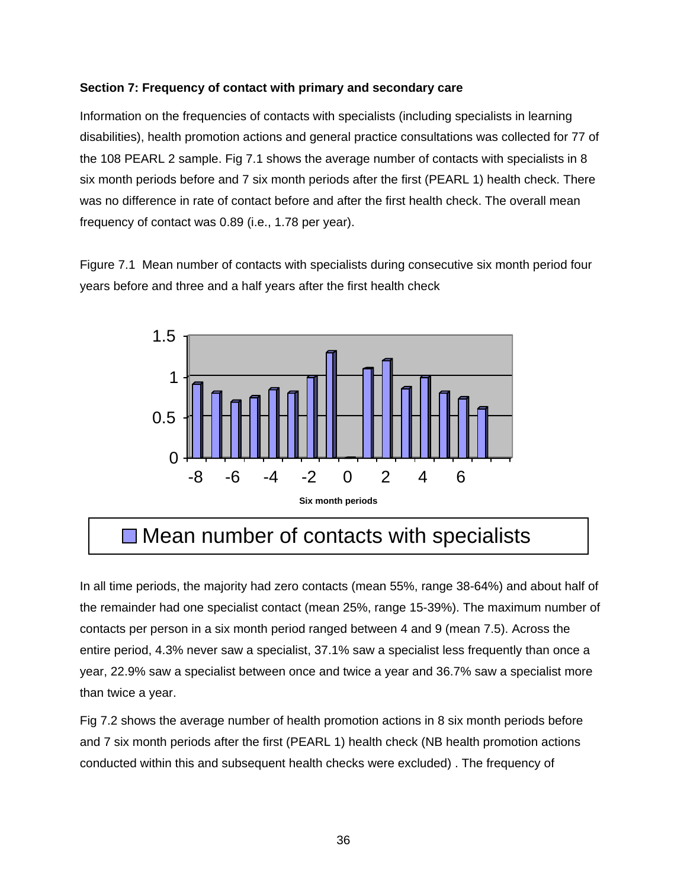### **Section 7: Frequency of contact with primary and secondary care**

Information on the frequencies of contacts with specialists (including specialists in learning disabilities), health promotion actions and general practice consultations was collected for 77 of the 108 PEARL 2 sample. Fig 7.1 shows the average number of contacts with specialists in 8 six month periods before and 7 six month periods after the first (PEARL 1) health check. There was no difference in rate of contact before and after the first health check. The overall mean frequency of contact was 0.89 (i.e., 1.78 per year).

Figure 7.1 Mean number of contacts with specialists during consecutive six month period four years before and three and a half years after the first health check



# **□ Mean number of contacts with specialists**

In all time periods, the majority had zero contacts (mean 55%, range 38-64%) and about half of the remainder had one specialist contact (mean 25%, range 15-39%). The maximum number of contacts per person in a six month period ranged between 4 and 9 (mean 7.5). Across the entire period, 4.3% never saw a specialist, 37.1% saw a specialist less frequently than once a year, 22.9% saw a specialist between once and twice a year and 36.7% saw a specialist more than twice a year.

Fig 7.2 shows the average number of health promotion actions in 8 six month periods before and 7 six month periods after the first (PEARL 1) health check (NB health promotion actions conducted within this and subsequent health checks were excluded) . The frequency of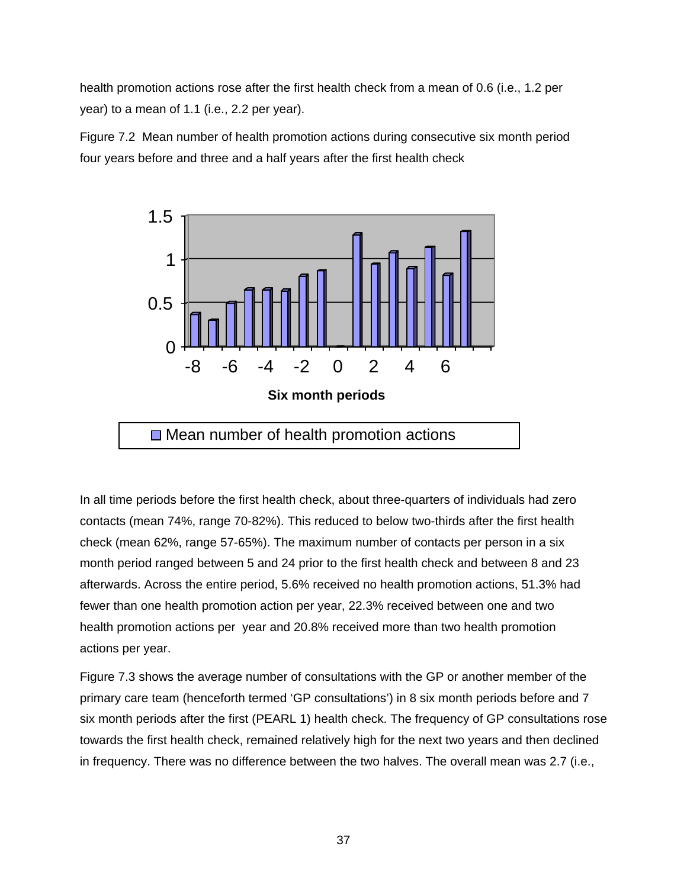health promotion actions rose after the first health check from a mean of 0.6 (i.e., 1.2 per year) to a mean of 1.1 (i.e., 2.2 per year).

Figure 7.2 Mean number of health promotion actions during consecutive six month period four years before and three and a half years after the first health check



In all time periods before the first health check, about three-quarters of individuals had zero contacts (mean 74%, range 70-82%). This reduced to below two-thirds after the first health check (mean 62%, range 57-65%). The maximum number of contacts per person in a six month period ranged between 5 and 24 prior to the first health check and between 8 and 23 afterwards. Across the entire period, 5.6% received no health promotion actions, 51.3% had fewer than one health promotion action per year, 22.3% received between one and two health promotion actions per year and 20.8% received more than two health promotion actions per year.

Figure 7.3 shows the average number of consultations with the GP or another member of the primary care team (henceforth termed 'GP consultations') in 8 six month periods before and 7 six month periods after the first (PEARL 1) health check. The frequency of GP consultations rose towards the first health check, remained relatively high for the next two years and then declined in frequency. There was no difference between the two halves. The overall mean was 2.7 (i.e.,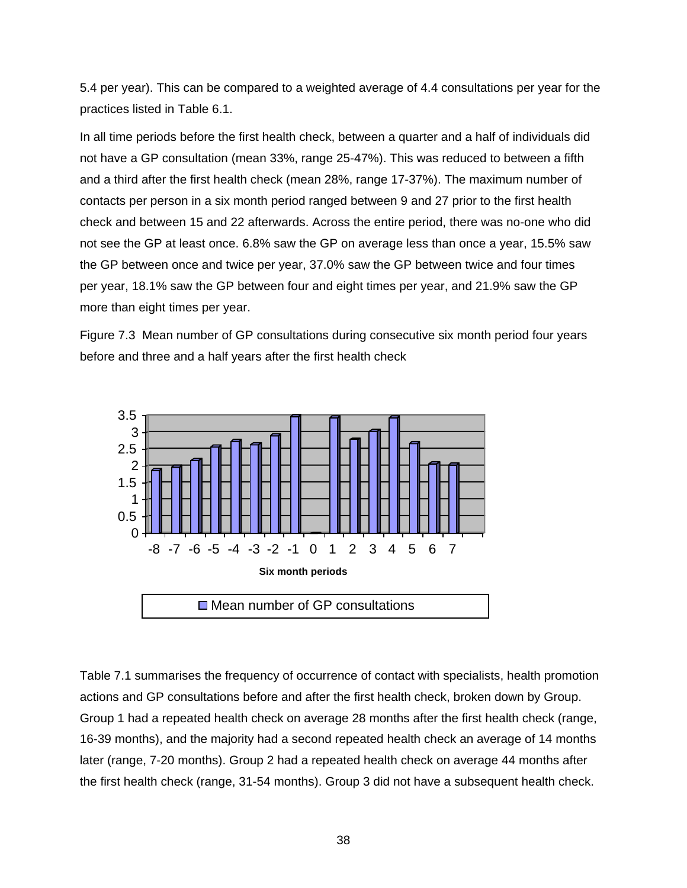5.4 per year). This can be compared to a weighted average of 4.4 consultations per year for the practices listed in Table 6.1.

In all time periods before the first health check, between a quarter and a half of individuals did not have a GP consultation (mean 33%, range 25-47%). This was reduced to between a fifth and a third after the first health check (mean 28%, range 17-37%). The maximum number of contacts per person in a six month period ranged between 9 and 27 prior to the first health check and between 15 and 22 afterwards. Across the entire period, there was no-one who did not see the GP at least once. 6.8% saw the GP on average less than once a year, 15.5% saw the GP between once and twice per year, 37.0% saw the GP between twice and four times per year, 18.1% saw the GP between four and eight times per year, and 21.9% saw the GP more than eight times per year.

Figure 7.3 Mean number of GP consultations during consecutive six month period four years before and three and a half years after the first health check



Table 7.1 summarises the frequency of occurrence of contact with specialists, health promotion actions and GP consultations before and after the first health check, broken down by Group. Group 1 had a repeated health check on average 28 months after the first health check (range, 16-39 months), and the majority had a second repeated health check an average of 14 months later (range, 7-20 months). Group 2 had a repeated health check on average 44 months after the first health check (range, 31-54 months). Group 3 did not have a subsequent health check.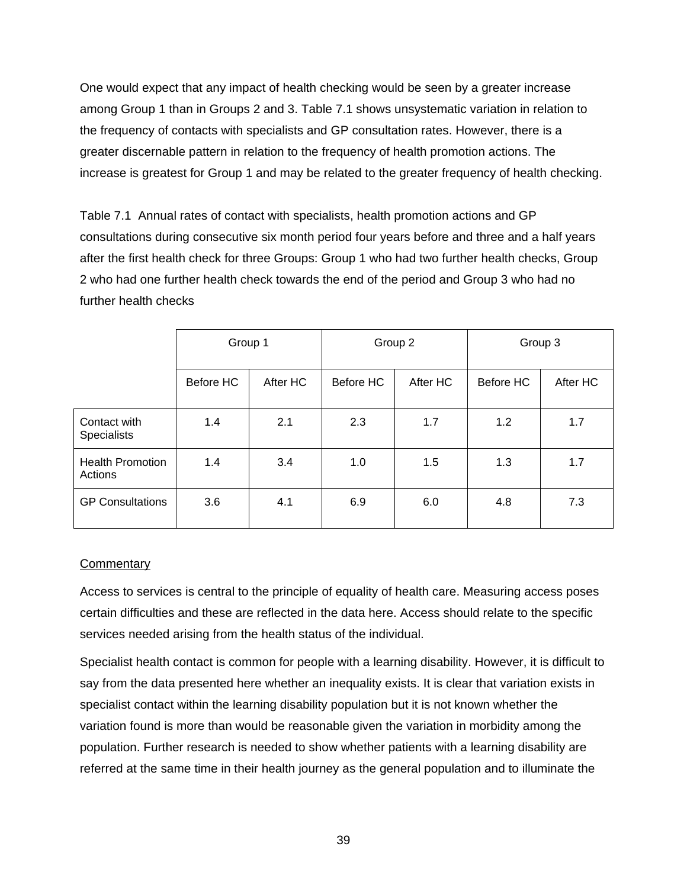One would expect that any impact of health checking would be seen by a greater increase among Group 1 than in Groups 2 and 3. Table 7.1 shows unsystematic variation in relation to the frequency of contacts with specialists and GP consultation rates. However, there is a greater discernable pattern in relation to the frequency of health promotion actions. The increase is greatest for Group 1 and may be related to the greater frequency of health checking.

Table 7.1 Annual rates of contact with specialists, health promotion actions and GP consultations during consecutive six month period four years before and three and a half years after the first health check for three Groups: Group 1 who had two further health checks, Group 2 who had one further health check towards the end of the period and Group 3 who had no further health checks

|                                    | Group 1   |          | Group 2   |          | Group 3          |          |
|------------------------------------|-----------|----------|-----------|----------|------------------|----------|
|                                    | Before HC | After HC | Before HC | After HC | <b>Before HC</b> | After HC |
| Contact with<br><b>Specialists</b> | 1.4       | 2.1      | 2.3       | 1.7      | 1.2              | 1.7      |
| <b>Health Promotion</b><br>Actions | 1.4       | 3.4      | 1.0       | 1.5      | 1.3              | 1.7      |
| <b>GP Consultations</b>            | 3.6       | 4.1      | 6.9       | 6.0      | 4.8              | 7.3      |

### **Commentary**

Access to services is central to the principle of equality of health care. Measuring access poses certain difficulties and these are reflected in the data here. Access should relate to the specific services needed arising from the health status of the individual.

Specialist health contact is common for people with a learning disability. However, it is difficult to say from the data presented here whether an inequality exists. It is clear that variation exists in specialist contact within the learning disability population but it is not known whether the variation found is more than would be reasonable given the variation in morbidity among the population. Further research is needed to show whether patients with a learning disability are referred at the same time in their health journey as the general population and to illuminate the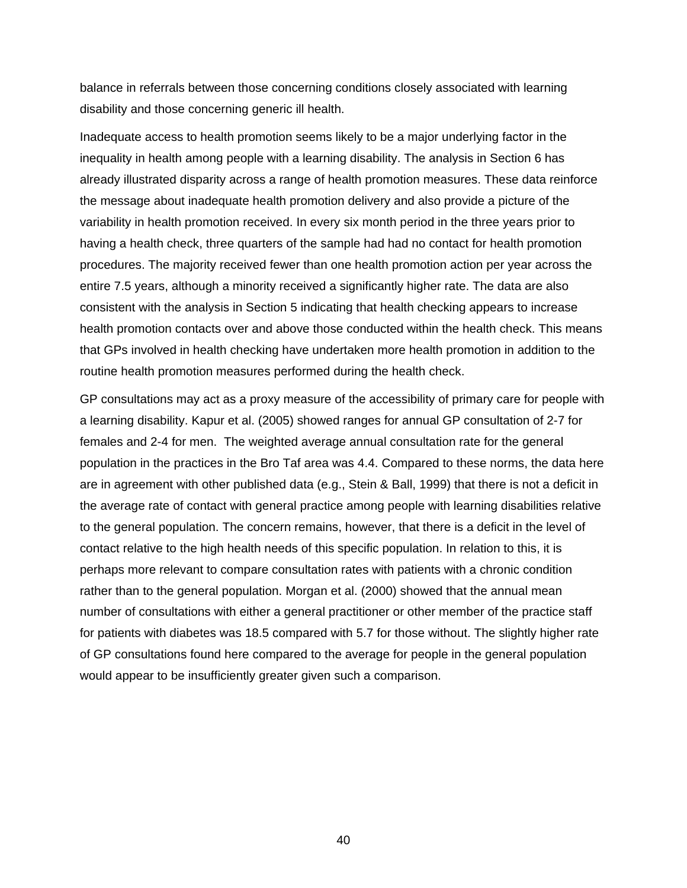balance in referrals between those concerning conditions closely associated with learning disability and those concerning generic ill health.

Inadequate access to health promotion seems likely to be a major underlying factor in the inequality in health among people with a learning disability. The analysis in Section 6 has already illustrated disparity across a range of health promotion measures. These data reinforce the message about inadequate health promotion delivery and also provide a picture of the variability in health promotion received. In every six month period in the three years prior to having a health check, three quarters of the sample had had no contact for health promotion procedures. The majority received fewer than one health promotion action per year across the entire 7.5 years, although a minority received a significantly higher rate. The data are also consistent with the analysis in Section 5 indicating that health checking appears to increase health promotion contacts over and above those conducted within the health check. This means that GPs involved in health checking have undertaken more health promotion in addition to the routine health promotion measures performed during the health check.

GP consultations may act as a proxy measure of the accessibility of primary care for people with a learning disability. Kapur et al. (2005) showed ranges for annual GP consultation of 2-7 for females and 2-4 for men. The weighted average annual consultation rate for the general population in the practices in the Bro Taf area was 4.4. Compared to these norms, the data here are in agreement with other published data (e.g., Stein & Ball, 1999) that there is not a deficit in the average rate of contact with general practice among people with learning disabilities relative to the general population. The concern remains, however, that there is a deficit in the level of contact relative to the high health needs of this specific population. In relation to this, it is perhaps more relevant to compare consultation rates with patients with a chronic condition rather than to the general population. Morgan et al. (2000) showed that the annual mean number of consultations with either a general practitioner or other member of the practice staff for patients with diabetes was 18.5 compared with 5.7 for those without. The slightly higher rate of GP consultations found here compared to the average for people in the general population would appear to be insufficiently greater given such a comparison.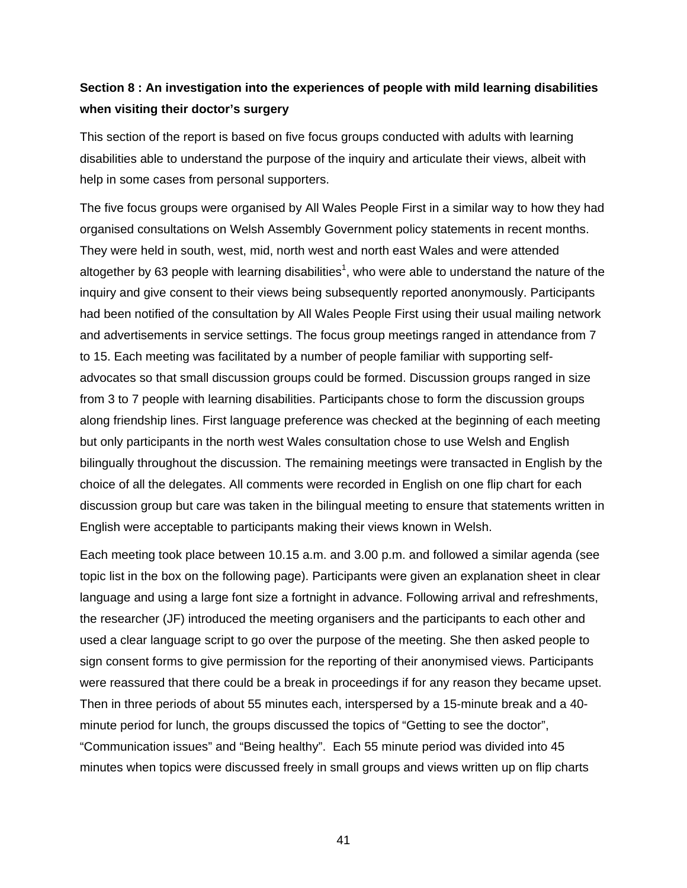# **Section 8 : An investigation into the experiences of people with mild learning disabilities when visiting their doctor's surgery**

This section of the report is based on five focus groups conducted with adults with learning disabilities able to understand the purpose of the inquiry and articulate their views, albeit with help in some cases from personal supporters.

The five focus groups were organised by All Wales People First in a similar way to how they had organised consultations on Welsh Assembly Government policy statements in recent months. They were held in south, west, mid, north west and north east Wales and were attended altogether by 63 people with learning disabilities<sup>1</sup>, who were able to understand the nature of the inquiry and give consent to their views being subsequently reported anonymously. Participants had been notified of the consultation by All Wales People First using their usual mailing network and advertisements in service settings. The focus group meetings ranged in attendance from 7 to 15. Each meeting was facilitated by a number of people familiar with supporting selfadvocates so that small discussion groups could be formed. Discussion groups ranged in size from 3 to 7 people with learning disabilities. Participants chose to form the discussion groups along friendship lines. First language preference was checked at the beginning of each meeting but only participants in the north west Wales consultation chose to use Welsh and English bilingually throughout the discussion. The remaining meetings were transacted in English by the choice of all the delegates. All comments were recorded in English on one flip chart for each discussion group but care was taken in the bilingual meeting to ensure that statements written in English were acceptable to participants making their views known in Welsh.

Each meeting took place between 10.15 a.m. and 3.00 p.m. and followed a similar agenda (see topic list in the box on the following page). Participants were given an explanation sheet in clear language and using a large font size a fortnight in advance. Following arrival and refreshments, the researcher (JF) introduced the meeting organisers and the participants to each other and used a clear language script to go over the purpose of the meeting. She then asked people to sign consent forms to give permission for the reporting of their anonymised views. Participants were reassured that there could be a break in proceedings if for any reason they became upset. Then in three periods of about 55 minutes each, interspersed by a 15-minute break and a 40 minute period for lunch, the groups discussed the topics of "Getting to see the doctor", "Communication issues" and "Being healthy". Each 55 minute period was divided into 45 minutes when topics were discussed freely in small groups and views written up on flip charts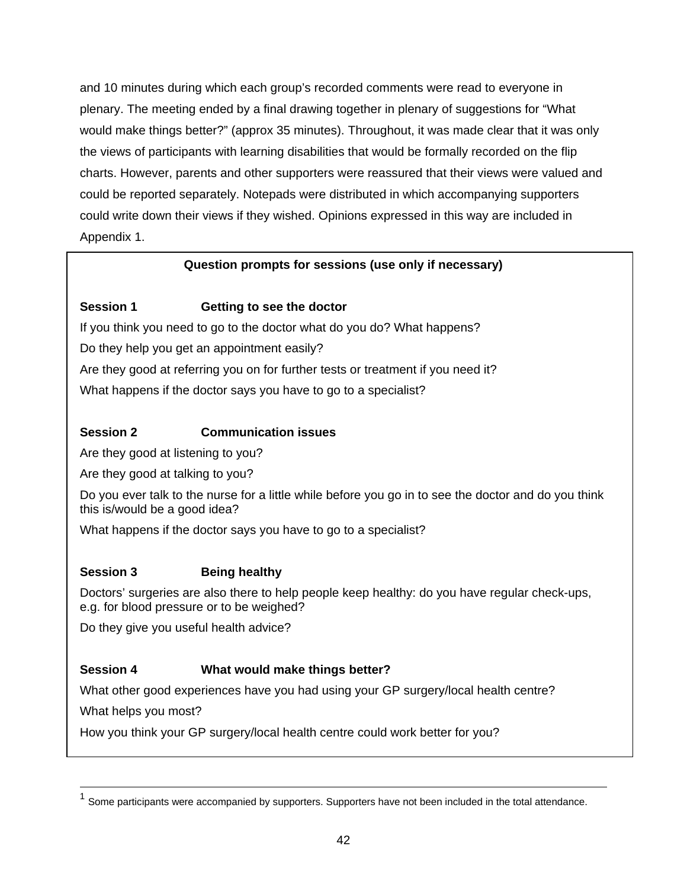and 10 minutes during which each group's recorded comments were read to everyone in plenary. The meeting ended by a final drawing together in plenary of suggestions for "What would make things better?" (approx 35 minutes). Throughout, it was made clear that it was only the views of participants with learning disabilities that would be formally recorded on the flip charts. However, parents and other supporters were reassured that their views were valued and could be reported separately. Notepads were distributed in which accompanying supporters could write down their views if they wished. Opinions expressed in this way are included in Appendix 1.

### **Question prompts for sessions (use only if necessary)**

### **Session 1 Getting to see the doctor**

If you think you need to go to the doctor what do you do? What happens? Do they help you get an appointment easily? Are they good at referring you on for further tests or treatment if you need it? What happens if the doctor says you have to go to a specialist?

### **Session 2 Communication issues**

Are they good at listening to you?

Are they good at talking to you?

Do you ever talk to the nurse for a little while before you go in to see the doctor and do you think this is/would be a good idea?

What happens if the doctor says you have to go to a specialist?

### **Session 3** Being healthy

Doctors' surgeries are also there to help people keep healthy: do you have regular check-ups, e.g. for blood pressure or to be weighed?

Do they give you useful health advice?

### **Session 4 What would make things better?**

What other good experiences have you had using your GP surgery/local health centre?

What helps you most?

How you think your GP surgery/local health centre could work better for you?

Some participants were accompanied by supporters. Supporters have not been included in the total attendance.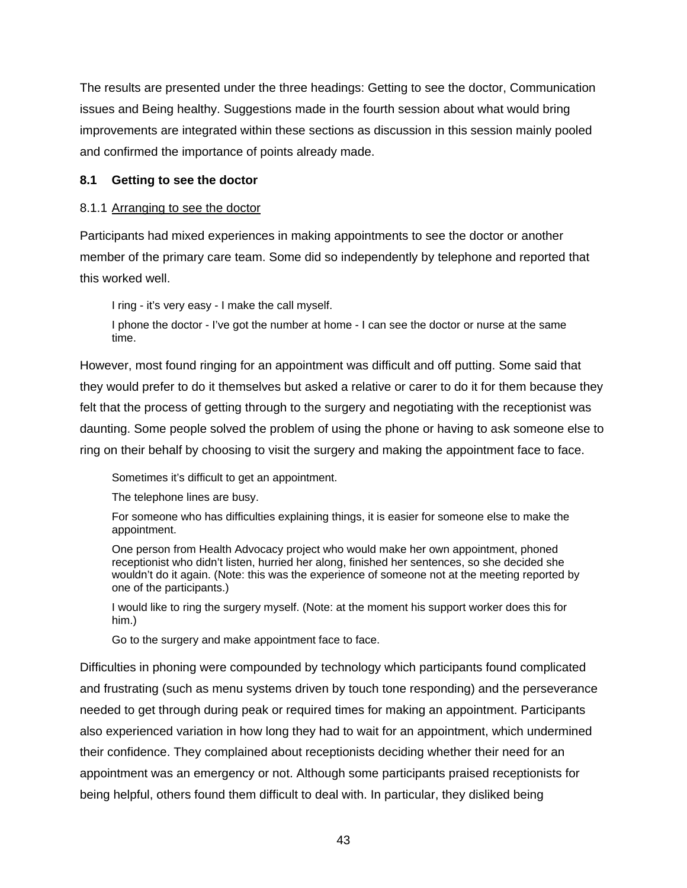The results are presented under the three headings: Getting to see the doctor, Communication issues and Being healthy. Suggestions made in the fourth session about what would bring improvements are integrated within these sections as discussion in this session mainly pooled and confirmed the importance of points already made.

### **8.1 Getting to see the doctor**

### 8.1.1 Arranging to see the doctor

Participants had mixed experiences in making appointments to see the doctor or another member of the primary care team. Some did so independently by telephone and reported that this worked well.

I ring - it's very easy - I make the call myself.

I phone the doctor - I've got the number at home - I can see the doctor or nurse at the same time.

However, most found ringing for an appointment was difficult and off putting. Some said that they would prefer to do it themselves but asked a relative or carer to do it for them because they felt that the process of getting through to the surgery and negotiating with the receptionist was daunting. Some people solved the problem of using the phone or having to ask someone else to ring on their behalf by choosing to visit the surgery and making the appointment face to face.

Sometimes it's difficult to get an appointment.

The telephone lines are busy.

For someone who has difficulties explaining things, it is easier for someone else to make the appointment.

One person from Health Advocacy project who would make her own appointment, phoned receptionist who didn't listen, hurried her along, finished her sentences, so she decided she wouldn't do it again. (Note: this was the experience of someone not at the meeting reported by one of the participants.)

I would like to ring the surgery myself. (Note: at the moment his support worker does this for him.)

Go to the surgery and make appointment face to face.

Difficulties in phoning were compounded by technology which participants found complicated and frustrating (such as menu systems driven by touch tone responding) and the perseverance needed to get through during peak or required times for making an appointment. Participants also experienced variation in how long they had to wait for an appointment, which undermined their confidence. They complained about receptionists deciding whether their need for an appointment was an emergency or not. Although some participants praised receptionists for being helpful, others found them difficult to deal with. In particular, they disliked being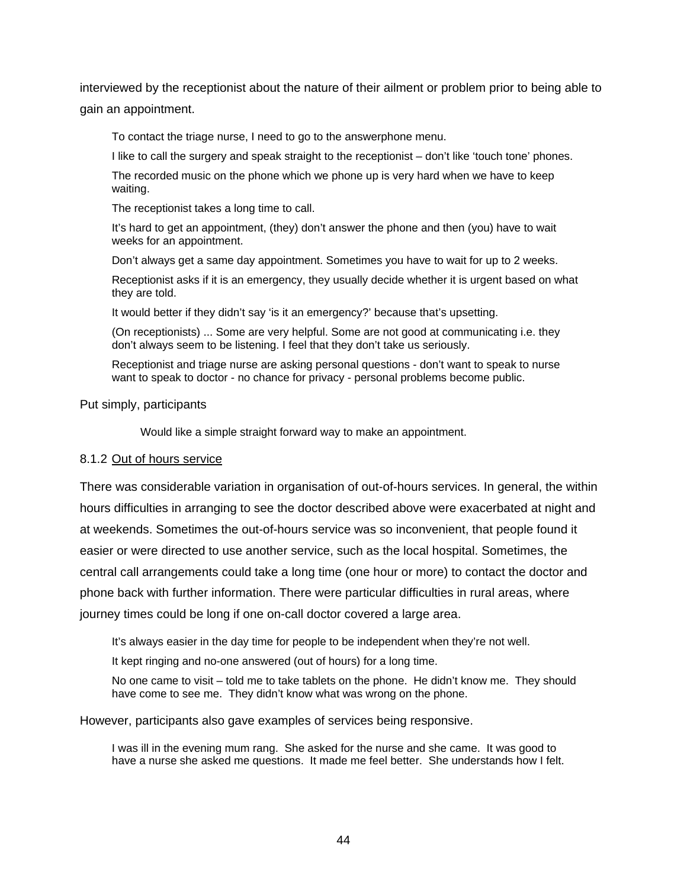interviewed by the receptionist about the nature of their ailment or problem prior to being able to gain an appointment.

To contact the triage nurse, I need to go to the answerphone menu.

I like to call the surgery and speak straight to the receptionist – don't like 'touch tone' phones.

The recorded music on the phone which we phone up is very hard when we have to keep waiting.

The receptionist takes a long time to call.

It's hard to get an appointment, (they) don't answer the phone and then (you) have to wait weeks for an appointment.

Don't always get a same day appointment. Sometimes you have to wait for up to 2 weeks.

Receptionist asks if it is an emergency, they usually decide whether it is urgent based on what they are told.

It would better if they didn't say 'is it an emergency?' because that's upsetting.

(On receptionists) ... Some are very helpful. Some are not good at communicating i.e. they don't always seem to be listening. I feel that they don't take us seriously.

Receptionist and triage nurse are asking personal questions - don't want to speak to nurse want to speak to doctor - no chance for privacy - personal problems become public.

Put simply, participants

Would like a simple straight forward way to make an appointment.

#### 8.1.2 Out of hours service

There was considerable variation in organisation of out-of-hours services. In general, the within hours difficulties in arranging to see the doctor described above were exacerbated at night and at weekends. Sometimes the out-of-hours service was so inconvenient, that people found it easier or were directed to use another service, such as the local hospital. Sometimes, the central call arrangements could take a long time (one hour or more) to contact the doctor and phone back with further information. There were particular difficulties in rural areas, where journey times could be long if one on-call doctor covered a large area.

It's always easier in the day time for people to be independent when they're not well.

It kept ringing and no-one answered (out of hours) for a long time.

No one came to visit – told me to take tablets on the phone. He didn't know me. They should have come to see me. They didn't know what was wrong on the phone.

However, participants also gave examples of services being responsive.

I was ill in the evening mum rang. She asked for the nurse and she came. It was good to have a nurse she asked me questions. It made me feel better. She understands how I felt.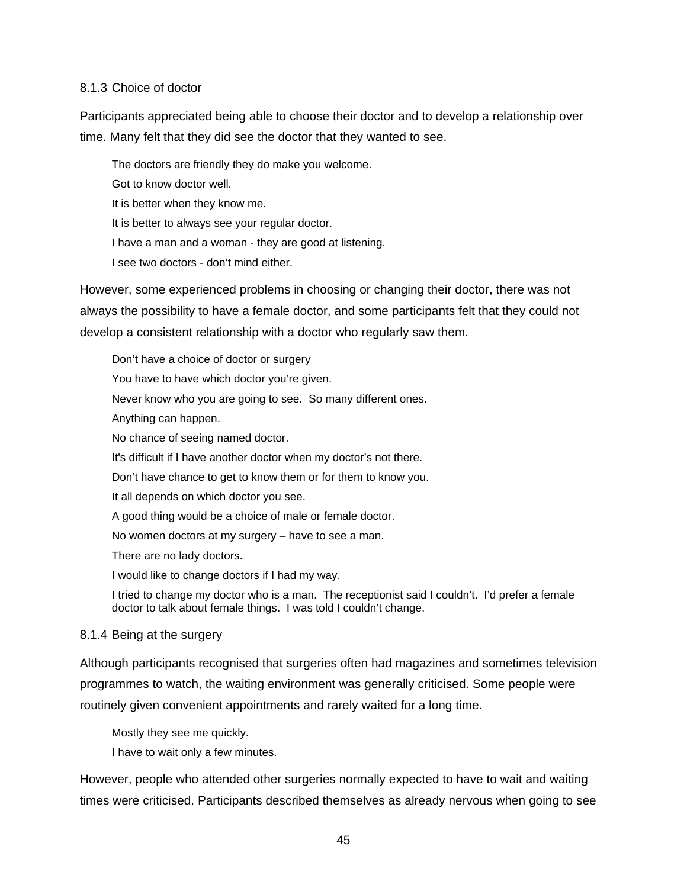#### 8.1.3 Choice of doctor

Participants appreciated being able to choose their doctor and to develop a relationship over time. Many felt that they did see the doctor that they wanted to see.

The doctors are friendly they do make you welcome. Got to know doctor well.

It is better when they know me.

It is better to always see your regular doctor.

I have a man and a woman - they are good at listening.

I see two doctors - don't mind either.

However, some experienced problems in choosing or changing their doctor, there was not always the possibility to have a female doctor, and some participants felt that they could not develop a consistent relationship with a doctor who regularly saw them.

Don't have a choice of doctor or surgery You have to have which doctor you're given. Never know who you are going to see. So many different ones. Anything can happen. No chance of seeing named doctor. It's difficult if I have another doctor when my doctor's not there. Don't have chance to get to know them or for them to know you. It all depends on which doctor you see. A good thing would be a choice of male or female doctor. No women doctors at my surgery – have to see a man. There are no lady doctors. I would like to change doctors if I had my way. I tried to change my doctor who is a man. The receptionist said I couldn't. I'd prefer a female doctor to talk about female things. I was told I couldn't change.

#### 8.1.4 Being at the surgery

Although participants recognised that surgeries often had magazines and sometimes television programmes to watch, the waiting environment was generally criticised. Some people were routinely given convenient appointments and rarely waited for a long time.

Mostly they see me quickly.

I have to wait only a few minutes.

However, people who attended other surgeries normally expected to have to wait and waiting times were criticised. Participants described themselves as already nervous when going to see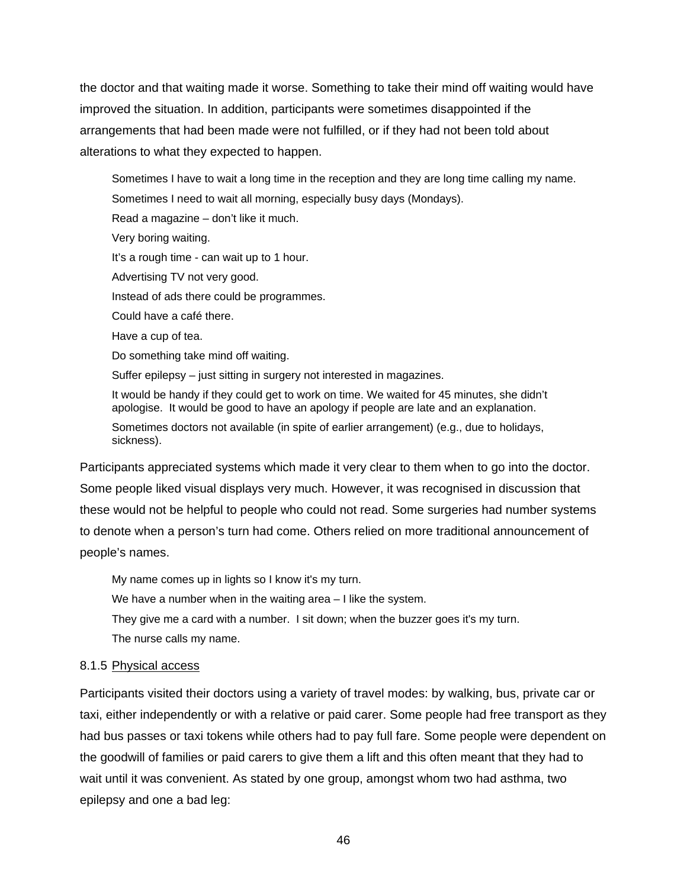the doctor and that waiting made it worse. Something to take their mind off waiting would have improved the situation. In addition, participants were sometimes disappointed if the arrangements that had been made were not fulfilled, or if they had not been told about alterations to what they expected to happen.

Sometimes I have to wait a long time in the reception and they are long time calling my name. Sometimes I need to wait all morning, especially busy days (Mondays). Read a magazine – don't like it much. Very boring waiting. It's a rough time - can wait up to 1 hour. Advertising TV not very good. Instead of ads there could be programmes. Could have a café there. Have a cup of tea. Do something take mind off waiting. Suffer epilepsy – just sitting in surgery not interested in magazines. It would be handy if they could get to work on time. We waited for 45 minutes, she didn't apologise. It would be good to have an apology if people are late and an explanation. Sometimes doctors not available (in spite of earlier arrangement) (e.g., due to holidays, sickness).

Participants appreciated systems which made it very clear to them when to go into the doctor. Some people liked visual displays very much. However, it was recognised in discussion that these would not be helpful to people who could not read. Some surgeries had number systems to denote when a person's turn had come. Others relied on more traditional announcement of people's names.

My name comes up in lights so I know it's my turn. We have a number when in the waiting area – I like the system. They give me a card with a number. I sit down; when the buzzer goes it's my turn. The nurse calls my name.

#### 8.1.5 Physical access

Participants visited their doctors using a variety of travel modes: by walking, bus, private car or taxi, either independently or with a relative or paid carer. Some people had free transport as they had bus passes or taxi tokens while others had to pay full fare. Some people were dependent on the goodwill of families or paid carers to give them a lift and this often meant that they had to wait until it was convenient. As stated by one group, amongst whom two had asthma, two epilepsy and one a bad leg: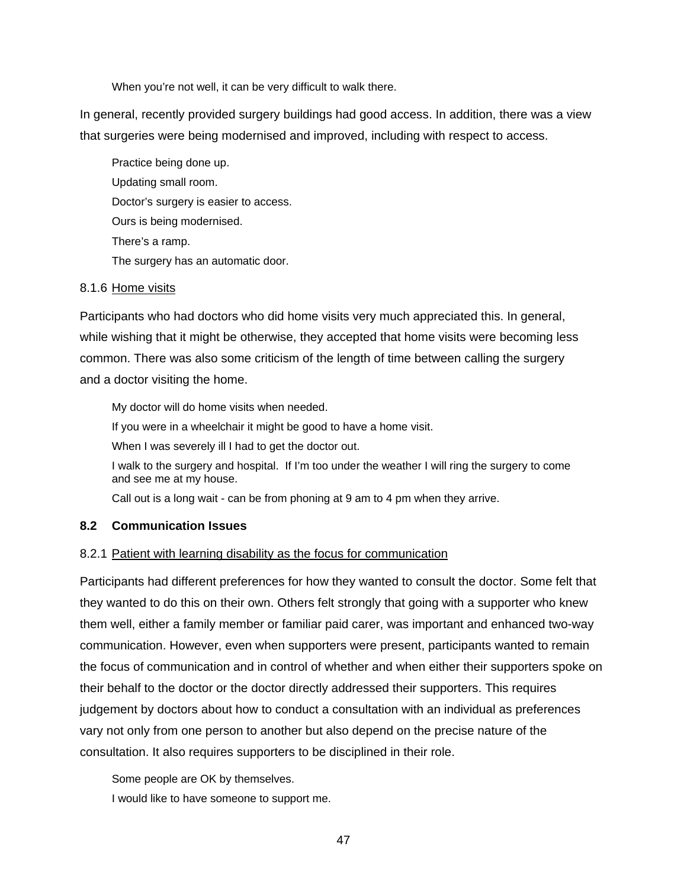When you're not well, it can be very difficult to walk there.

In general, recently provided surgery buildings had good access. In addition, there was a view that surgeries were being modernised and improved, including with respect to access.

Practice being done up. Updating small room. Doctor's surgery is easier to access. Ours is being modernised. There's a ramp. The surgery has an automatic door.

#### 8.1.6 Home visits

Participants who had doctors who did home visits very much appreciated this. In general, while wishing that it might be otherwise, they accepted that home visits were becoming less common. There was also some criticism of the length of time between calling the surgery and a doctor visiting the home.

My doctor will do home visits when needed.

If you were in a wheelchair it might be good to have a home visit.

When I was severely ill I had to get the doctor out.

I walk to the surgery and hospital. If I'm too under the weather I will ring the surgery to come and see me at my house.

Call out is a long wait - can be from phoning at 9 am to 4 pm when they arrive.

#### **8.2 Communication Issues**

#### 8.2.1 Patient with learning disability as the focus for communication

Participants had different preferences for how they wanted to consult the doctor. Some felt that they wanted to do this on their own. Others felt strongly that going with a supporter who knew them well, either a family member or familiar paid carer, was important and enhanced two-way communication. However, even when supporters were present, participants wanted to remain the focus of communication and in control of whether and when either their supporters spoke on their behalf to the doctor or the doctor directly addressed their supporters. This requires judgement by doctors about how to conduct a consultation with an individual as preferences vary not only from one person to another but also depend on the precise nature of the consultation. It also requires supporters to be disciplined in their role.

Some people are OK by themselves. I would like to have someone to support me.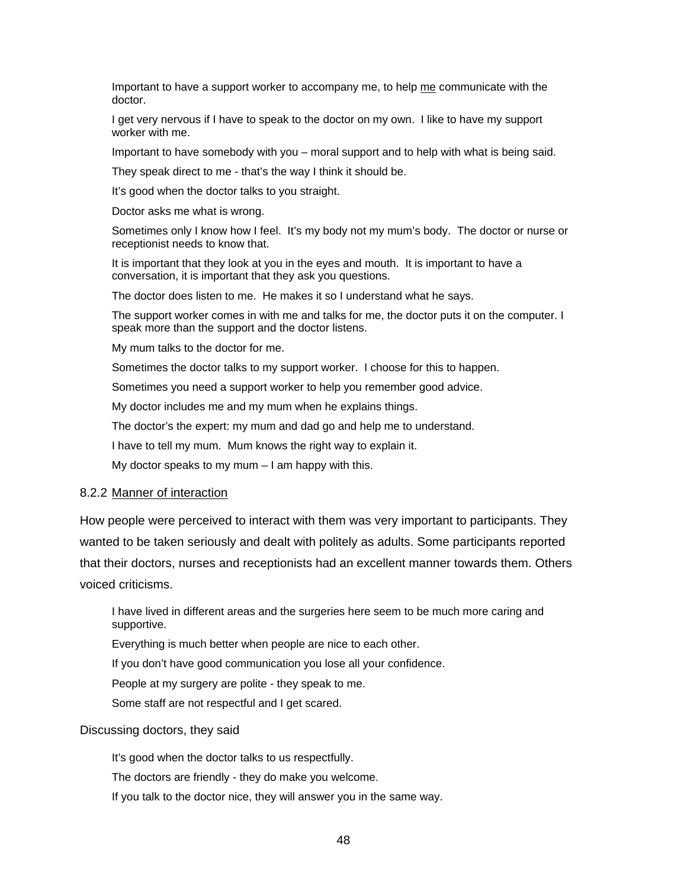Important to have a support worker to accompany me, to help me communicate with the doctor.

I get very nervous if I have to speak to the doctor on my own. I like to have my support worker with me.

Important to have somebody with you – moral support and to help with what is being said.

They speak direct to me - that's the way I think it should be.

It's good when the doctor talks to you straight.

Doctor asks me what is wrong.

Sometimes only I know how I feel. It's my body not my mum's body. The doctor or nurse or receptionist needs to know that.

It is important that they look at you in the eyes and mouth. It is important to have a conversation, it is important that they ask you questions.

The doctor does listen to me. He makes it so I understand what he says.

The support worker comes in with me and talks for me, the doctor puts it on the computer. I speak more than the support and the doctor listens.

My mum talks to the doctor for me.

Sometimes the doctor talks to my support worker. I choose for this to happen.

Sometimes you need a support worker to help you remember good advice.

My doctor includes me and my mum when he explains things.

The doctor's the expert: my mum and dad go and help me to understand.

I have to tell my mum. Mum knows the right way to explain it.

My doctor speaks to my mum  $-1$  am happy with this.

#### 8.2.2 Manner of interaction

How people were perceived to interact with them was very important to participants. They wanted to be taken seriously and dealt with politely as adults. Some participants reported that their doctors, nurses and receptionists had an excellent manner towards them. Others voiced criticisms.

I have lived in different areas and the surgeries here seem to be much more caring and supportive.

Everything is much better when people are nice to each other.

If you don't have good communication you lose all your confidence.

People at my surgery are polite - they speak to me.

Some staff are not respectful and I get scared.

#### Discussing doctors, they said

It's good when the doctor talks to us respectfully.

The doctors are friendly - they do make you welcome.

If you talk to the doctor nice, they will answer you in the same way.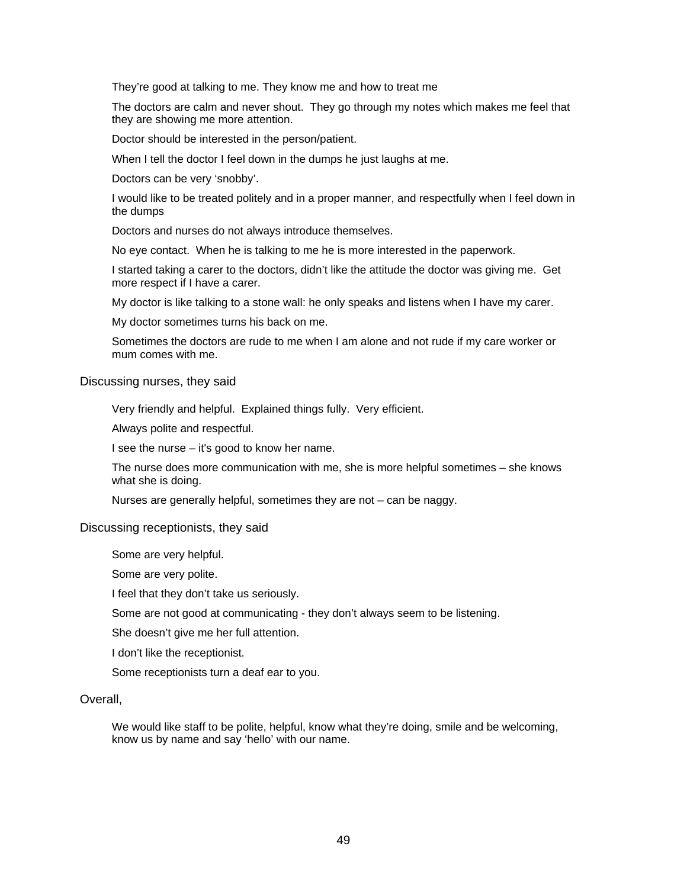They're good at talking to me. They know me and how to treat me

The doctors are calm and never shout. They go through my notes which makes me feel that they are showing me more attention.

Doctor should be interested in the person/patient.

When I tell the doctor I feel down in the dumps he just laughs at me.

Doctors can be very 'snobby'.

I would like to be treated politely and in a proper manner, and respectfully when I feel down in the dumps

Doctors and nurses do not always introduce themselves.

No eye contact. When he is talking to me he is more interested in the paperwork.

I started taking a carer to the doctors, didn't like the attitude the doctor was giving me. Get more respect if I have a carer.

My doctor is like talking to a stone wall: he only speaks and listens when I have my carer.

My doctor sometimes turns his back on me.

Sometimes the doctors are rude to me when I am alone and not rude if my care worker or mum comes with me.

#### Discussing nurses, they said

Very friendly and helpful. Explained things fully. Very efficient.

Always polite and respectful.

I see the nurse – it's good to know her name.

The nurse does more communication with me, she is more helpful sometimes – she knows what she is doing.

Nurses are generally helpful, sometimes they are not – can be naggy.

#### Discussing receptionists, they said

Some are very helpful.

Some are very polite.

I feel that they don't take us seriously.

Some are not good at communicating - they don't always seem to be listening.

She doesn't give me her full attention.

I don't like the receptionist.

Some receptionists turn a deaf ear to you.

#### Overall,

We would like staff to be polite, helpful, know what they're doing, smile and be welcoming, know us by name and say 'hello' with our name.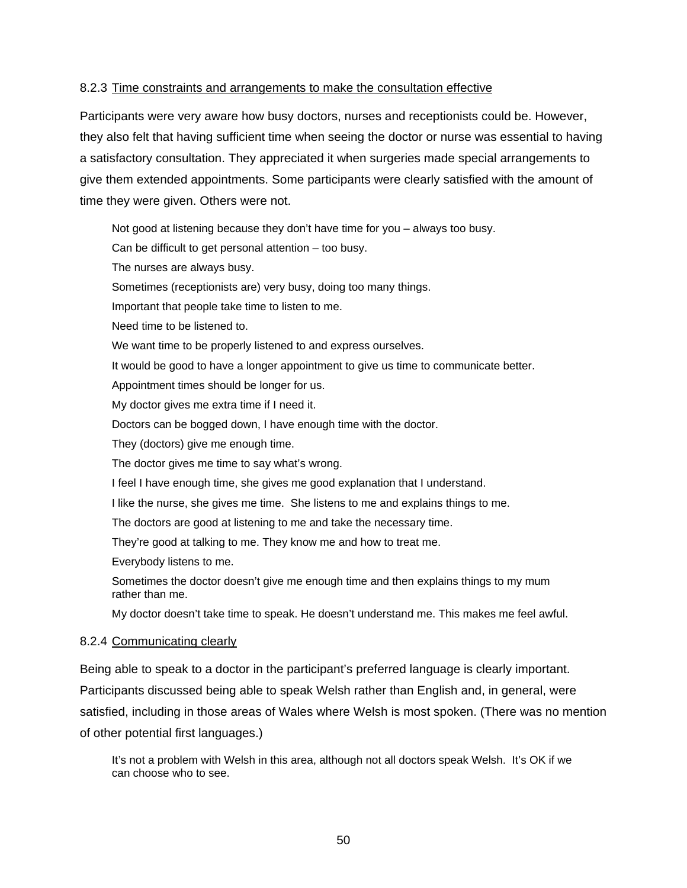### 8.2.3 Time constraints and arrangements to make the consultation effective

Participants were very aware how busy doctors, nurses and receptionists could be. However, they also felt that having sufficient time when seeing the doctor or nurse was essential to having a satisfactory consultation. They appreciated it when surgeries made special arrangements to give them extended appointments. Some participants were clearly satisfied with the amount of time they were given. Others were not.

Not good at listening because they don't have time for you – always too busy.

Can be difficult to get personal attention – too busy.

The nurses are always busy.

Sometimes (receptionists are) very busy, doing too many things.

Important that people take time to listen to me.

Need time to be listened to.

We want time to be properly listened to and express ourselves.

It would be good to have a longer appointment to give us time to communicate better.

Appointment times should be longer for us.

My doctor gives me extra time if I need it.

Doctors can be bogged down, I have enough time with the doctor.

They (doctors) give me enough time.

The doctor gives me time to say what's wrong.

I feel I have enough time, she gives me good explanation that I understand.

I like the nurse, she gives me time. She listens to me and explains things to me.

The doctors are good at listening to me and take the necessary time.

They're good at talking to me. They know me and how to treat me.

Everybody listens to me.

Sometimes the doctor doesn't give me enough time and then explains things to my mum rather than me.

My doctor doesn't take time to speak. He doesn't understand me. This makes me feel awful.

#### 8.2.4 Communicating clearly

Being able to speak to a doctor in the participant's preferred language is clearly important. Participants discussed being able to speak Welsh rather than English and, in general, were satisfied, including in those areas of Wales where Welsh is most spoken. (There was no mention of other potential first languages.)

It's not a problem with Welsh in this area, although not all doctors speak Welsh. It's OK if we can choose who to see.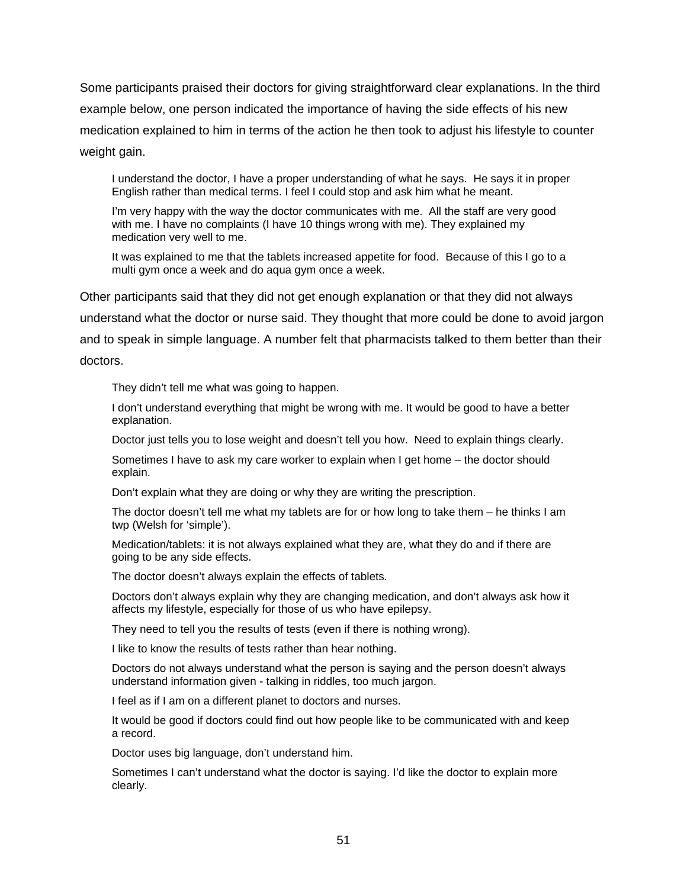Some participants praised their doctors for giving straightforward clear explanations. In the third example below, one person indicated the importance of having the side effects of his new medication explained to him in terms of the action he then took to adjust his lifestyle to counter weight gain.

I understand the doctor, I have a proper understanding of what he says. He says it in proper English rather than medical terms. I feel I could stop and ask him what he meant.

I'm very happy with the way the doctor communicates with me. All the staff are very good with me. I have no complaints (I have 10 things wrong with me). They explained my medication very well to me.

It was explained to me that the tablets increased appetite for food. Because of this I go to a multi gym once a week and do aqua gym once a week.

Other participants said that they did not get enough explanation or that they did not always understand what the doctor or nurse said. They thought that more could be done to avoid jargon and to speak in simple language. A number felt that pharmacists talked to them better than their doctors.

They didn't tell me what was going to happen.

I don't understand everything that might be wrong with me. It would be good to have a better explanation.

Doctor just tells you to lose weight and doesn't tell you how. Need to explain things clearly.

Sometimes I have to ask my care worker to explain when I get home – the doctor should explain.

Don't explain what they are doing or why they are writing the prescription.

The doctor doesn't tell me what my tablets are for or how long to take them – he thinks I am twp (Welsh for 'simple').

Medication/tablets: it is not always explained what they are, what they do and if there are going to be any side effects.

The doctor doesn't always explain the effects of tablets.

Doctors don't always explain why they are changing medication, and don't always ask how it affects my lifestyle, especially for those of us who have epilepsy.

They need to tell you the results of tests (even if there is nothing wrong).

I like to know the results of tests rather than hear nothing.

Doctors do not always understand what the person is saying and the person doesn't always understand information given - talking in riddles, too much jargon.

I feel as if I am on a different planet to doctors and nurses.

It would be good if doctors could find out how people like to be communicated with and keep a record.

Doctor uses big language, don't understand him.

Sometimes I can't understand what the doctor is saying. I'd like the doctor to explain more clearly.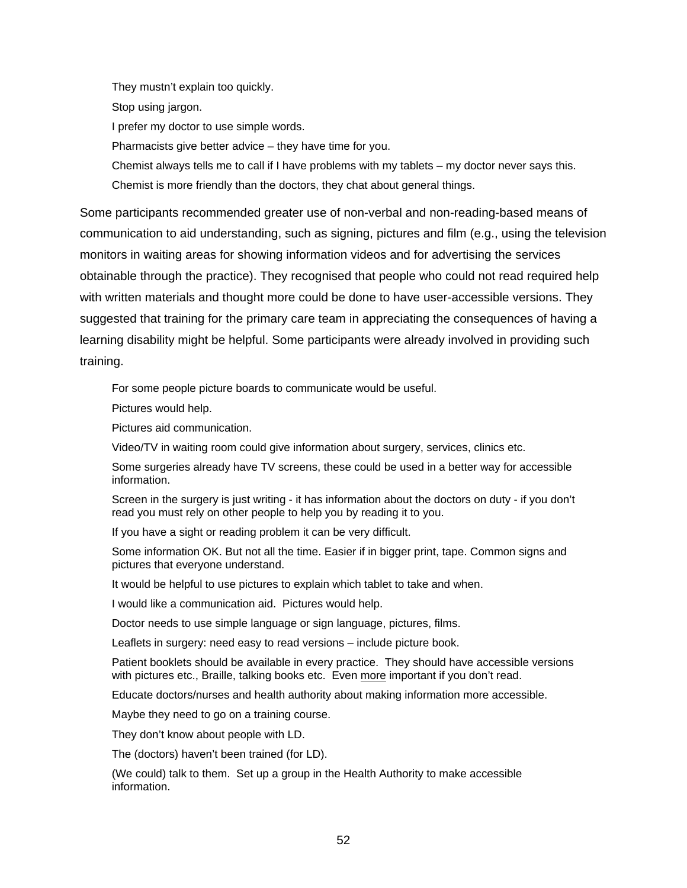They mustn't explain too quickly.

Stop using jargon.

I prefer my doctor to use simple words.

Pharmacists give better advice – they have time for you.

Chemist always tells me to call if I have problems with my tablets – my doctor never says this. Chemist is more friendly than the doctors, they chat about general things.

Some participants recommended greater use of non-verbal and non-reading-based means of communication to aid understanding, such as signing, pictures and film (e.g., using the television monitors in waiting areas for showing information videos and for advertising the services obtainable through the practice). They recognised that people who could not read required help with written materials and thought more could be done to have user-accessible versions. They suggested that training for the primary care team in appreciating the consequences of having a learning disability might be helpful. Some participants were already involved in providing such training.

For some people picture boards to communicate would be useful.

Pictures would help.

Pictures aid communication.

Video/TV in waiting room could give information about surgery, services, clinics etc.

Some surgeries already have TV screens, these could be used in a better way for accessible information.

Screen in the surgery is just writing - it has information about the doctors on duty - if you don't read you must rely on other people to help you by reading it to you.

If you have a sight or reading problem it can be very difficult.

Some information OK. But not all the time. Easier if in bigger print, tape. Common signs and pictures that everyone understand.

It would be helpful to use pictures to explain which tablet to take and when.

I would like a communication aid. Pictures would help.

Doctor needs to use simple language or sign language, pictures, films.

Leaflets in surgery: need easy to read versions – include picture book.

Patient booklets should be available in every practice. They should have accessible versions with pictures etc., Braille, talking books etc. Even more important if you don't read.

Educate doctors/nurses and health authority about making information more accessible.

Maybe they need to go on a training course.

They don't know about people with LD.

The (doctors) haven't been trained (for LD).

(We could) talk to them. Set up a group in the Health Authority to make accessible information.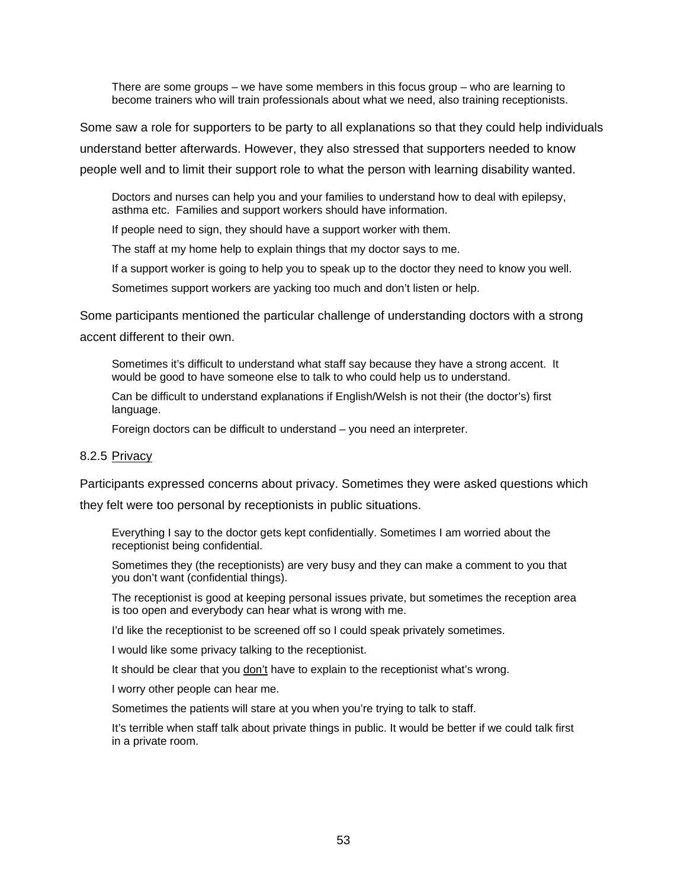There are some groups – we have some members in this focus group – who are learning to become trainers who will train professionals about what we need, also training receptionists.

Some saw a role for supporters to be party to all explanations so that they could help individuals understand better afterwards. However, they also stressed that supporters needed to know people well and to limit their support role to what the person with learning disability wanted.

Doctors and nurses can help you and your families to understand how to deal with epilepsy, asthma etc. Families and support workers should have information.

If people need to sign, they should have a support worker with them.

The staff at my home help to explain things that my doctor says to me.

If a support worker is going to help you to speak up to the doctor they need to know you well.

Sometimes support workers are yacking too much and don't listen or help.

Some participants mentioned the particular challenge of understanding doctors with a strong

accent different to their own.

Sometimes it's difficult to understand what staff say because they have a strong accent. It would be good to have someone else to talk to who could help us to understand.

Can be difficult to understand explanations if English/Welsh is not their (the doctor's) first language.

Foreign doctors can be difficult to understand – you need an interpreter.

#### 8.2.5 Privacy

Participants expressed concerns about privacy. Sometimes they were asked questions which

they felt were too personal by receptionists in public situations.

Everything I say to the doctor gets kept confidentially. Sometimes I am worried about the receptionist being confidential.

Sometimes they (the receptionists) are very busy and they can make a comment to you that you don't want (confidential things).

The receptionist is good at keeping personal issues private, but sometimes the reception area is too open and everybody can hear what is wrong with me.

I'd like the receptionist to be screened off so I could speak privately sometimes.

I would like some privacy talking to the receptionist.

It should be clear that you don't have to explain to the receptionist what's wrong.

I worry other people can hear me.

Sometimes the patients will stare at you when you're trying to talk to staff.

It's terrible when staff talk about private things in public. It would be better if we could talk first in a private room.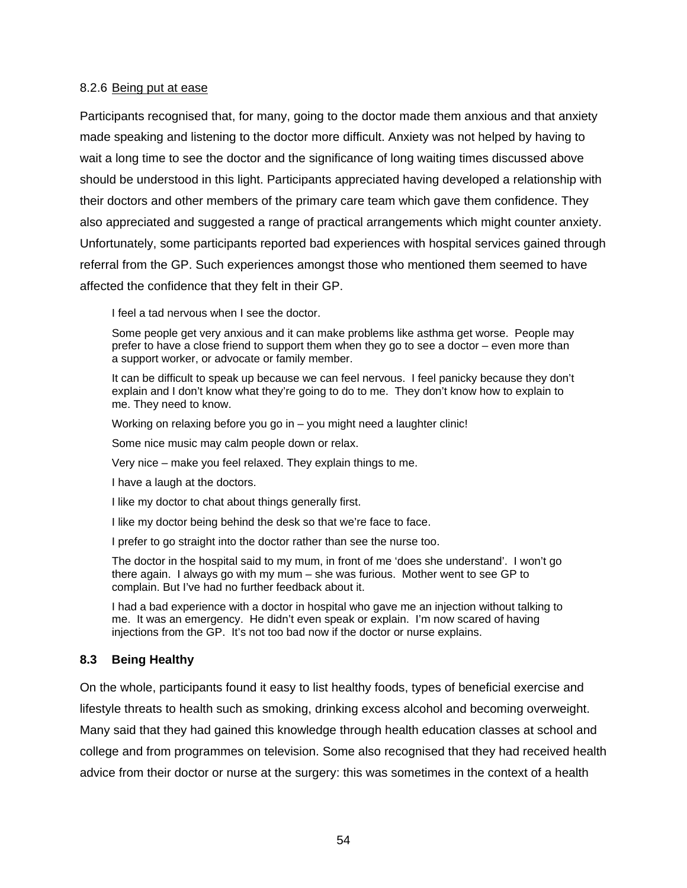#### 8.2.6 Being put at ease

Participants recognised that, for many, going to the doctor made them anxious and that anxiety made speaking and listening to the doctor more difficult. Anxiety was not helped by having to wait a long time to see the doctor and the significance of long waiting times discussed above should be understood in this light. Participants appreciated having developed a relationship with their doctors and other members of the primary care team which gave them confidence. They also appreciated and suggested a range of practical arrangements which might counter anxiety. Unfortunately, some participants reported bad experiences with hospital services gained through referral from the GP. Such experiences amongst those who mentioned them seemed to have affected the confidence that they felt in their GP.

I feel a tad nervous when I see the doctor.

Some people get very anxious and it can make problems like asthma get worse. People may prefer to have a close friend to support them when they go to see a doctor – even more than a support worker, or advocate or family member.

It can be difficult to speak up because we can feel nervous. I feel panicky because they don't explain and I don't know what they're going to do to me. They don't know how to explain to me. They need to know.

Working on relaxing before you go in – you might need a laughter clinic!

Some nice music may calm people down or relax.

Very nice – make you feel relaxed. They explain things to me.

I have a laugh at the doctors.

I like my doctor to chat about things generally first.

I like my doctor being behind the desk so that we're face to face.

I prefer to go straight into the doctor rather than see the nurse too.

The doctor in the hospital said to my mum, in front of me 'does she understand'. I won't go there again. I always go with my mum – she was furious. Mother went to see GP to complain. But I've had no further feedback about it.

I had a bad experience with a doctor in hospital who gave me an injection without talking to me. It was an emergency. He didn't even speak or explain. I'm now scared of having injections from the GP. It's not too bad now if the doctor or nurse explains.

#### **8.3 Being Healthy**

On the whole, participants found it easy to list healthy foods, types of beneficial exercise and lifestyle threats to health such as smoking, drinking excess alcohol and becoming overweight. Many said that they had gained this knowledge through health education classes at school and college and from programmes on television. Some also recognised that they had received health advice from their doctor or nurse at the surgery: this was sometimes in the context of a health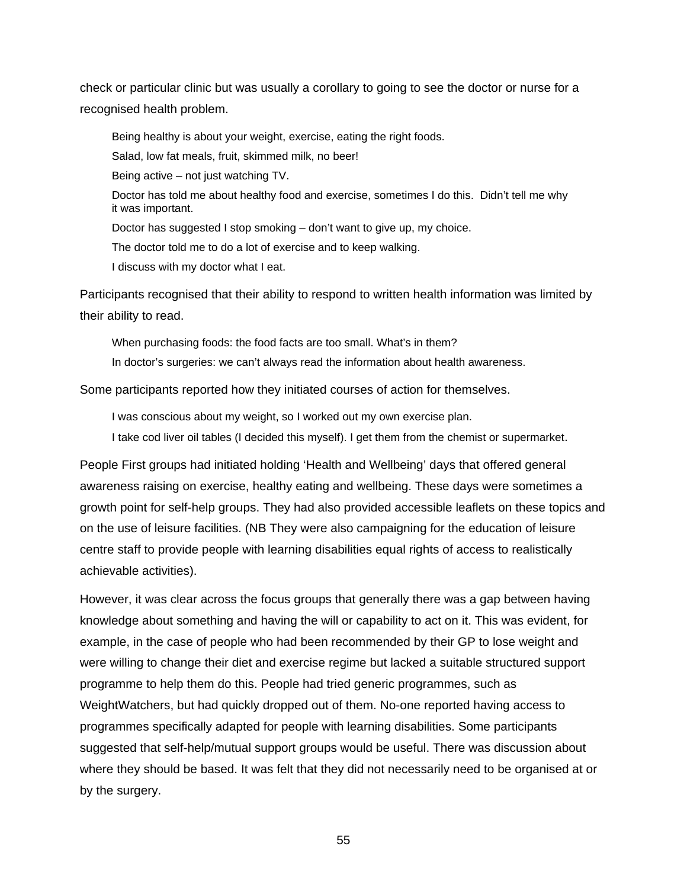check or particular clinic but was usually a corollary to going to see the doctor or nurse for a recognised health problem.

Being healthy is about your weight, exercise, eating the right foods.

Salad, low fat meals, fruit, skimmed milk, no beer!

Being active – not just watching TV.

Doctor has told me about healthy food and exercise, sometimes I do this. Didn't tell me why it was important.

Doctor has suggested I stop smoking – don't want to give up, my choice.

The doctor told me to do a lot of exercise and to keep walking.

I discuss with my doctor what I eat.

Participants recognised that their ability to respond to written health information was limited by their ability to read.

When purchasing foods: the food facts are too small. What's in them?

In doctor's surgeries: we can't always read the information about health awareness.

Some participants reported how they initiated courses of action for themselves.

I was conscious about my weight, so I worked out my own exercise plan.

I take cod liver oil tables (I decided this myself). I get them from the chemist or supermarket.

People First groups had initiated holding 'Health and Wellbeing' days that offered general awareness raising on exercise, healthy eating and wellbeing. These days were sometimes a growth point for self-help groups. They had also provided accessible leaflets on these topics and on the use of leisure facilities. (NB They were also campaigning for the education of leisure centre staff to provide people with learning disabilities equal rights of access to realistically achievable activities).

However, it was clear across the focus groups that generally there was a gap between having knowledge about something and having the will or capability to act on it. This was evident, for example, in the case of people who had been recommended by their GP to lose weight and were willing to change their diet and exercise regime but lacked a suitable structured support programme to help them do this. People had tried generic programmes, such as WeightWatchers, but had quickly dropped out of them. No-one reported having access to programmes specifically adapted for people with learning disabilities. Some participants suggested that self-help/mutual support groups would be useful. There was discussion about where they should be based. It was felt that they did not necessarily need to be organised at or by the surgery.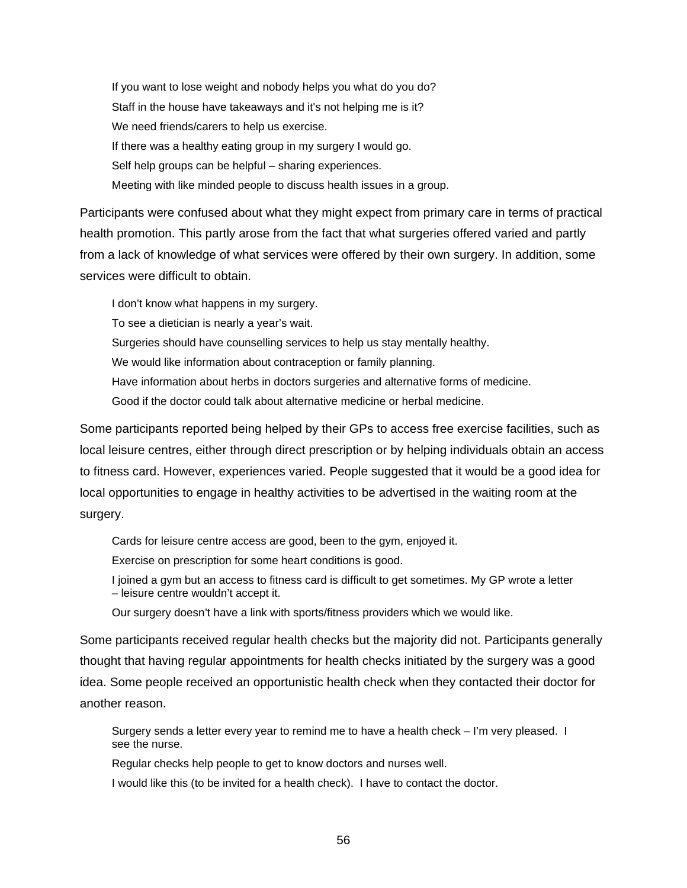If you want to lose weight and nobody helps you what do you do? Staff in the house have takeaways and it's not helping me is it? We need friends/carers to help us exercise. If there was a healthy eating group in my surgery I would go. Self help groups can be helpful – sharing experiences. Meeting with like minded people to discuss health issues in a group.

Participants were confused about what they might expect from primary care in terms of practical health promotion. This partly arose from the fact that what surgeries offered varied and partly from a lack of knowledge of what services were offered by their own surgery. In addition, some services were difficult to obtain.

I don't know what happens in my surgery. To see a dietician is nearly a year's wait. Surgeries should have counselling services to help us stay mentally healthy. We would like information about contraception or family planning. Have information about herbs in doctors surgeries and alternative forms of medicine. Good if the doctor could talk about alternative medicine or herbal medicine.

Some participants reported being helped by their GPs to access free exercise facilities, such as local leisure centres, either through direct prescription or by helping individuals obtain an access to fitness card. However, experiences varied. People suggested that it would be a good idea for local opportunities to engage in healthy activities to be advertised in the waiting room at the surgery.

Cards for leisure centre access are good, been to the gym, enjoyed it.

Exercise on prescription for some heart conditions is good.

I joined a gym but an access to fitness card is difficult to get sometimes. My GP wrote a letter – leisure centre wouldn't accept it.

Our surgery doesn't have a link with sports/fitness providers which we would like.

Some participants received regular health checks but the majority did not. Participants generally thought that having regular appointments for health checks initiated by the surgery was a good idea. Some people received an opportunistic health check when they contacted their doctor for another reason.

Surgery sends a letter every year to remind me to have a health check – I'm very pleased. I see the nurse.

Regular checks help people to get to know doctors and nurses well.

I would like this (to be invited for a health check). I have to contact the doctor.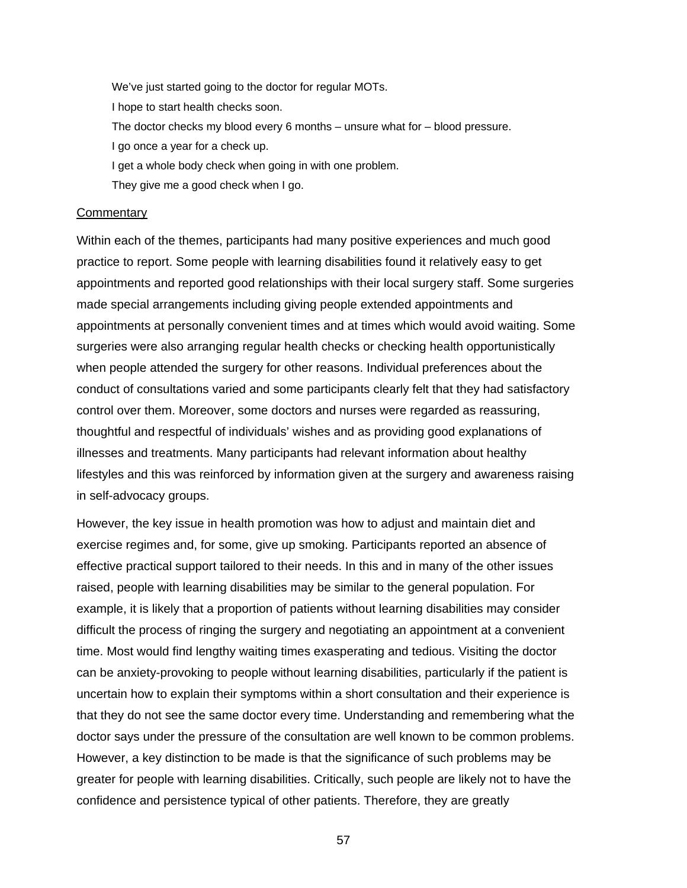We've just started going to the doctor for regular MOTs. I hope to start health checks soon. The doctor checks my blood every 6 months – unsure what for – blood pressure. I go once a year for a check up. I get a whole body check when going in with one problem. They give me a good check when I go.

#### **Commentary**

Within each of the themes, participants had many positive experiences and much good practice to report. Some people with learning disabilities found it relatively easy to get appointments and reported good relationships with their local surgery staff. Some surgeries made special arrangements including giving people extended appointments and appointments at personally convenient times and at times which would avoid waiting. Some surgeries were also arranging regular health checks or checking health opportunistically when people attended the surgery for other reasons. Individual preferences about the conduct of consultations varied and some participants clearly felt that they had satisfactory control over them. Moreover, some doctors and nurses were regarded as reassuring, thoughtful and respectful of individuals' wishes and as providing good explanations of illnesses and treatments. Many participants had relevant information about healthy lifestyles and this was reinforced by information given at the surgery and awareness raising in self-advocacy groups.

However, the key issue in health promotion was how to adjust and maintain diet and exercise regimes and, for some, give up smoking. Participants reported an absence of effective practical support tailored to their needs. In this and in many of the other issues raised, people with learning disabilities may be similar to the general population. For example, it is likely that a proportion of patients without learning disabilities may consider difficult the process of ringing the surgery and negotiating an appointment at a convenient time. Most would find lengthy waiting times exasperating and tedious. Visiting the doctor can be anxiety-provoking to people without learning disabilities, particularly if the patient is uncertain how to explain their symptoms within a short consultation and their experience is that they do not see the same doctor every time. Understanding and remembering what the doctor says under the pressure of the consultation are well known to be common problems. However, a key distinction to be made is that the significance of such problems may be greater for people with learning disabilities. Critically, such people are likely not to have the confidence and persistence typical of other patients. Therefore, they are greatly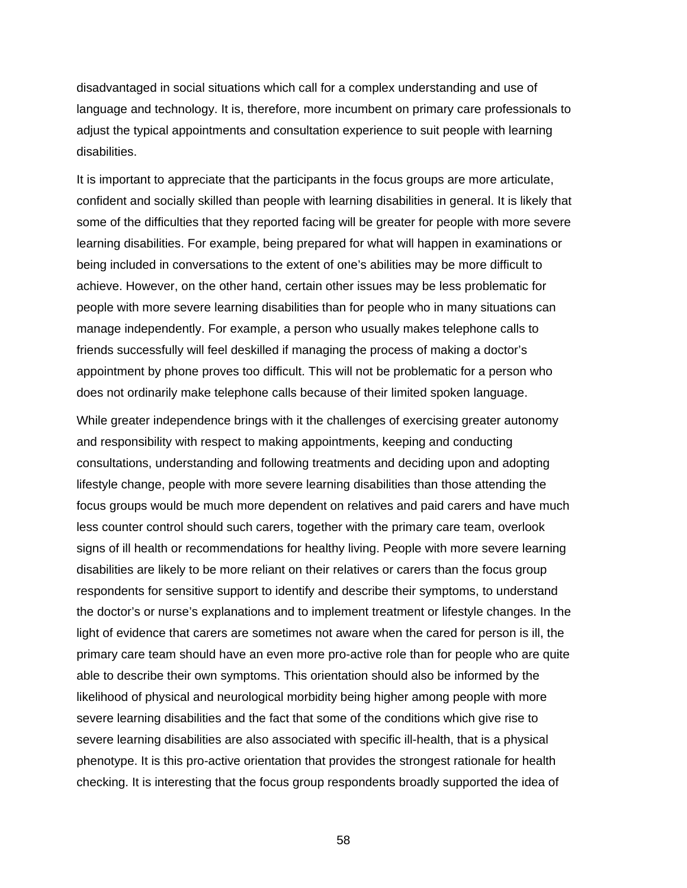disadvantaged in social situations which call for a complex understanding and use of language and technology. It is, therefore, more incumbent on primary care professionals to adjust the typical appointments and consultation experience to suit people with learning disabilities.

It is important to appreciate that the participants in the focus groups are more articulate, confident and socially skilled than people with learning disabilities in general. It is likely that some of the difficulties that they reported facing will be greater for people with more severe learning disabilities. For example, being prepared for what will happen in examinations or being included in conversations to the extent of one's abilities may be more difficult to achieve. However, on the other hand, certain other issues may be less problematic for people with more severe learning disabilities than for people who in many situations can manage independently. For example, a person who usually makes telephone calls to friends successfully will feel deskilled if managing the process of making a doctor's appointment by phone proves too difficult. This will not be problematic for a person who does not ordinarily make telephone calls because of their limited spoken language.

While greater independence brings with it the challenges of exercising greater autonomy and responsibility with respect to making appointments, keeping and conducting consultations, understanding and following treatments and deciding upon and adopting lifestyle change, people with more severe learning disabilities than those attending the focus groups would be much more dependent on relatives and paid carers and have much less counter control should such carers, together with the primary care team, overlook signs of ill health or recommendations for healthy living. People with more severe learning disabilities are likely to be more reliant on their relatives or carers than the focus group respondents for sensitive support to identify and describe their symptoms, to understand the doctor's or nurse's explanations and to implement treatment or lifestyle changes. In the light of evidence that carers are sometimes not aware when the cared for person is ill, the primary care team should have an even more pro-active role than for people who are quite able to describe their own symptoms. This orientation should also be informed by the likelihood of physical and neurological morbidity being higher among people with more severe learning disabilities and the fact that some of the conditions which give rise to severe learning disabilities are also associated with specific ill-health, that is a physical phenotype. It is this pro-active orientation that provides the strongest rationale for health checking. It is interesting that the focus group respondents broadly supported the idea of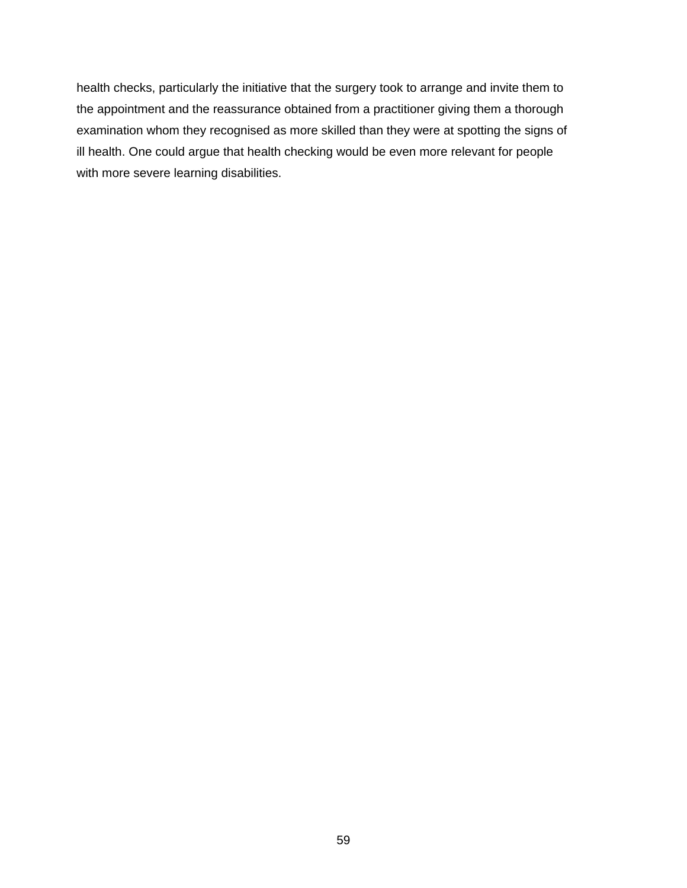health checks, particularly the initiative that the surgery took to arrange and invite them to the appointment and the reassurance obtained from a practitioner giving them a thorough examination whom they recognised as more skilled than they were at spotting the signs of ill health. One could argue that health checking would be even more relevant for people with more severe learning disabilities.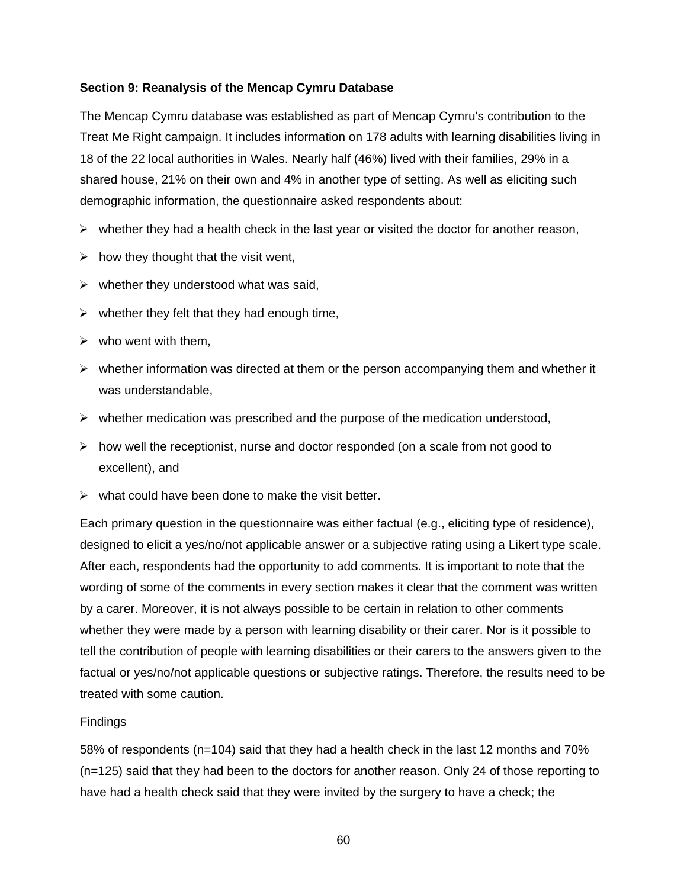### **Section 9: Reanalysis of the Mencap Cymru Database**

The Mencap Cymru database was established as part of Mencap Cymru's contribution to the Treat Me Right campaign. It includes information on 178 adults with learning disabilities living in 18 of the 22 local authorities in Wales. Nearly half (46%) lived with their families, 29% in a shared house, 21% on their own and 4% in another type of setting. As well as eliciting such demographic information, the questionnaire asked respondents about:

- $\triangleright$  whether they had a health check in the last year or visited the doctor for another reason,
- $\triangleright$  how they thought that the visit went,
- $\triangleright$  whether they understood what was said,
- $\triangleright$  whether they felt that they had enough time,
- $\triangleright$  who went with them,
- $\triangleright$  whether information was directed at them or the person accompanying them and whether it was understandable,
- $\triangleright$  whether medication was prescribed and the purpose of the medication understood,
- $\triangleright$  how well the receptionist, nurse and doctor responded (on a scale from not good to excellent), and
- $\triangleright$  what could have been done to make the visit better.

Each primary question in the questionnaire was either factual (e.g., eliciting type of residence), designed to elicit a yes/no/not applicable answer or a subjective rating using a Likert type scale. After each, respondents had the opportunity to add comments. It is important to note that the wording of some of the comments in every section makes it clear that the comment was written by a carer. Moreover, it is not always possible to be certain in relation to other comments whether they were made by a person with learning disability or their carer. Nor is it possible to tell the contribution of people with learning disabilities or their carers to the answers given to the factual or yes/no/not applicable questions or subjective ratings. Therefore, the results need to be treated with some caution.

### **Findings**

58% of respondents (n=104) said that they had a health check in the last 12 months and 70% (n=125) said that they had been to the doctors for another reason. Only 24 of those reporting to have had a health check said that they were invited by the surgery to have a check; the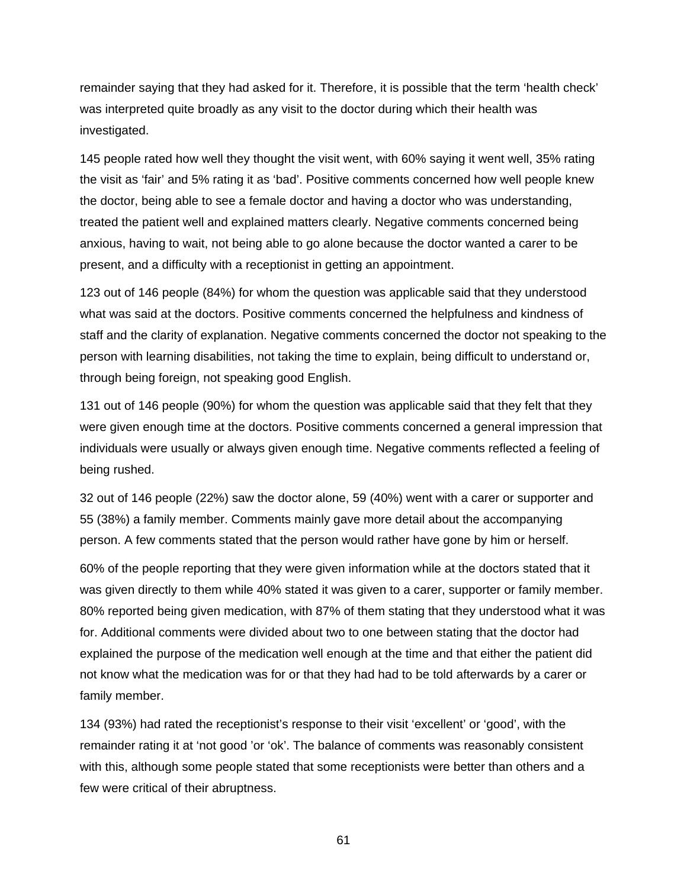remainder saying that they had asked for it. Therefore, it is possible that the term 'health check' was interpreted quite broadly as any visit to the doctor during which their health was investigated.

145 people rated how well they thought the visit went, with 60% saying it went well, 35% rating the visit as 'fair' and 5% rating it as 'bad'. Positive comments concerned how well people knew the doctor, being able to see a female doctor and having a doctor who was understanding, treated the patient well and explained matters clearly. Negative comments concerned being anxious, having to wait, not being able to go alone because the doctor wanted a carer to be present, and a difficulty with a receptionist in getting an appointment.

123 out of 146 people (84%) for whom the question was applicable said that they understood what was said at the doctors. Positive comments concerned the helpfulness and kindness of staff and the clarity of explanation. Negative comments concerned the doctor not speaking to the person with learning disabilities, not taking the time to explain, being difficult to understand or, through being foreign, not speaking good English.

131 out of 146 people (90%) for whom the question was applicable said that they felt that they were given enough time at the doctors. Positive comments concerned a general impression that individuals were usually or always given enough time. Negative comments reflected a feeling of being rushed.

32 out of 146 people (22%) saw the doctor alone, 59 (40%) went with a carer or supporter and 55 (38%) a family member. Comments mainly gave more detail about the accompanying person. A few comments stated that the person would rather have gone by him or herself.

60% of the people reporting that they were given information while at the doctors stated that it was given directly to them while 40% stated it was given to a carer, supporter or family member. 80% reported being given medication, with 87% of them stating that they understood what it was for. Additional comments were divided about two to one between stating that the doctor had explained the purpose of the medication well enough at the time and that either the patient did not know what the medication was for or that they had had to be told afterwards by a carer or family member.

134 (93%) had rated the receptionist's response to their visit 'excellent' or 'good', with the remainder rating it at 'not good 'or 'ok'. The balance of comments was reasonably consistent with this, although some people stated that some receptionists were better than others and a few were critical of their abruptness.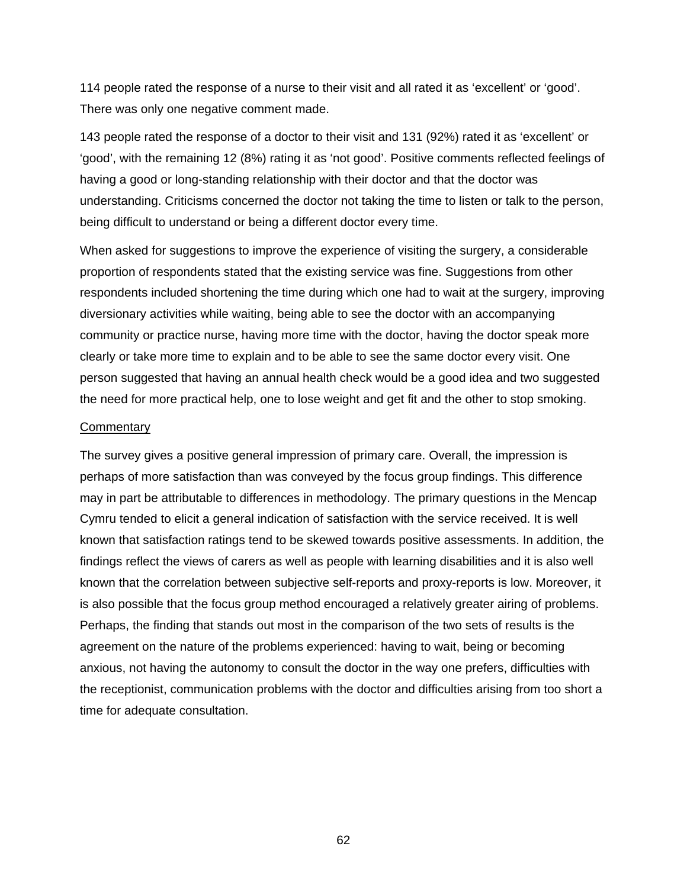114 people rated the response of a nurse to their visit and all rated it as 'excellent' or 'good'. There was only one negative comment made.

143 people rated the response of a doctor to their visit and 131 (92%) rated it as 'excellent' or 'good', with the remaining 12 (8%) rating it as 'not good'. Positive comments reflected feelings of having a good or long-standing relationship with their doctor and that the doctor was understanding. Criticisms concerned the doctor not taking the time to listen or talk to the person, being difficult to understand or being a different doctor every time.

When asked for suggestions to improve the experience of visiting the surgery, a considerable proportion of respondents stated that the existing service was fine. Suggestions from other respondents included shortening the time during which one had to wait at the surgery, improving diversionary activities while waiting, being able to see the doctor with an accompanying community or practice nurse, having more time with the doctor, having the doctor speak more clearly or take more time to explain and to be able to see the same doctor every visit. One person suggested that having an annual health check would be a good idea and two suggested the need for more practical help, one to lose weight and get fit and the other to stop smoking.

#### **Commentary**

The survey gives a positive general impression of primary care. Overall, the impression is perhaps of more satisfaction than was conveyed by the focus group findings. This difference may in part be attributable to differences in methodology. The primary questions in the Mencap Cymru tended to elicit a general indication of satisfaction with the service received. It is well known that satisfaction ratings tend to be skewed towards positive assessments. In addition, the findings reflect the views of carers as well as people with learning disabilities and it is also well known that the correlation between subjective self-reports and proxy-reports is low. Moreover, it is also possible that the focus group method encouraged a relatively greater airing of problems. Perhaps, the finding that stands out most in the comparison of the two sets of results is the agreement on the nature of the problems experienced: having to wait, being or becoming anxious, not having the autonomy to consult the doctor in the way one prefers, difficulties with the receptionist, communication problems with the doctor and difficulties arising from too short a time for adequate consultation.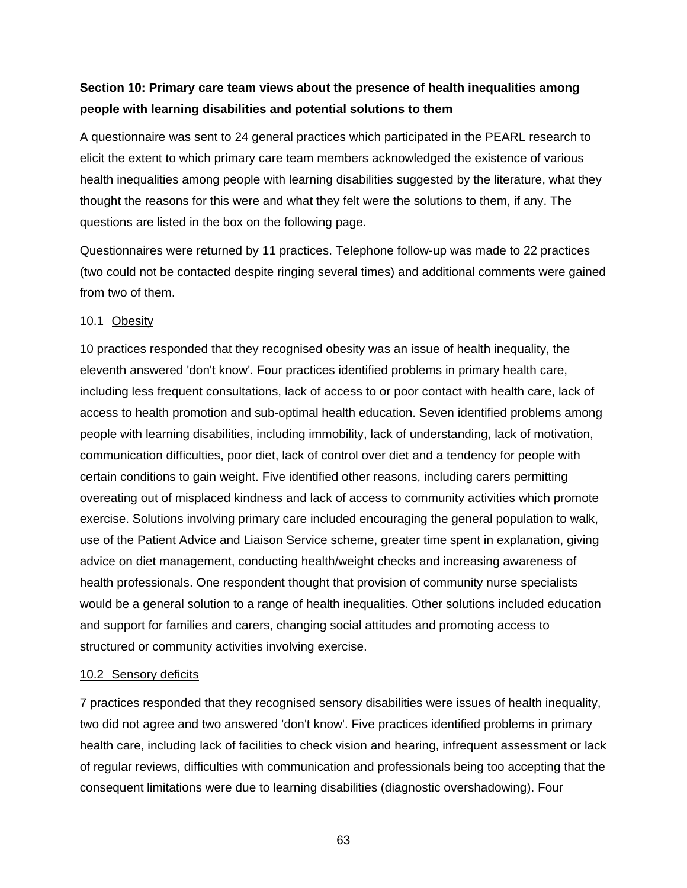# **Section 10: Primary care team views about the presence of health inequalities among people with learning disabilities and potential solutions to them**

A questionnaire was sent to 24 general practices which participated in the PEARL research to elicit the extent to which primary care team members acknowledged the existence of various health inequalities among people with learning disabilities suggested by the literature, what they thought the reasons for this were and what they felt were the solutions to them, if any. The questions are listed in the box on the following page.

Questionnaires were returned by 11 practices. Telephone follow-up was made to 22 practices (two could not be contacted despite ringing several times) and additional comments were gained from two of them.

### 10.1 Obesity

10 practices responded that they recognised obesity was an issue of health inequality, the eleventh answered 'don't know'. Four practices identified problems in primary health care, including less frequent consultations, lack of access to or poor contact with health care, lack of access to health promotion and sub-optimal health education. Seven identified problems among people with learning disabilities, including immobility, lack of understanding, lack of motivation, communication difficulties, poor diet, lack of control over diet and a tendency for people with certain conditions to gain weight. Five identified other reasons, including carers permitting overeating out of misplaced kindness and lack of access to community activities which promote exercise. Solutions involving primary care included encouraging the general population to walk, use of the Patient Advice and Liaison Service scheme, greater time spent in explanation, giving advice on diet management, conducting health/weight checks and increasing awareness of health professionals. One respondent thought that provision of community nurse specialists would be a general solution to a range of health inequalities. Other solutions included education and support for families and carers, changing social attitudes and promoting access to structured or community activities involving exercise.

### 10.2 Sensory deficits

7 practices responded that they recognised sensory disabilities were issues of health inequality, two did not agree and two answered 'don't know'. Five practices identified problems in primary health care, including lack of facilities to check vision and hearing, infrequent assessment or lack of regular reviews, difficulties with communication and professionals being too accepting that the consequent limitations were due to learning disabilities (diagnostic overshadowing). Four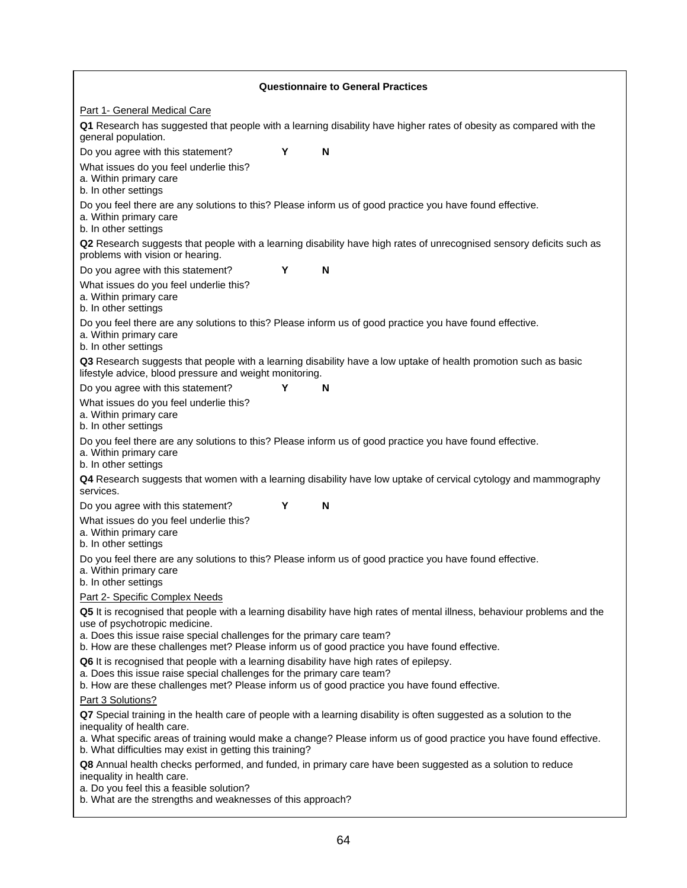| <b>Questionnaire to General Practices</b>                                                                                                                                                                                                                                                                                           |                                                                                                                      |  |  |  |  |  |
|-------------------------------------------------------------------------------------------------------------------------------------------------------------------------------------------------------------------------------------------------------------------------------------------------------------------------------------|----------------------------------------------------------------------------------------------------------------------|--|--|--|--|--|
| Part 1- General Medical Care                                                                                                                                                                                                                                                                                                        |                                                                                                                      |  |  |  |  |  |
| Q1 Research has suggested that people with a learning disability have higher rates of obesity as compared with the<br>general population.                                                                                                                                                                                           |                                                                                                                      |  |  |  |  |  |
| Y<br>Do you agree with this statement?<br>N                                                                                                                                                                                                                                                                                         |                                                                                                                      |  |  |  |  |  |
| What issues do you feel underlie this?<br>a. Within primary care<br>b. In other settings                                                                                                                                                                                                                                            |                                                                                                                      |  |  |  |  |  |
| Do you feel there are any solutions to this? Please inform us of good practice you have found effective.<br>a. Within primary care<br>b. In other settings                                                                                                                                                                          |                                                                                                                      |  |  |  |  |  |
| problems with vision or hearing.                                                                                                                                                                                                                                                                                                    | Q2 Research suggests that people with a learning disability have high rates of unrecognised sensory deficits such as |  |  |  |  |  |
| Υ<br>Do you agree with this statement?<br>N                                                                                                                                                                                                                                                                                         |                                                                                                                      |  |  |  |  |  |
| What issues do you feel underlie this?<br>a. Within primary care<br>b. In other settings                                                                                                                                                                                                                                            |                                                                                                                      |  |  |  |  |  |
| Do you feel there are any solutions to this? Please inform us of good practice you have found effective.<br>a. Within primary care<br>b. In other settings                                                                                                                                                                          |                                                                                                                      |  |  |  |  |  |
| Q3 Research suggests that people with a learning disability have a low uptake of health promotion such as basic<br>lifestyle advice, blood pressure and weight monitoring.                                                                                                                                                          |                                                                                                                      |  |  |  |  |  |
| Do you agree with this statement?<br>Υ<br>N                                                                                                                                                                                                                                                                                         |                                                                                                                      |  |  |  |  |  |
| What issues do you feel underlie this?<br>a. Within primary care<br>b. In other settings                                                                                                                                                                                                                                            |                                                                                                                      |  |  |  |  |  |
| Do you feel there are any solutions to this? Please inform us of good practice you have found effective.<br>a. Within primary care<br>b. In other settings                                                                                                                                                                          |                                                                                                                      |  |  |  |  |  |
| Q4 Research suggests that women with a learning disability have low uptake of cervical cytology and mammography<br>services.                                                                                                                                                                                                        |                                                                                                                      |  |  |  |  |  |
| Υ<br>N<br>Do you agree with this statement?                                                                                                                                                                                                                                                                                         |                                                                                                                      |  |  |  |  |  |
| What issues do you feel underlie this?<br>a. Within primary care<br>b. In other settings                                                                                                                                                                                                                                            |                                                                                                                      |  |  |  |  |  |
| Do you feel there are any solutions to this? Please inform us of good practice you have found effective.<br>a. Within primary care<br>b. In other settings                                                                                                                                                                          |                                                                                                                      |  |  |  |  |  |
| Part 2- Specific Complex Needs                                                                                                                                                                                                                                                                                                      |                                                                                                                      |  |  |  |  |  |
| Q5 It is recognised that people with a learning disability have high rates of mental illness, behaviour problems and the<br>use of psychotropic medicine.<br>a. Does this issue raise special challenges for the primary care team?<br>b. How are these challenges met? Please inform us of good practice you have found effective. |                                                                                                                      |  |  |  |  |  |
| Q6 It is recognised that people with a learning disability have high rates of epilepsy.<br>a. Does this issue raise special challenges for the primary care team?                                                                                                                                                                   |                                                                                                                      |  |  |  |  |  |
| b. How are these challenges met? Please inform us of good practice you have found effective.<br>Part 3 Solutions?                                                                                                                                                                                                                   |                                                                                                                      |  |  |  |  |  |
| Q7 Special training in the health care of people with a learning disability is often suggested as a solution to the                                                                                                                                                                                                                 |                                                                                                                      |  |  |  |  |  |
| inequality of health care.<br>a. What specific areas of training would make a change? Please inform us of good practice you have found effective.<br>b. What difficulties may exist in getting this training?                                                                                                                       |                                                                                                                      |  |  |  |  |  |
| Q8 Annual health checks performed, and funded, in primary care have been suggested as a solution to reduce<br>inequality in health care.                                                                                                                                                                                            |                                                                                                                      |  |  |  |  |  |
| a. Do you feel this a feasible solution?<br>b. What are the strengths and weaknesses of this approach?                                                                                                                                                                                                                              |                                                                                                                      |  |  |  |  |  |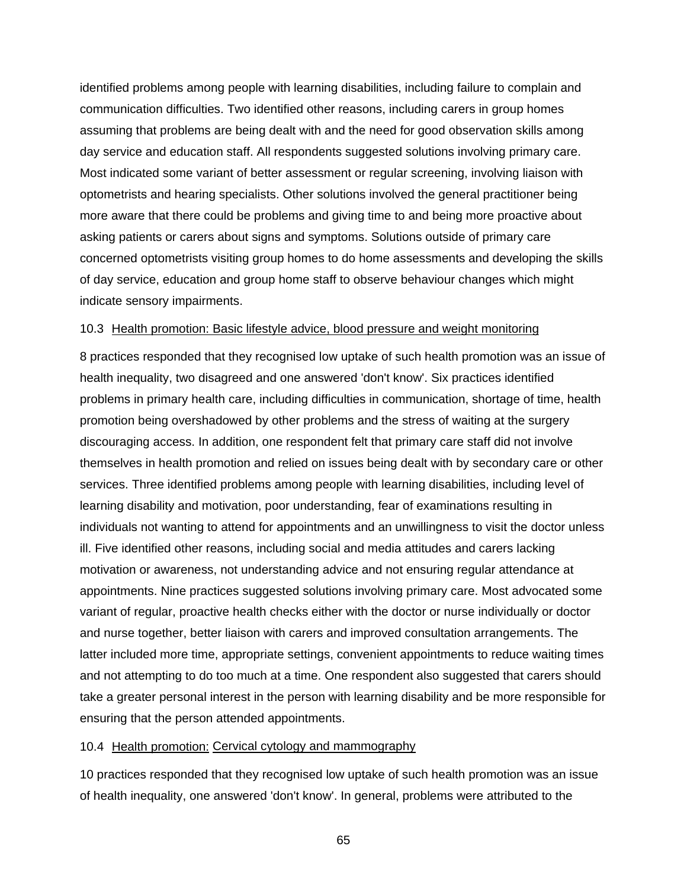identified problems among people with learning disabilities, including failure to complain and communication difficulties. Two identified other reasons, including carers in group homes assuming that problems are being dealt with and the need for good observation skills among day service and education staff. All respondents suggested solutions involving primary care. Most indicated some variant of better assessment or regular screening, involving liaison with optometrists and hearing specialists. Other solutions involved the general practitioner being more aware that there could be problems and giving time to and being more proactive about asking patients or carers about signs and symptoms. Solutions outside of primary care concerned optometrists visiting group homes to do home assessments and developing the skills of day service, education and group home staff to observe behaviour changes which might indicate sensory impairments.

#### 10.3 Health promotion: Basic lifestyle advice, blood pressure and weight monitoring

8 practices responded that they recognised low uptake of such health promotion was an issue of health inequality, two disagreed and one answered 'don't know'. Six practices identified problems in primary health care, including difficulties in communication, shortage of time, health promotion being overshadowed by other problems and the stress of waiting at the surgery discouraging access. In addition, one respondent felt that primary care staff did not involve themselves in health promotion and relied on issues being dealt with by secondary care or other services. Three identified problems among people with learning disabilities, including level of learning disability and motivation, poor understanding, fear of examinations resulting in individuals not wanting to attend for appointments and an unwillingness to visit the doctor unless ill. Five identified other reasons, including social and media attitudes and carers lacking motivation or awareness, not understanding advice and not ensuring regular attendance at appointments. Nine practices suggested solutions involving primary care. Most advocated some variant of regular, proactive health checks either with the doctor or nurse individually or doctor and nurse together, better liaison with carers and improved consultation arrangements. The latter included more time, appropriate settings, convenient appointments to reduce waiting times and not attempting to do too much at a time. One respondent also suggested that carers should take a greater personal interest in the person with learning disability and be more responsible for ensuring that the person attended appointments.

#### 10.4 Health promotion: Cervical cytology and mammography

10 practices responded that they recognised low uptake of such health promotion was an issue of health inequality, one answered 'don't know'. In general, problems were attributed to the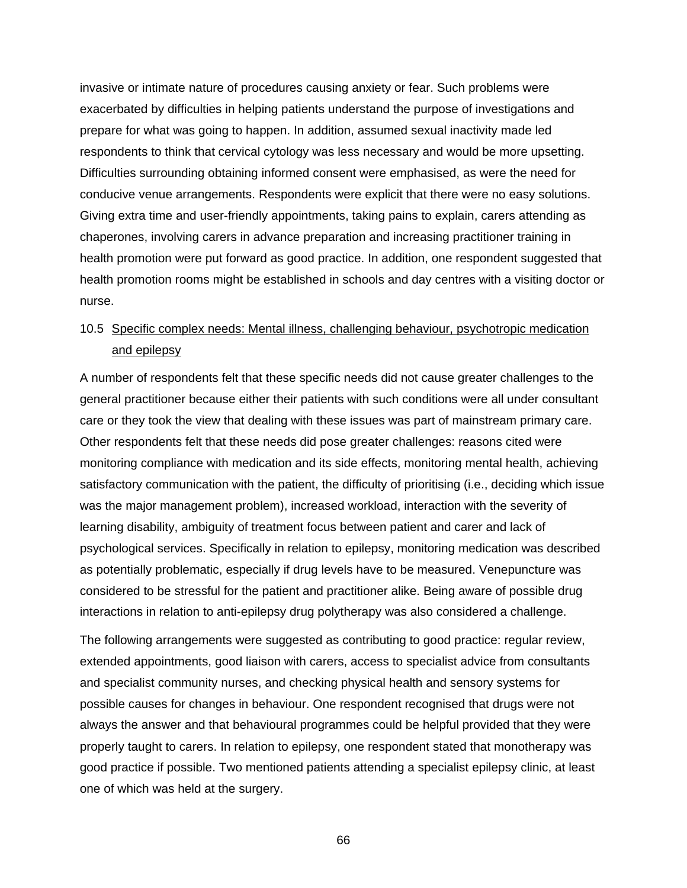invasive or intimate nature of procedures causing anxiety or fear. Such problems were exacerbated by difficulties in helping patients understand the purpose of investigations and prepare for what was going to happen. In addition, assumed sexual inactivity made led respondents to think that cervical cytology was less necessary and would be more upsetting. Difficulties surrounding obtaining informed consent were emphasised, as were the need for conducive venue arrangements. Respondents were explicit that there were no easy solutions. Giving extra time and user-friendly appointments, taking pains to explain, carers attending as chaperones, involving carers in advance preparation and increasing practitioner training in health promotion were put forward as good practice. In addition, one respondent suggested that health promotion rooms might be established in schools and day centres with a visiting doctor or nurse.

# 10.5 Specific complex needs: Mental illness, challenging behaviour, psychotropic medication and epilepsy

A number of respondents felt that these specific needs did not cause greater challenges to the general practitioner because either their patients with such conditions were all under consultant care or they took the view that dealing with these issues was part of mainstream primary care. Other respondents felt that these needs did pose greater challenges: reasons cited were monitoring compliance with medication and its side effects, monitoring mental health, achieving satisfactory communication with the patient, the difficulty of prioritising (i.e., deciding which issue was the major management problem), increased workload, interaction with the severity of learning disability, ambiguity of treatment focus between patient and carer and lack of psychological services. Specifically in relation to epilepsy, monitoring medication was described as potentially problematic, especially if drug levels have to be measured. Venepuncture was considered to be stressful for the patient and practitioner alike. Being aware of possible drug interactions in relation to anti-epilepsy drug polytherapy was also considered a challenge.

The following arrangements were suggested as contributing to good practice: regular review, extended appointments, good liaison with carers, access to specialist advice from consultants and specialist community nurses, and checking physical health and sensory systems for possible causes for changes in behaviour. One respondent recognised that drugs were not always the answer and that behavioural programmes could be helpful provided that they were properly taught to carers. In relation to epilepsy, one respondent stated that monotherapy was good practice if possible. Two mentioned patients attending a specialist epilepsy clinic, at least one of which was held at the surgery.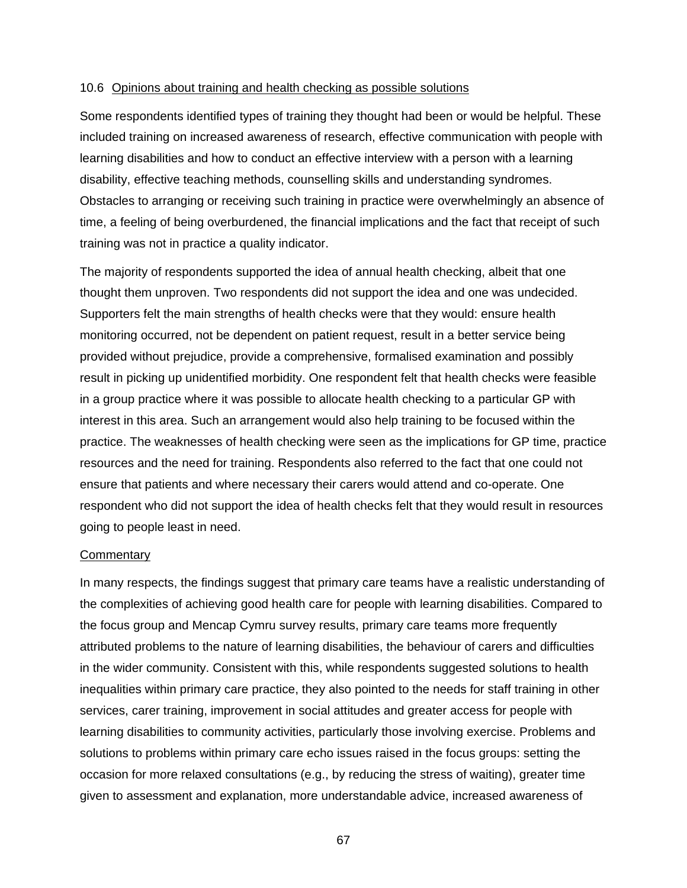#### 10.6 Opinions about training and health checking as possible solutions

Some respondents identified types of training they thought had been or would be helpful. These included training on increased awareness of research, effective communication with people with learning disabilities and how to conduct an effective interview with a person with a learning disability, effective teaching methods, counselling skills and understanding syndromes. Obstacles to arranging or receiving such training in practice were overwhelmingly an absence of time, a feeling of being overburdened, the financial implications and the fact that receipt of such training was not in practice a quality indicator.

The majority of respondents supported the idea of annual health checking, albeit that one thought them unproven. Two respondents did not support the idea and one was undecided. Supporters felt the main strengths of health checks were that they would: ensure health monitoring occurred, not be dependent on patient request, result in a better service being provided without prejudice, provide a comprehensive, formalised examination and possibly result in picking up unidentified morbidity. One respondent felt that health checks were feasible in a group practice where it was possible to allocate health checking to a particular GP with interest in this area. Such an arrangement would also help training to be focused within the practice. The weaknesses of health checking were seen as the implications for GP time, practice resources and the need for training. Respondents also referred to the fact that one could not ensure that patients and where necessary their carers would attend and co-operate. One respondent who did not support the idea of health checks felt that they would result in resources going to people least in need.

#### **Commentary**

In many respects, the findings suggest that primary care teams have a realistic understanding of the complexities of achieving good health care for people with learning disabilities. Compared to the focus group and Mencap Cymru survey results, primary care teams more frequently attributed problems to the nature of learning disabilities, the behaviour of carers and difficulties in the wider community. Consistent with this, while respondents suggested solutions to health inequalities within primary care practice, they also pointed to the needs for staff training in other services, carer training, improvement in social attitudes and greater access for people with learning disabilities to community activities, particularly those involving exercise. Problems and solutions to problems within primary care echo issues raised in the focus groups: setting the occasion for more relaxed consultations (e.g., by reducing the stress of waiting), greater time given to assessment and explanation, more understandable advice, increased awareness of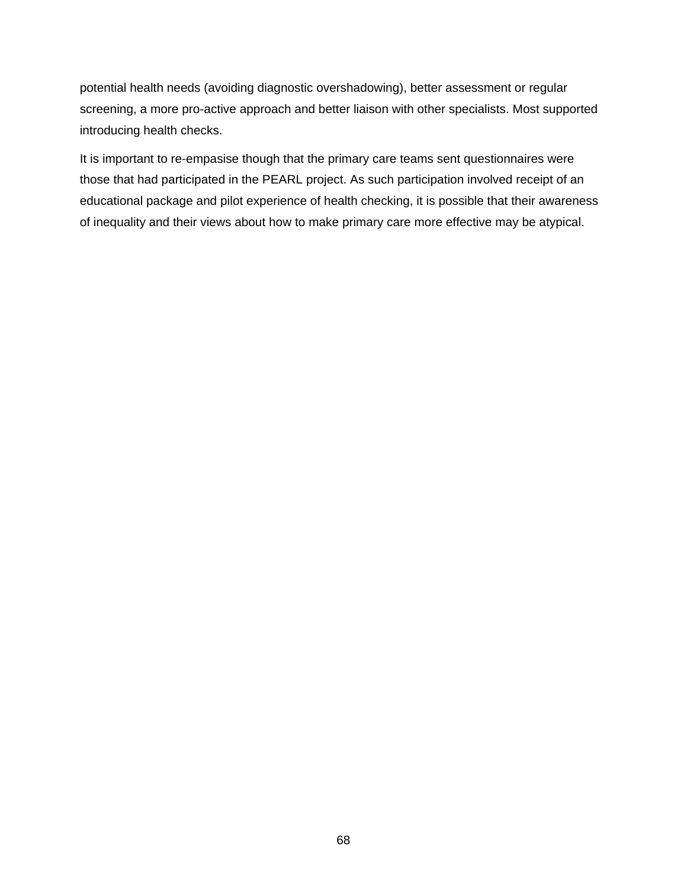potential health needs (avoiding diagnostic overshadowing), better assessment or regular screening, a more pro-active approach and better liaison with other specialists. Most supported introducing health checks.

It is important to re-empasise though that the primary care teams sent questionnaires were those that had participated in the PEARL project. As such participation involved receipt of an educational package and pilot experience of health checking, it is possible that their awareness of inequality and their views about how to make primary care more effective may be atypical.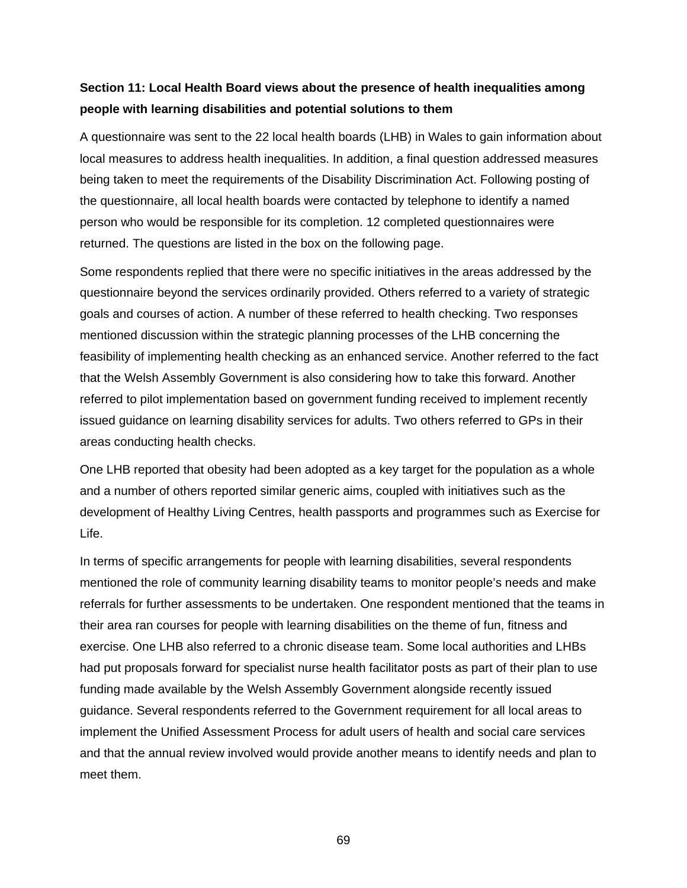## **Section 11: Local Health Board views about the presence of health inequalities among people with learning disabilities and potential solutions to them**

A questionnaire was sent to the 22 local health boards (LHB) in Wales to gain information about local measures to address health inequalities. In addition, a final question addressed measures being taken to meet the requirements of the Disability Discrimination Act. Following posting of the questionnaire, all local health boards were contacted by telephone to identify a named person who would be responsible for its completion. 12 completed questionnaires were returned. The questions are listed in the box on the following page.

Some respondents replied that there were no specific initiatives in the areas addressed by the questionnaire beyond the services ordinarily provided. Others referred to a variety of strategic goals and courses of action. A number of these referred to health checking. Two responses mentioned discussion within the strategic planning processes of the LHB concerning the feasibility of implementing health checking as an enhanced service. Another referred to the fact that the Welsh Assembly Government is also considering how to take this forward. Another referred to pilot implementation based on government funding received to implement recently issued guidance on learning disability services for adults. Two others referred to GPs in their areas conducting health checks.

One LHB reported that obesity had been adopted as a key target for the population as a whole and a number of others reported similar generic aims, coupled with initiatives such as the development of Healthy Living Centres, health passports and programmes such as Exercise for Life.

In terms of specific arrangements for people with learning disabilities, several respondents mentioned the role of community learning disability teams to monitor people's needs and make referrals for further assessments to be undertaken. One respondent mentioned that the teams in their area ran courses for people with learning disabilities on the theme of fun, fitness and exercise. One LHB also referred to a chronic disease team. Some local authorities and LHBs had put proposals forward for specialist nurse health facilitator posts as part of their plan to use funding made available by the Welsh Assembly Government alongside recently issued guidance. Several respondents referred to the Government requirement for all local areas to implement the Unified Assessment Process for adult users of health and social care services and that the annual review involved would provide another means to identify needs and plan to meet them.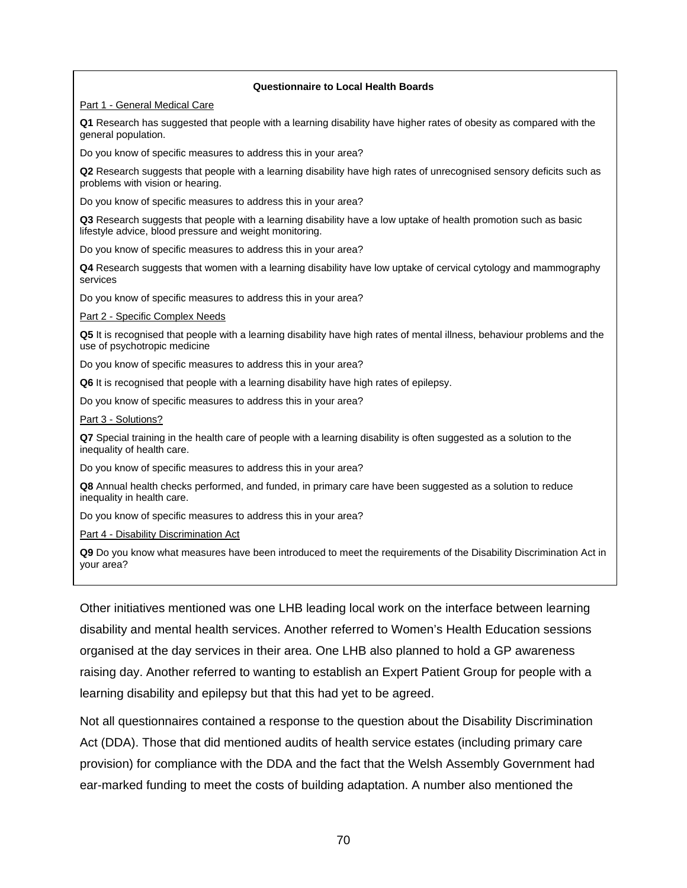#### **Questionnaire to Local Health Boards**

Part 1 - General Medical Care

**Q1** Research has suggested that people with a learning disability have higher rates of obesity as compared with the general population.

Do you know of specific measures to address this in your area?

**Q2** Research suggests that people with a learning disability have high rates of unrecognised sensory deficits such as problems with vision or hearing.

Do you know of specific measures to address this in your area?

**Q3** Research suggests that people with a learning disability have a low uptake of health promotion such as basic lifestyle advice, blood pressure and weight monitoring.

Do you know of specific measures to address this in your area?

**Q4** Research suggests that women with a learning disability have low uptake of cervical cytology and mammography services

Do you know of specific measures to address this in your area?

Part 2 - Specific Complex Needs

**Q5** It is recognised that people with a learning disability have high rates of mental illness, behaviour problems and the use of psychotropic medicine

Do you know of specific measures to address this in your area?

**Q6** It is recognised that people with a learning disability have high rates of epilepsy.

Do you know of specific measures to address this in your area?

Part 3 - Solutions?

**Q7** Special training in the health care of people with a learning disability is often suggested as a solution to the inequality of health care.

Do you know of specific measures to address this in your area?

**Q8** Annual health checks performed, and funded, in primary care have been suggested as a solution to reduce inequality in health care.

Do you know of specific measures to address this in your area?

Part 4 - Disability Discrimination Act

**Q9** Do you know what measures have been introduced to meet the requirements of the Disability Discrimination Act in your area?

Other initiatives mentioned was one LHB leading local work on the interface between learning disability and mental health services. Another referred to Women's Health Education sessions organised at the day services in their area. One LHB also planned to hold a GP awareness raising day. Another referred to wanting to establish an Expert Patient Group for people with a learning disability and epilepsy but that this had yet to be agreed.

Not all questionnaires contained a response to the question about the Disability Discrimination Act (DDA). Those that did mentioned audits of health service estates (including primary care provision) for compliance with the DDA and the fact that the Welsh Assembly Government had ear-marked funding to meet the costs of building adaptation. A number also mentioned the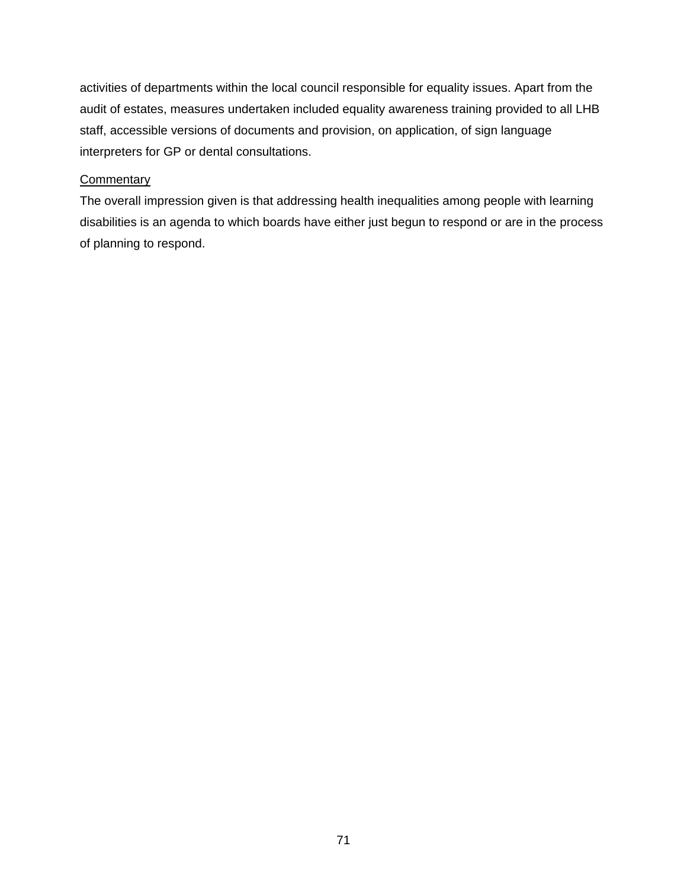activities of departments within the local council responsible for equality issues. Apart from the audit of estates, measures undertaken included equality awareness training provided to all LHB staff, accessible versions of documents and provision, on application, of sign language interpreters for GP or dental consultations.

# **Commentary**

The overall impression given is that addressing health inequalities among people with learning disabilities is an agenda to which boards have either just begun to respond or are in the process of planning to respond.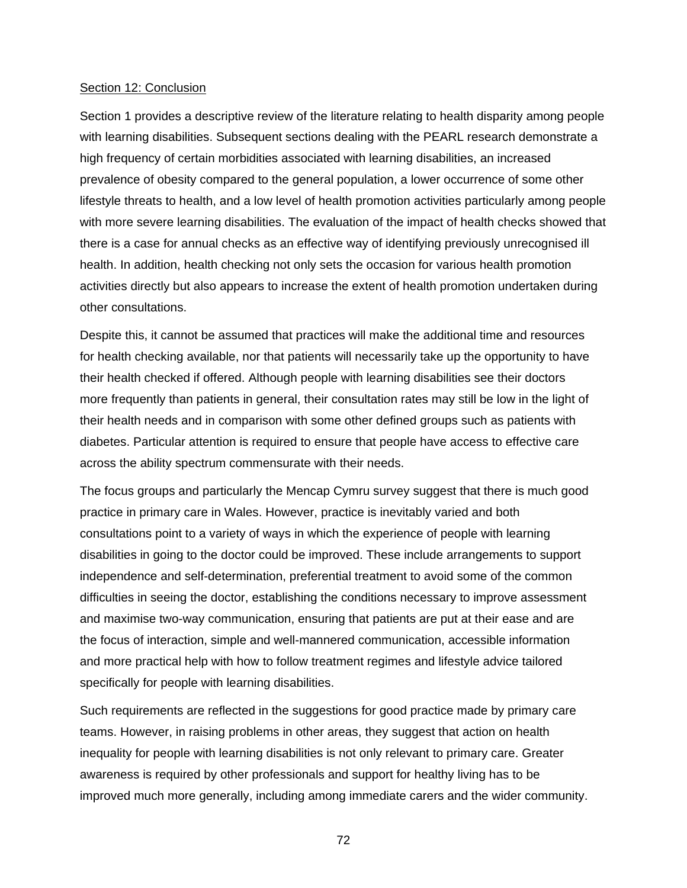#### Section 12: Conclusion

Section 1 provides a descriptive review of the literature relating to health disparity among people with learning disabilities. Subsequent sections dealing with the PEARL research demonstrate a high frequency of certain morbidities associated with learning disabilities, an increased prevalence of obesity compared to the general population, a lower occurrence of some other lifestyle threats to health, and a low level of health promotion activities particularly among people with more severe learning disabilities. The evaluation of the impact of health checks showed that there is a case for annual checks as an effective way of identifying previously unrecognised ill health. In addition, health checking not only sets the occasion for various health promotion activities directly but also appears to increase the extent of health promotion undertaken during other consultations.

Despite this, it cannot be assumed that practices will make the additional time and resources for health checking available, nor that patients will necessarily take up the opportunity to have their health checked if offered. Although people with learning disabilities see their doctors more frequently than patients in general, their consultation rates may still be low in the light of their health needs and in comparison with some other defined groups such as patients with diabetes. Particular attention is required to ensure that people have access to effective care across the ability spectrum commensurate with their needs.

The focus groups and particularly the Mencap Cymru survey suggest that there is much good practice in primary care in Wales. However, practice is inevitably varied and both consultations point to a variety of ways in which the experience of people with learning disabilities in going to the doctor could be improved. These include arrangements to support independence and self-determination, preferential treatment to avoid some of the common difficulties in seeing the doctor, establishing the conditions necessary to improve assessment and maximise two-way communication, ensuring that patients are put at their ease and are the focus of interaction, simple and well-mannered communication, accessible information and more practical help with how to follow treatment regimes and lifestyle advice tailored specifically for people with learning disabilities.

Such requirements are reflected in the suggestions for good practice made by primary care teams. However, in raising problems in other areas, they suggest that action on health inequality for people with learning disabilities is not only relevant to primary care. Greater awareness is required by other professionals and support for healthy living has to be improved much more generally, including among immediate carers and the wider community.

72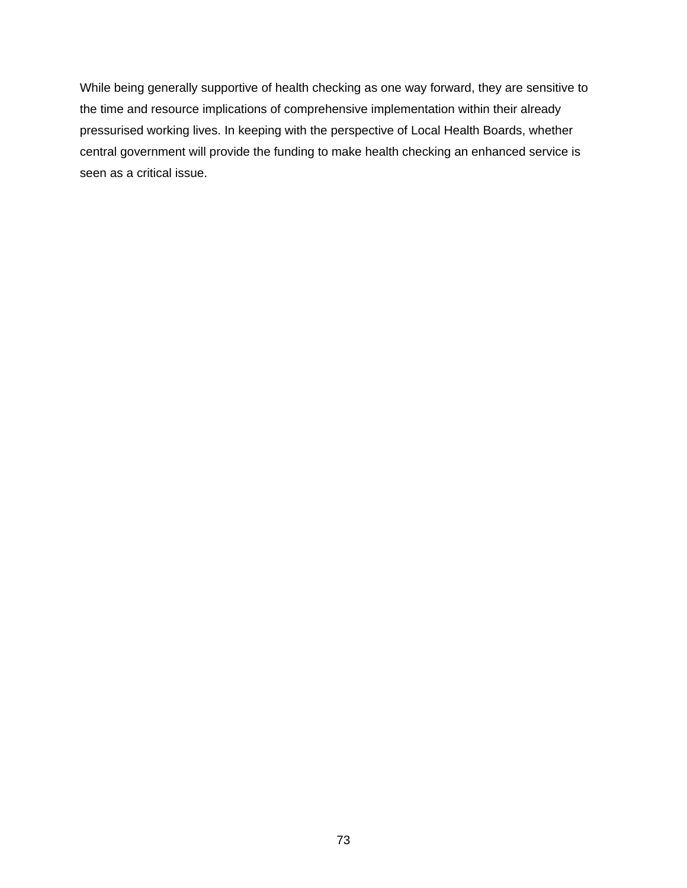While being generally supportive of health checking as one way forward, they are sensitive to the time and resource implications of comprehensive implementation within their already pressurised working lives. In keeping with the perspective of Local Health Boards, whether central government will provide the funding to make health checking an enhanced service is seen as a critical issue.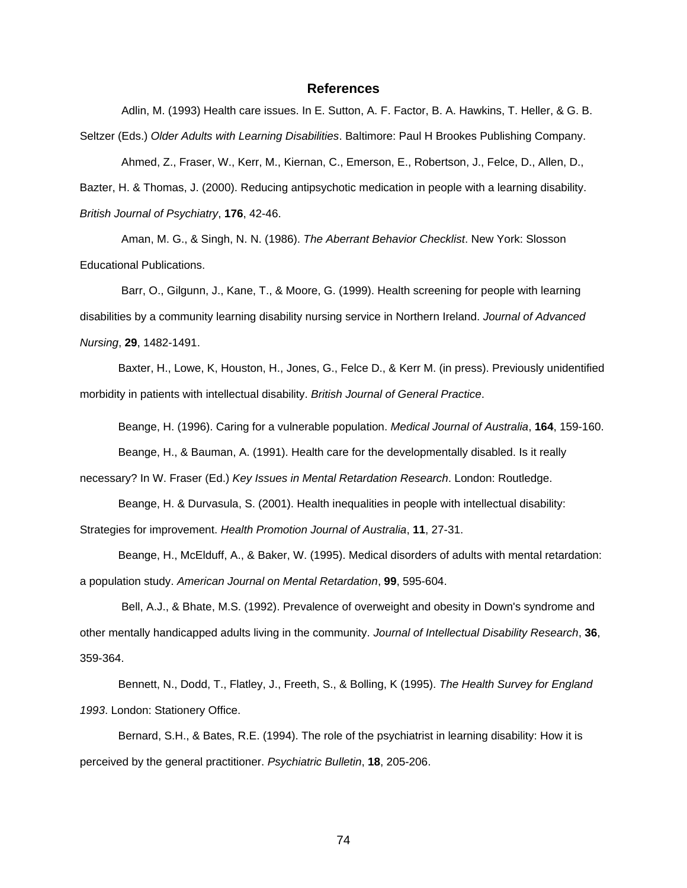#### **References**

Adlin, M. (1993) Health care issues. In E. Sutton, A. F. Factor, B. A. Hawkins, T. Heller, & G. B. Seltzer (Eds.) *Older Adults with Learning Disabilities*. Baltimore: Paul H Brookes Publishing Company. Ahmed, Z., Fraser, W., Kerr, M., Kiernan, C., Emerson, E., Robertson, J., Felce, D., Allen, D., Bazter, H. & Thomas, J. (2000). Reducing antipsychotic medication in people with a learning disability.

*British Journal of Psychiatry*, **176**, 42-46.

Aman, M. G., & Singh, N. N. (1986). *The Aberrant Behavior Checklist*. New York: Slosson Educational Publications.

Barr, O., Gilgunn, J., Kane, T., & Moore, G. (1999). Health screening for people with learning disabilities by a community learning disability nursing service in Northern Ireland. *Journal of Advanced Nursing*, **29**, 1482-1491.

Baxter, H., Lowe, K, Houston, H., Jones, G., Felce D., & Kerr M. (in press). Previously unidentified morbidity in patients with intellectual disability. *British Journal of General Practice*.

Beange, H. (1996). Caring for a vulnerable population. *Medical Journal of Australia*, **164**, 159-160. Beange, H., & Bauman, A. (1991). Health care for the developmentally disabled. Is it really

necessary? In W. Fraser (Ed.) *Key Issues in Mental Retardation Research*. London: Routledge.

Beange, H. & Durvasula, S. (2001). Health inequalities in people with intellectual disability: Strategies for improvement. *Health Promotion Journal of Australia*, **11**, 27-31.

Beange, H., McElduff, A., & Baker, W. (1995). Medical disorders of adults with mental retardation: a population study. *American Journal on Mental Retardation*, **99**, 595-604.

Bell, A.J., & Bhate, M.S. (1992). Prevalence of overweight and obesity in Down's syndrome and other mentally handicapped adults living in the community. *Journal of Intellectual Disability Research*, **36**, 359-364.

Bennett, N., Dodd, T., Flatley, J., Freeth, S., & Bolling, K (1995). *The Health Survey for England 1993*. London: Stationery Office.

Bernard, S.H., & Bates, R.E. (1994). The role of the psychiatrist in learning disability: How it is perceived by the general practitioner. *Psychiatric Bulletin*, **18**, 205-206.

74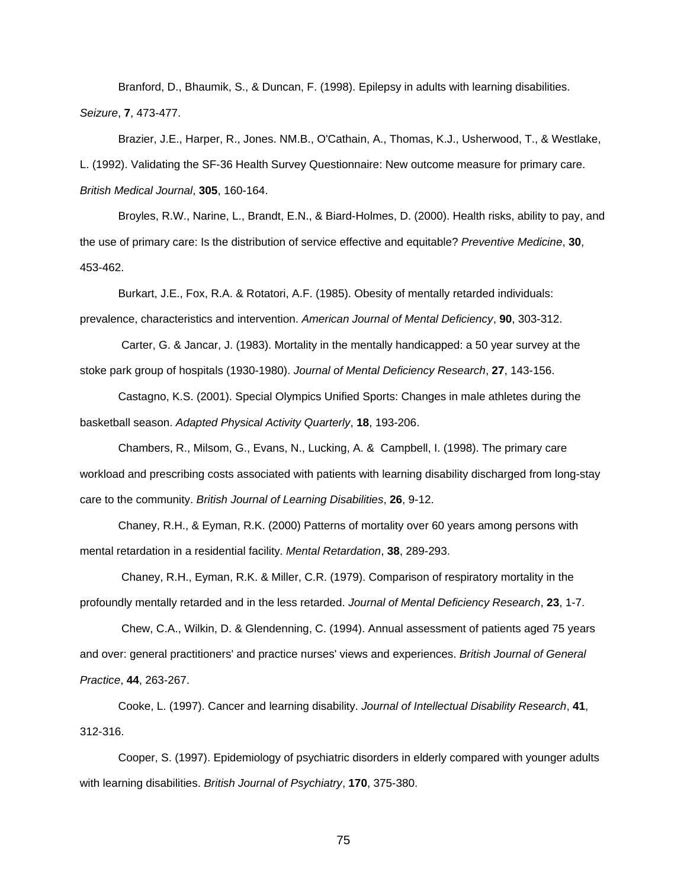Branford, D., Bhaumik, S., & Duncan, F. (1998). Epilepsy in adults with learning disabilities. *Seizure*, **7**, 473-477.

Brazier, J.E., Harper, R., Jones. NM.B., O'Cathain, A., Thomas, K.J., Usherwood, T., & Westlake, L. (1992). Validating the SF-36 Health Survey Questionnaire: New outcome measure for primary care. *British Medical Journal*, **305**, 160-164.

Broyles, R.W., Narine, L., Brandt, E.N., & Biard-Holmes, D. (2000). Health risks, ability to pay, and the use of primary care: Is the distribution of service effective and equitable? *Preventive Medicine*, **30**, 453-462.

Burkart, J.E., Fox, R.A. & Rotatori, A.F. (1985). Obesity of mentally retarded individuals: prevalence, characteristics and intervention. *American Journal of Mental Deficiency*, **90**, 303-312.

Carter, G. & Jancar, J. (1983). Mortality in the mentally handicapped: a 50 year survey at the stoke park group of hospitals (1930-1980). *Journal of Mental Deficiency Research*, **27**, 143-156.

Castagno, K.S. (2001). Special Olympics Unified Sports: Changes in male athletes during the basketball season. *Adapted Physical Activity Quarterly*, **18**, 193-206.

Chambers, R., Milsom, G., Evans, N., Lucking, A. & Campbell, I. (1998). The primary care workload and prescribing costs associated with patients with learning disability discharged from long-stay care to the community. *British Journal of Learning Disabilities*, **26**, 9-12.

Chaney, R.H., & Eyman, R.K. (2000) Patterns of mortality over 60 years among persons with mental retardation in a residential facility. *Mental Retardation*, **38**, 289-293.

Chaney, R.H., Eyman, R.K. & Miller, C.R. (1979). Comparison of respiratory mortality in the profoundly mentally retarded and in the less retarded. *Journal of Mental Deficiency Research*, **23**, 1-7.

Chew, C.A., Wilkin, D. & Glendenning, C. (1994). Annual assessment of patients aged 75 years and over: general practitioners' and practice nurses' views and experiences. *British Journal of General Practice*, **44**, 263-267.

Cooke, L. (1997). Cancer and learning disability. *Journal of Intellectual Disability Research*, **41**, 312-316.

Cooper, S. (1997). Epidemiology of psychiatric disorders in elderly compared with younger adults with learning disabilities. *British Journal of Psychiatry*, **170**, 375-380.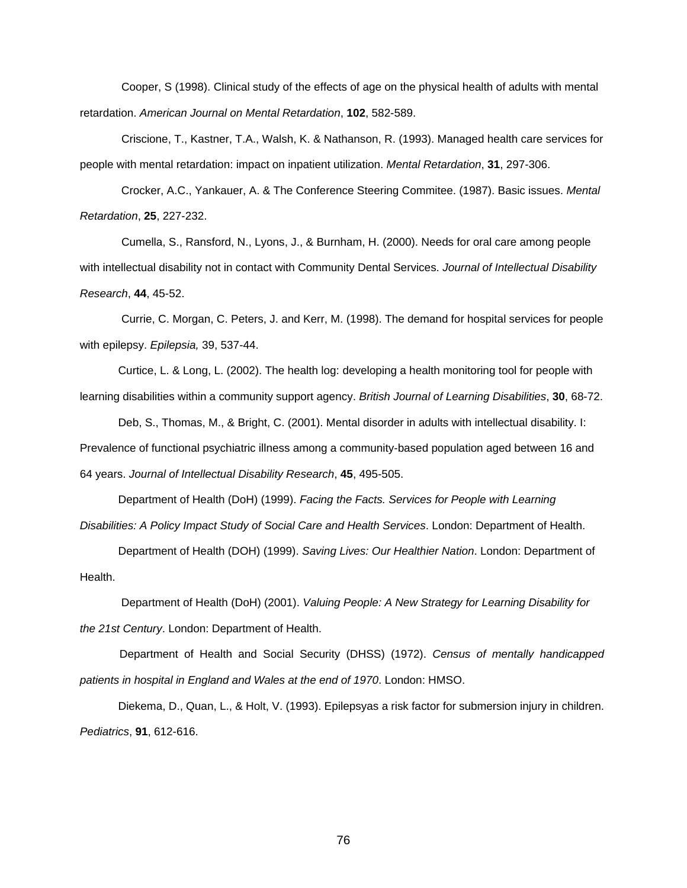Cooper, S (1998). Clinical study of the effects of age on the physical health of adults with mental retardation. *American Journal on Mental Retardation*, **102**, 582-589.

Criscione, T., Kastner, T.A., Walsh, K. & Nathanson, R. (1993). Managed health care services for people with mental retardation: impact on inpatient utilization. *Mental Retardation*, **31**, 297-306.

Crocker, A.C., Yankauer, A. & The Conference Steering Commitee. (1987). Basic issues. *Mental Retardation*, **25**, 227-232.

Cumella, S., Ransford, N., Lyons, J., & Burnham, H. (2000). Needs for oral care among people with intellectual disability not in contact with Community Dental Services. *Journal of Intellectual Disability Research*, **44**, 45-52.

Currie, C. Morgan, C. Peters, J. and Kerr, M. (1998). The demand for hospital services for people with epilepsy. *Epilepsia,* 39, 537-44.

Curtice, L. & Long, L. (2002). The health log: developing a health monitoring tool for people with learning disabilities within a community support agency. *British Journal of Learning Disabilities*, **30**, 68-72.

Deb, S., Thomas, M., & Bright, C. (2001). Mental disorder in adults with intellectual disability. I: Prevalence of functional psychiatric illness among a community-based population aged between 16 and 64 years. *Journal of Intellectual Disability Research*, **45**, 495-505.

Department of Health (DoH) (1999). *Facing the Facts. Services for People with Learning Disabilities: A Policy Impact Study of Social Care and Health Services*. London: Department of Health.

Department of Health (DOH) (1999). *Saving Lives: Our Healthier Nation*. London: Department of Health.

Department of Health (DoH) (2001). *Valuing People: A New Strategy for Learning Disability for the 21st Century*. London: Department of Health.

Department of Health and Social Security (DHSS) (1972). *Census of mentally handicapped patients in hospital in England and Wales at the end of 1970*. London: HMSO.

Diekema, D., Quan, L., & Holt, V. (1993). Epilepsyas a risk factor for submersion injury in children. *Pediatrics*, **91**, 612-616.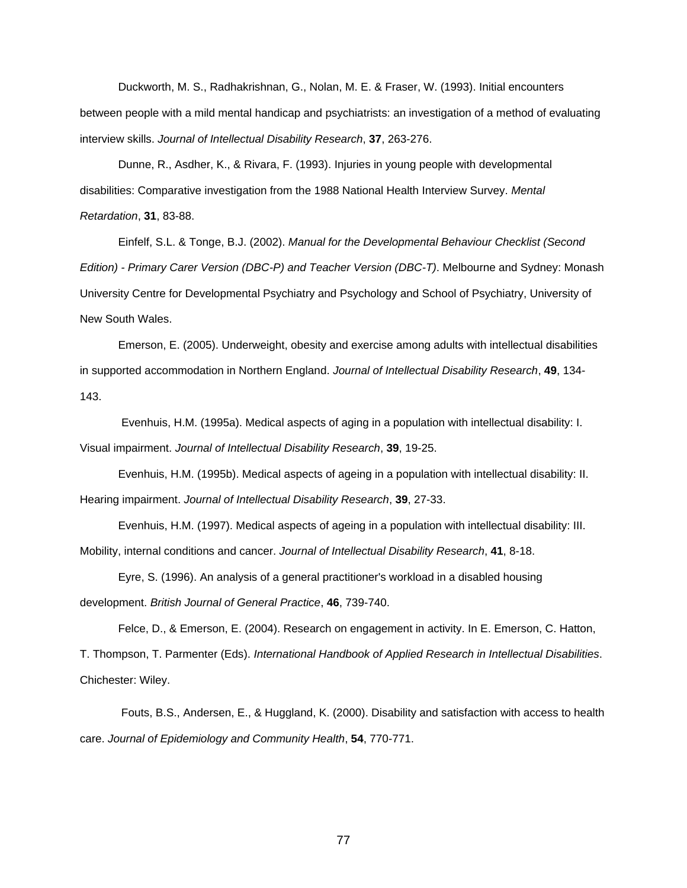Duckworth, M. S., Radhakrishnan, G., Nolan, M. E. & Fraser, W. (1993). Initial encounters between people with a mild mental handicap and psychiatrists: an investigation of a method of evaluating interview skills. *Journal of Intellectual Disability Research*, **37**, 263-276.

Dunne, R., Asdher, K., & Rivara, F. (1993). Injuries in young people with developmental disabilities: Comparative investigation from the 1988 National Health Interview Survey. *Mental Retardation*, **31**, 83-88.

Einfelf, S.L. & Tonge, B.J. (2002). *Manual for the Developmental Behaviour Checklist (Second Edition) - Primary Carer Version (DBC-P) and Teacher Version (DBC-T)*. Melbourne and Sydney: Monash University Centre for Developmental Psychiatry and Psychology and School of Psychiatry, University of New South Wales.

Emerson, E. (2005). Underweight, obesity and exercise among adults with intellectual disabilities in supported accommodation in Northern England. *Journal of Intellectual Disability Research*, **49**, 134- 143.

Evenhuis, H.M. (1995a). Medical aspects of aging in a population with intellectual disability: I. Visual impairment. *Journal of Intellectual Disability Research*, **39**, 19-25.

Evenhuis, H.M. (1995b). Medical aspects of ageing in a population with intellectual disability: II. Hearing impairment. *Journal of Intellectual Disability Research*, **39**, 27-33.

Evenhuis, H.M. (1997). Medical aspects of ageing in a population with intellectual disability: III. Mobility, internal conditions and cancer. *Journal of Intellectual Disability Research*, **41**, 8-18.

Eyre, S. (1996). An analysis of a general practitioner's workload in a disabled housing development. *British Journal of General Practice*, **46**, 739-740.

Felce, D., & Emerson, E. (2004). Research on engagement in activity. In E. Emerson, C. Hatton, T. Thompson, T. Parmenter (Eds). *International Handbook of Applied Research in Intellectual Disabilities*. Chichester: Wiley.

Fouts, B.S., Andersen, E., & Huggland, K. (2000). Disability and satisfaction with access to health care. *Journal of Epidemiology and Community Health*, **54**, 770-771.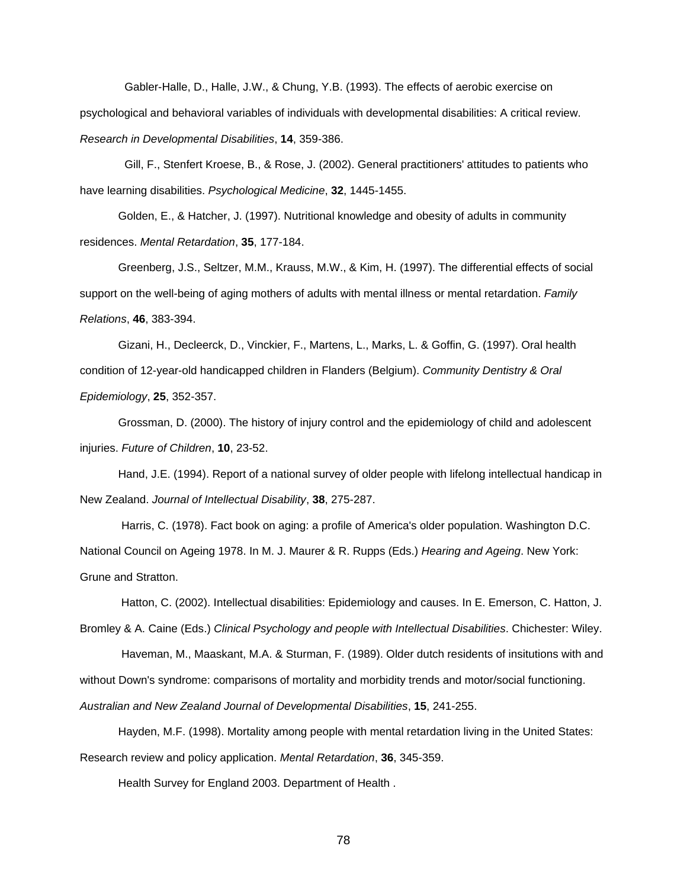Gabler-Halle, D., Halle, J.W., & Chung, Y.B. (1993). The effects of aerobic exercise on psychological and behavioral variables of individuals with developmental disabilities: A critical review. *Research in Developmental Disabilities*, **14**, 359-386.

Gill, F., Stenfert Kroese, B., & Rose, J. (2002). General practitioners' attitudes to patients who have learning disabilities. *Psychological Medicine*, **32**, 1445-1455.

Golden, E., & Hatcher, J. (1997). Nutritional knowledge and obesity of adults in community residences. *Mental Retardation*, **35**, 177-184.

Greenberg, J.S., Seltzer, M.M., Krauss, M.W., & Kim, H. (1997). The differential effects of social support on the well-being of aging mothers of adults with mental illness or mental retardation. *Family Relations*, **46**, 383-394.

Gizani, H., Decleerck, D., Vinckier, F., Martens, L., Marks, L. & Goffin, G. (1997). Oral health condition of 12-year-old handicapped children in Flanders (Belgium). *Community Dentistry & Oral Epidemiology*, **25**, 352-357.

Grossman, D. (2000). The history of injury control and the epidemiology of child and adolescent injuries. *Future of Children*, **10**, 23-52.

Hand, J.E. (1994). Report of a national survey of older people with lifelong intellectual handicap in New Zealand. *Journal of Intellectual Disability*, **38**, 275-287.

Harris, C. (1978). Fact book on aging: a profile of America's older population. Washington D.C. National Council on Ageing 1978. In M. J. Maurer & R. Rupps (Eds.) *Hearing and Ageing*. New York: Grune and Stratton.

Hatton, C. (2002). Intellectual disabilities: Epidemiology and causes. In E. Emerson, C. Hatton, J.

Bromley & A. Caine (Eds.) *Clinical Psychology and people with Intellectual Disabilities*. Chichester: Wiley.

Haveman, M., Maaskant, M.A. & Sturman, F. (1989). Older dutch residents of insitutions with and without Down's syndrome: comparisons of mortality and morbidity trends and motor/social functioning.

*Australian and New Zealand Journal of Developmental Disabilities*, **15**, 241-255.

Hayden, M.F. (1998). Mortality among people with mental retardation living in the United States: Research review and policy application. *Mental Retardation*, **36**, 345-359.

Health Survey for England 2003. Department of Health .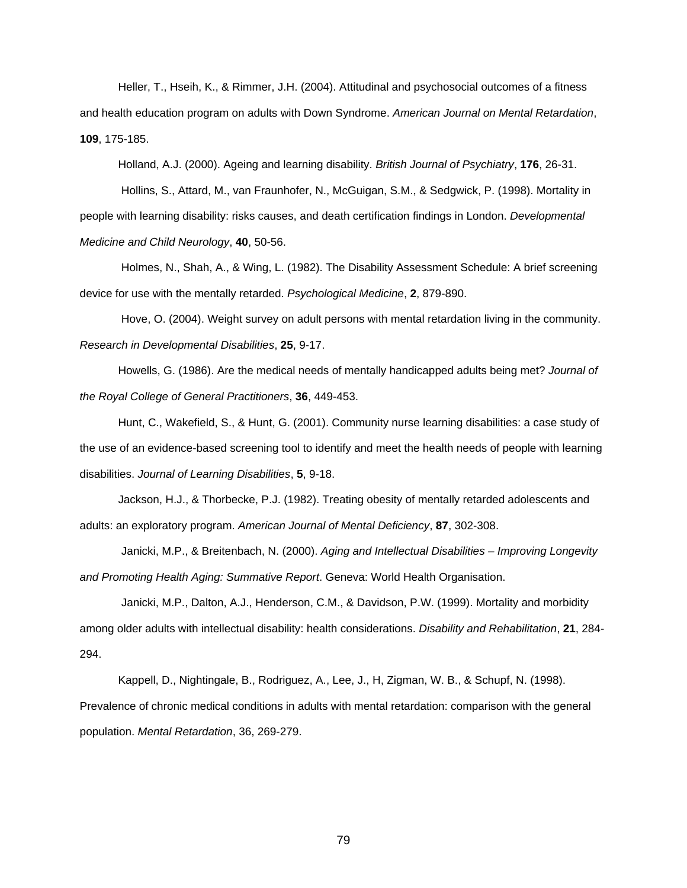Heller, T., Hseih, K., & Rimmer, J.H. (2004). Attitudinal and psychosocial outcomes of a fitness and health education program on adults with Down Syndrome. *American Journal on Mental Retardation*, **109**, 175-185.

Holland, A.J. (2000). Ageing and learning disability. *British Journal of Psychiatry*, **176**, 26-31.

Hollins, S., Attard, M., van Fraunhofer, N., McGuigan, S.M., & Sedgwick, P. (1998). Mortality in people with learning disability: risks causes, and death certification findings in London. *Developmental Medicine and Child Neurology*, **40**, 50-56.

Holmes, N., Shah, A., & Wing, L. (1982). The Disability Assessment Schedule: A brief screening device for use with the mentally retarded. *Psychological Medicine*, **2**, 879-890.

Hove, O. (2004). Weight survey on adult persons with mental retardation living in the community. *Research in Developmental Disabilities*, **25**, 9-17.

Howells, G. (1986). Are the medical needs of mentally handicapped adults being met? *Journal of the Royal College of General Practitioners*, **36**, 449-453.

Hunt, C., Wakefield, S., & Hunt, G. (2001). Community nurse learning disabilities: a case study of the use of an evidence-based screening tool to identify and meet the health needs of people with learning disabilities. *Journal of Learning Disabilities*, **5**, 9-18.

Jackson, H.J., & Thorbecke, P.J. (1982). Treating obesity of mentally retarded adolescents and adults: an exploratory program. *American Journal of Mental Deficiency*, **87**, 302-308.

Janicki, M.P., & Breitenbach, N. (2000). *Aging and Intellectual Disabilities – Improving Longevity and Promoting Health Aging: Summative Report*. Geneva: World Health Organisation.

Janicki, M.P., Dalton, A.J., Henderson, C.M., & Davidson, P.W. (1999). Mortality and morbidity among older adults with intellectual disability: health considerations. *Disability and Rehabilitation*, **21**, 284- 294.

Kappell, D., Nightingale, B., Rodriguez, A., Lee, J., H, Zigman, W. B., & Schupf, N. (1998). Prevalence of chronic medical conditions in adults with mental retardation: comparison with the general population. *Mental Retardation*, 36, 269-279.

79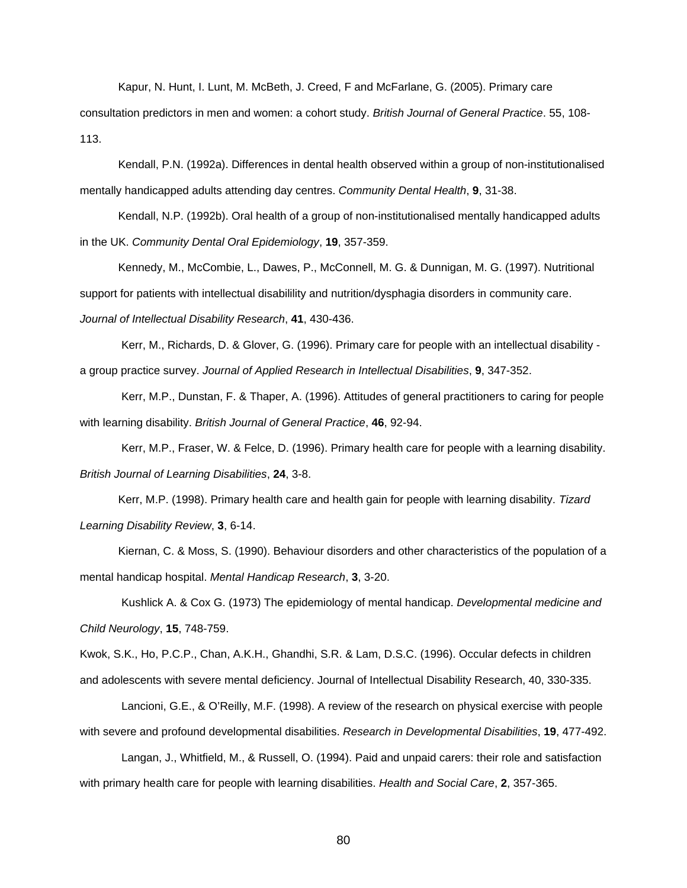Kapur, N. Hunt, I. Lunt, M. McBeth, J. Creed, F and McFarlane, G. (2005). Primary care

consultation predictors in men and women: a cohort study. *British Journal of General Practice*. 55, 108- 113.

Kendall, P.N. (1992a). Differences in dental health observed within a group of non-institutionalised mentally handicapped adults attending day centres. *Community Dental Health*, **9**, 31-38.

Kendall, N.P. (1992b). Oral health of a group of non-institutionalised mentally handicapped adults in the UK. *Community Dental Oral Epidemiology*, **19**, 357-359.

Kennedy, M., McCombie, L., Dawes, P., McConnell, M. G. & Dunnigan, M. G. (1997). Nutritional support for patients with intellectual disabilility and nutrition/dysphagia disorders in community care. *Journal of Intellectual Disability Research*, **41**, 430-436.

Kerr, M., Richards, D. & Glover, G. (1996). Primary care for people with an intellectual disability a group practice survey. *Journal of Applied Research in Intellectual Disabilities*, **9**, 347-352.

Kerr, M.P., Dunstan, F. & Thaper, A. (1996). Attitudes of general practitioners to caring for people with learning disability. *British Journal of General Practice*, **46**, 92-94.

Kerr, M.P., Fraser, W. & Felce, D. (1996). Primary health care for people with a learning disability. *British Journal of Learning Disabilities*, **24**, 3-8.

Kerr, M.P. (1998). Primary health care and health gain for people with learning disability. *Tizard Learning Disability Review*, **3**, 6-14.

Kiernan, C. & Moss, S. (1990). Behaviour disorders and other characteristics of the population of a mental handicap hospital. *Mental Handicap Research*, **3**, 3-20.

Kushlick A. & Cox G. (1973) The epidemiology of mental handicap. *Developmental medicine and Child Neurology*, **15**, 748-759.

Kwok, S.K., Ho, P.C.P., Chan, A.K.H., Ghandhi, S.R. & Lam, D.S.C. (1996). Occular defects in children and adolescents with severe mental deficiency. Journal of Intellectual Disability Research, 40, 330-335.

Lancioni, G.E., & O'Reilly, M.F. (1998). A review of the research on physical exercise with people with severe and profound developmental disabilities. *Research in Developmental Disabilities*, **19**, 477-492.

Langan, J., Whitfield, M., & Russell, O. (1994). Paid and unpaid carers: their role and satisfaction with primary health care for people with learning disabilities. *Health and Social Care*, **2**, 357-365.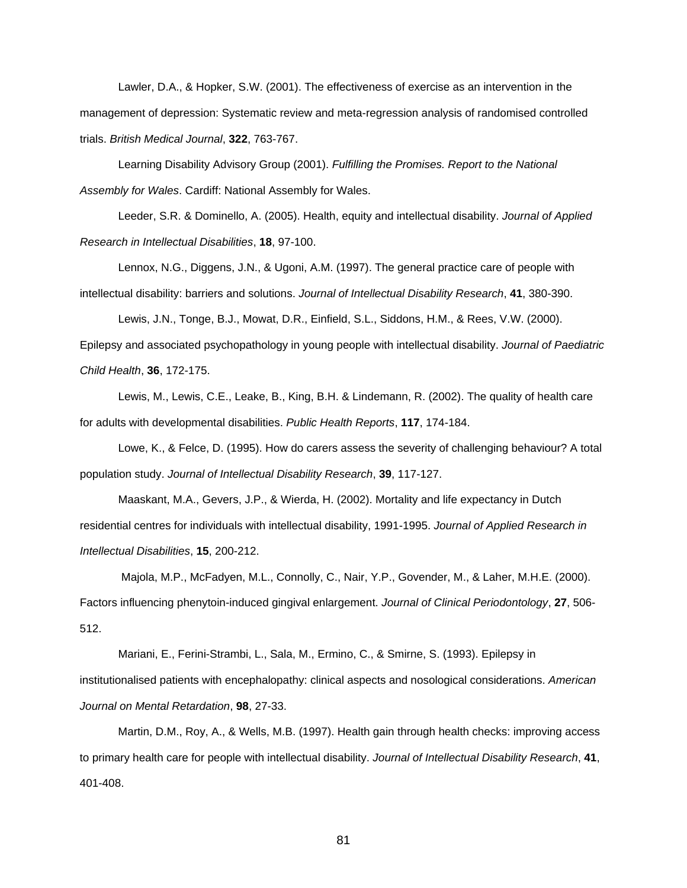Lawler, D.A., & Hopker, S.W. (2001). The effectiveness of exercise as an intervention in the management of depression: Systematic review and meta-regression analysis of randomised controlled trials. *British Medical Journal*, **322**, 763-767.

Learning Disability Advisory Group (2001). *Fulfilling the Promises. Report to the National Assembly for Wales*. Cardiff: National Assembly for Wales.

Leeder, S.R. & Dominello, A. (2005). Health, equity and intellectual disability. *Journal of Applied Research in Intellectual Disabilities*, **18**, 97-100.

Lennox, N.G., Diggens, J.N., & Ugoni, A.M. (1997). The general practice care of people with intellectual disability: barriers and solutions. *Journal of Intellectual Disability Research*, **41**, 380-390.

Lewis, J.N., Tonge, B.J., Mowat, D.R., Einfield, S.L., Siddons, H.M., & Rees, V.W. (2000).

Epilepsy and associated psychopathology in young people with intellectual disability. *Journal of Paediatric Child Health*, **36**, 172-175.

Lewis, M., Lewis, C.E., Leake, B., King, B.H. & Lindemann, R. (2002). The quality of health care for adults with developmental disabilities. *Public Health Reports*, **117**, 174-184.

Lowe, K., & Felce, D. (1995). How do carers assess the severity of challenging behaviour? A total population study. *Journal of Intellectual Disability Research*, **39**, 117-127.

Maaskant, M.A., Gevers, J.P., & Wierda, H. (2002). Mortality and life expectancy in Dutch residential centres for individuals with intellectual disability, 1991-1995. *Journal of Applied Research in Intellectual Disabilities*, **15**, 200-212.

Majola, M.P., McFadyen, M.L., Connolly, C., Nair, Y.P., Govender, M., & Laher, M.H.E. (2000). Factors influencing phenytoin-induced gingival enlargement. *Journal of Clinical Periodontology*, **27**, 506- 512.

Mariani, E., Ferini-Strambi, L., Sala, M., Ermino, C., & Smirne, S. (1993). Epilepsy in institutionalised patients with encephalopathy: clinical aspects and nosological considerations. *American Journal on Mental Retardation*, **98**, 27-33.

Martin, D.M., Roy, A., & Wells, M.B. (1997). Health gain through health checks: improving access to primary health care for people with intellectual disability. *Journal of Intellectual Disability Research*, **41**, 401-408.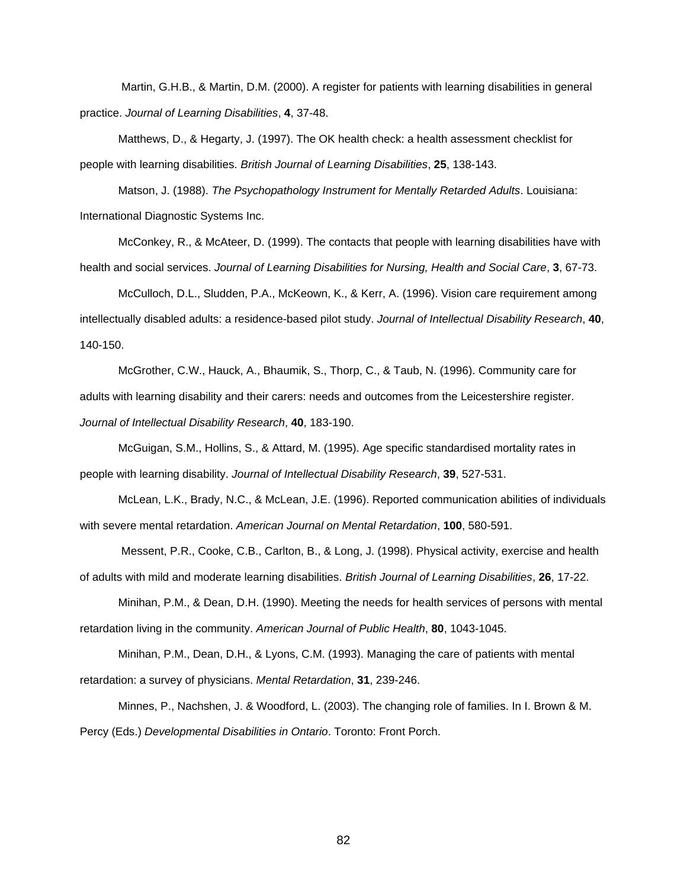Martin, G.H.B., & Martin, D.M. (2000). A register for patients with learning disabilities in general practice. *Journal of Learning Disabilities*, **4**, 37-48.

Matthews, D., & Hegarty, J. (1997). The OK health check: a health assessment checklist for people with learning disabilities. *British Journal of Learning Disabilities*, **25**, 138-143.

Matson, J. (1988). *The Psychopathology Instrument for Mentally Retarded Adults*. Louisiana: International Diagnostic Systems Inc.

McConkey, R., & McAteer, D. (1999). The contacts that people with learning disabilities have with health and social services. *Journal of Learning Disabilities for Nursing, Health and Social Care*, **3**, 67-73.

McCulloch, D.L., Sludden, P.A., McKeown, K., & Kerr, A. (1996). Vision care requirement among intellectually disabled adults: a residence-based pilot study. *Journal of Intellectual Disability Research*, **40**, 140-150.

McGrother, C.W., Hauck, A., Bhaumik, S., Thorp, C., & Taub, N. (1996). Community care for adults with learning disability and their carers: needs and outcomes from the Leicestershire register. *Journal of Intellectual Disability Research*, **40**, 183-190.

McGuigan, S.M., Hollins, S., & Attard, M. (1995). Age specific standardised mortality rates in people with learning disability. *Journal of Intellectual Disability Research*, **39**, 527-531.

McLean, L.K., Brady, N.C., & McLean, J.E. (1996). Reported communication abilities of individuals with severe mental retardation. *American Journal on Mental Retardation*, **100**, 580-591.

Messent, P.R., Cooke, C.B., Carlton, B., & Long, J. (1998). Physical activity, exercise and health of adults with mild and moderate learning disabilities. *British Journal of Learning Disabilities*, **26**, 17-22.

Minihan, P.M., & Dean, D.H. (1990). Meeting the needs for health services of persons with mental retardation living in the community. *American Journal of Public Health*, **80**, 1043-1045.

Minihan, P.M., Dean, D.H., & Lyons, C.M. (1993). Managing the care of patients with mental retardation: a survey of physicians. *Mental Retardation*, **31**, 239-246.

Minnes, P., Nachshen, J. & Woodford, L. (2003). The changing role of families. In I. Brown & M. Percy (Eds.) *Developmental Disabilities in Ontario*. Toronto: Front Porch.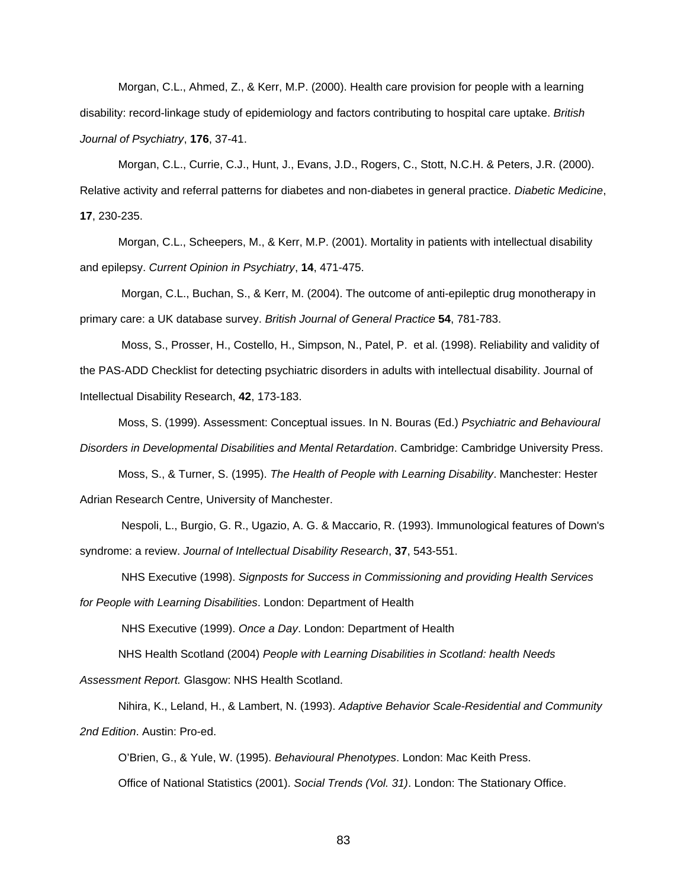Morgan, C.L., Ahmed, Z., & Kerr, M.P. (2000). Health care provision for people with a learning disability: record-linkage study of epidemiology and factors contributing to hospital care uptake. *British Journal of Psychiatry*, **176**, 37-41.

Morgan, C.L., Currie, C.J., Hunt, J., Evans, J.D., Rogers, C., Stott, N.C.H. & Peters, J.R. (2000). Relative activity and referral patterns for diabetes and non-diabetes in general practice. *Diabetic Medicine*, **17**, 230-235.

Morgan, C.L., Scheepers, M., & Kerr, M.P. (2001). Mortality in patients with intellectual disability and epilepsy. *Current Opinion in Psychiatry*, **14**, 471-475.

Morgan, C.L., Buchan, S., & Kerr, M. (2004). The outcome of anti-epileptic drug monotherapy in primary care: a UK database survey. *British Journal of General Practice* **54**, 781-783.

Moss, S., Prosser, H., Costello, H., Simpson, N., Patel, P. et al. (1998). Reliability and validity of the PAS-ADD Checklist for detecting psychiatric disorders in adults with intellectual disability. Journal of Intellectual Disability Research, **42**, 173-183.

Moss, S. (1999). Assessment: Conceptual issues. In N. Bouras (Ed.) *Psychiatric and Behavioural Disorders in Developmental Disabilities and Mental Retardation*. Cambridge: Cambridge University Press.

Moss, S., & Turner, S. (1995). *The Health of People with Learning Disability*. Manchester: Hester Adrian Research Centre, University of Manchester.

Nespoli, L., Burgio, G. R., Ugazio, A. G. & Maccario, R. (1993). Immunological features of Down's syndrome: a review. *Journal of Intellectual Disability Research*, **37**, 543-551.

NHS Executive (1998). *Signposts for Success in Commissioning and providing Health Services for People with Learning Disabilities*. London: Department of Health

NHS Executive (1999). *Once a Day*. London: Department of Health

NHS Health Scotland (2004) *People with Learning Disabilities in Scotland: health Needs Assessment Report.* Glasgow: NHS Health Scotland.

Nihira, K., Leland, H., & Lambert, N. (1993). *Adaptive Behavior Scale-Residential and Community 2nd Edition*. Austin: Pro-ed.

O'Brien, G., & Yule, W. (1995). *Behavioural Phenotypes*. London: Mac Keith Press. Office of National Statistics (2001). *Social Trends (Vol. 31)*. London: The Stationary Office.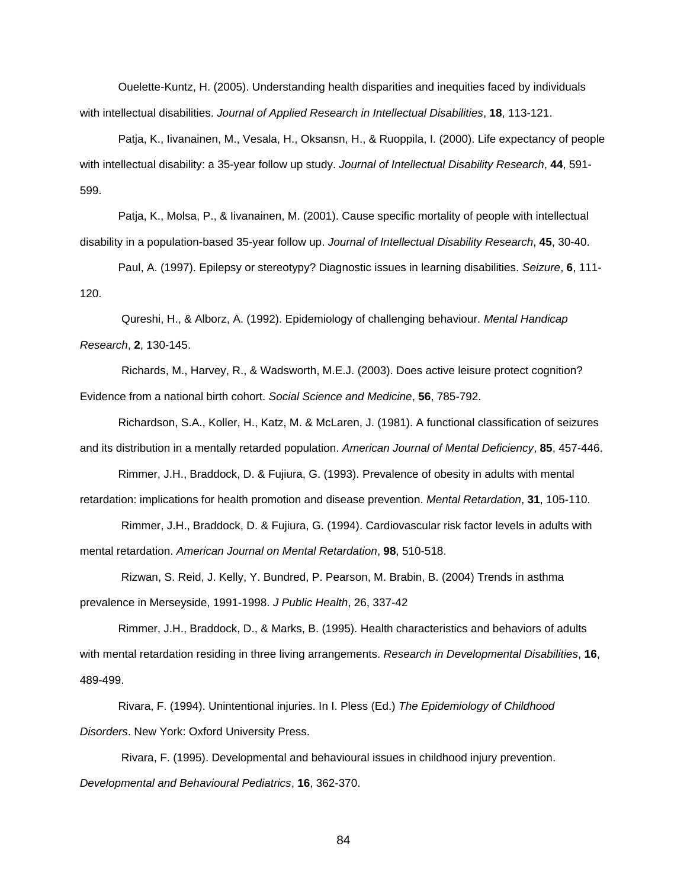Ouelette-Kuntz, H. (2005). Understanding health disparities and inequities faced by individuals with intellectual disabilities. *Journal of Applied Research in Intellectual Disabilities*, **18**, 113-121.

Patja, K., Iivanainen, M., Vesala, H., Oksansn, H., & Ruoppila, I. (2000). Life expectancy of people with intellectual disability: a 35-year follow up study. *Journal of Intellectual Disability Research*, **44**, 591- 599.

Patja, K., Molsa, P., & Iivanainen, M. (2001). Cause specific mortality of people with intellectual disability in a population-based 35-year follow up. *Journal of Intellectual Disability Research*, **45**, 30-40.

Paul, A. (1997). Epilepsy or stereotypy? Diagnostic issues in learning disabilities. *Seizure*, **6**, 111- 120.

Qureshi, H., & Alborz, A. (1992). Epidemiology of challenging behaviour. *Mental Handicap Research*, **2**, 130-145.

Richards, M., Harvey, R., & Wadsworth, M.E.J. (2003). Does active leisure protect cognition? Evidence from a national birth cohort. *Social Science and Medicine*, **56**, 785-792.

Richardson, S.A., Koller, H., Katz, M. & McLaren, J. (1981). A functional classification of seizures and its distribution in a mentally retarded population. *American Journal of Mental Deficiency*, **85**, 457-446.

Rimmer, J.H., Braddock, D. & Fujiura, G. (1993). Prevalence of obesity in adults with mental retardation: implications for health promotion and disease prevention. *Mental Retardation*, **31**, 105-110.

Rimmer, J.H., Braddock, D. & Fujiura, G. (1994). Cardiovascular risk factor levels in adults with mental retardation. *American Journal on Mental Retardation*, **98**, 510-518.

Rizwan, S. Reid, J. Kelly, Y. Bundred, P. Pearson, M. Brabin, B. (2004) Trends in asthma prevalence in Merseyside, 1991-1998. *J Public Health*, 26, 337-42

Rimmer, J.H., Braddock, D., & Marks, B. (1995). Health characteristics and behaviors of adults with mental retardation residing in three living arrangements. *Research in Developmental Disabilities*, **16**, 489-499.

Rivara, F. (1994). Unintentional injuries. In I. Pless (Ed.) *The Epidemiology of Childhood Disorders*. New York: Oxford University Press.

Rivara, F. (1995). Developmental and behavioural issues in childhood injury prevention. *Developmental and Behavioural Pediatrics*, **16**, 362-370.

84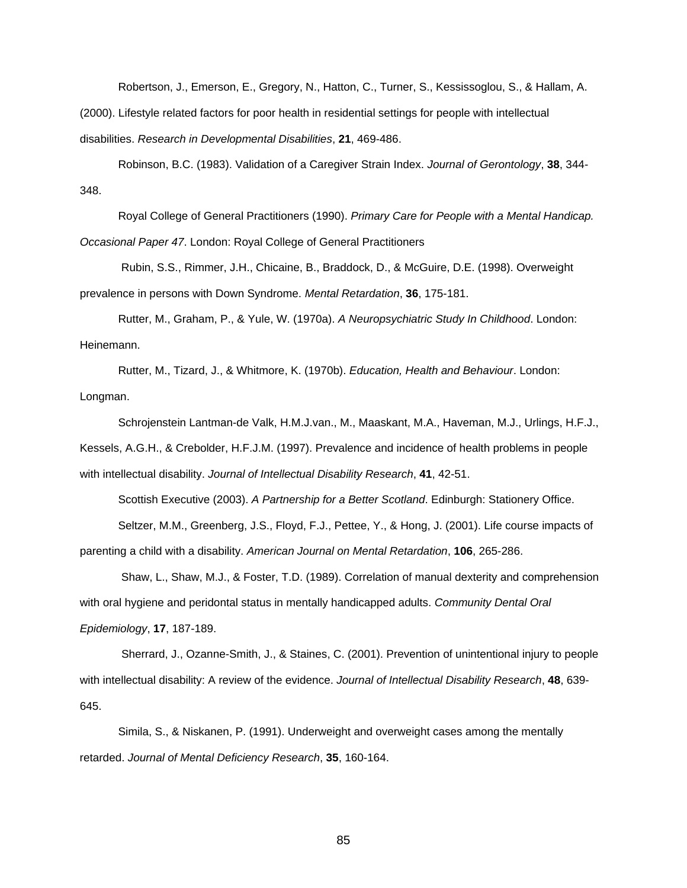Robertson, J., Emerson, E., Gregory, N., Hatton, C., Turner, S., Kessissoglou, S., & Hallam, A.

(2000). Lifestyle related factors for poor health in residential settings for people with intellectual disabilities. *Research in Developmental Disabilities*, **21**, 469-486.

Robinson, B.C. (1983). Validation of a Caregiver Strain Index. *Journal of Gerontology*, **38**, 344- 348.

Royal College of General Practitioners (1990). *Primary Care for People with a Mental Handicap. Occasional Paper 47*. London: Royal College of General Practitioners

Rubin, S.S., Rimmer, J.H., Chicaine, B., Braddock, D., & McGuire, D.E. (1998). Overweight prevalence in persons with Down Syndrome. *Mental Retardation*, **36**, 175-181.

Rutter, M., Graham, P., & Yule, W. (1970a). *A Neuropsychiatric Study In Childhood*. London: Heinemann.

Rutter, M., Tizard, J., & Whitmore, K. (1970b). *Education, Health and Behaviour*. London: Longman.

Schrojenstein Lantman-de Valk, H.M.J.van., M., Maaskant, M.A., Haveman, M.J., Urlings, H.F.J., Kessels, A.G.H., & Crebolder, H.F.J.M. (1997). Prevalence and incidence of health problems in people with intellectual disability. *Journal of Intellectual Disability Research*, **41**, 42-51.

Scottish Executive (2003). *A Partnership for a Better Scotland*. Edinburgh: Stationery Office.

Seltzer, M.M., Greenberg, J.S., Floyd, F.J., Pettee, Y., & Hong, J. (2001). Life course impacts of parenting a child with a disability. *American Journal on Mental Retardation*, **106**, 265-286.

Shaw, L., Shaw, M.J., & Foster, T.D. (1989). Correlation of manual dexterity and comprehension with oral hygiene and peridontal status in mentally handicapped adults. *Community Dental Oral Epidemiology*, **17**, 187-189.

Sherrard, J., Ozanne-Smith, J., & Staines, C. (2001). Prevention of unintentional injury to people with intellectual disability: A review of the evidence. *Journal of Intellectual Disability Research*, **48**, 639- 645.

Simila, S., & Niskanen, P. (1991). Underweight and overweight cases among the mentally retarded. *Journal of Mental Deficiency Research*, **35**, 160-164.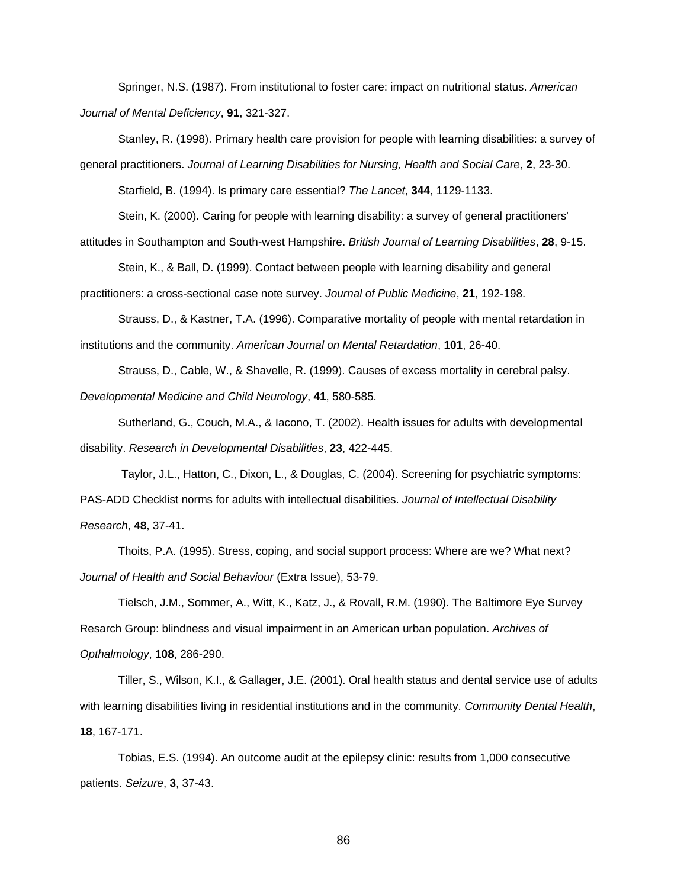Springer, N.S. (1987). From institutional to foster care: impact on nutritional status. *American Journal of Mental Deficiency*, **91**, 321-327.

Stanley, R. (1998). Primary health care provision for people with learning disabilities: a survey of general practitioners. *Journal of Learning Disabilities for Nursing, Health and Social Care*, **2**, 23-30.

Starfield, B. (1994). Is primary care essential? *The Lancet*, **344**, 1129-1133.

Stein, K. (2000). Caring for people with learning disability: a survey of general practitioners'

attitudes in Southampton and South-west Hampshire. *British Journal of Learning Disabilities*, **28**, 9-15.

Stein, K., & Ball, D. (1999). Contact between people with learning disability and general

practitioners: a cross-sectional case note survey. *Journal of Public Medicine*, **21**, 192-198.

Strauss, D., & Kastner, T.A. (1996). Comparative mortality of people with mental retardation in institutions and the community. *American Journal on Mental Retardation*, **101**, 26-40.

Strauss, D., Cable, W., & Shavelle, R. (1999). Causes of excess mortality in cerebral palsy.

*Developmental Medicine and Child Neurology*, **41**, 580-585.

Sutherland, G., Couch, M.A., & Iacono, T. (2002). Health issues for adults with developmental disability. *Research in Developmental Disabilities*, **23**, 422-445.

Taylor, J.L., Hatton, C., Dixon, L., & Douglas, C. (2004). Screening for psychiatric symptoms: PAS-ADD Checklist norms for adults with intellectual disabilities. *Journal of Intellectual Disability Research*, **48**, 37-41.

Thoits, P.A. (1995). Stress, coping, and social support process: Where are we? What next? *Journal of Health and Social Behaviour* (Extra Issue), 53-79.

Tielsch, J.M., Sommer, A., Witt, K., Katz, J., & Rovall, R.M. (1990). The Baltimore Eye Survey Resarch Group: blindness and visual impairment in an American urban population. *Archives of Opthalmology*, **108**, 286-290.

Tiller, S., Wilson, K.I., & Gallager, J.E. (2001). Oral health status and dental service use of adults with learning disabilities living in residential institutions and in the community. *Community Dental Health*, **18**, 167-171.

Tobias, E.S. (1994). An outcome audit at the epilepsy clinic: results from 1,000 consecutive patients. *Seizure*, **3**, 37-43.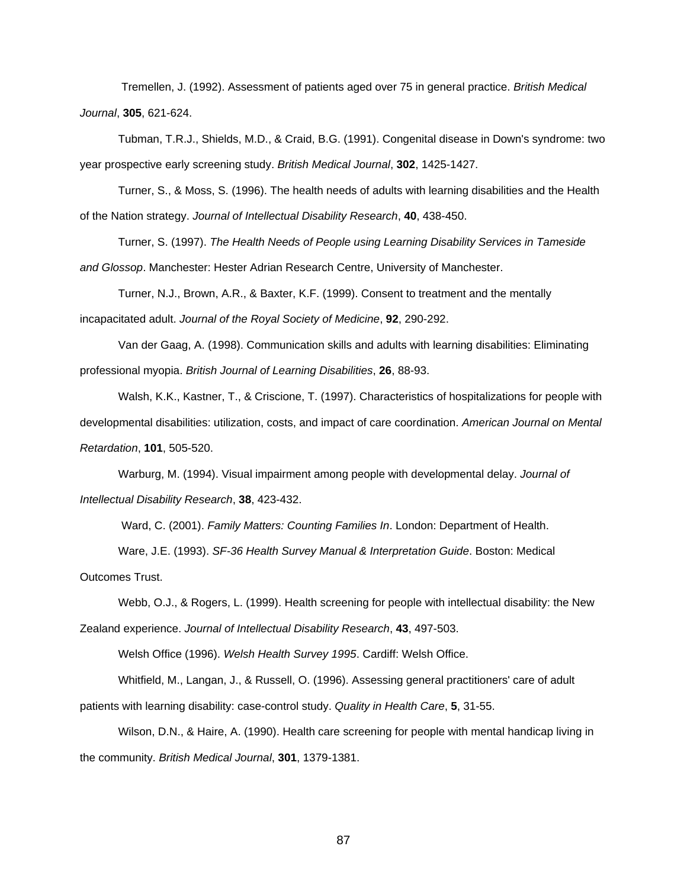Tremellen, J. (1992). Assessment of patients aged over 75 in general practice. *British Medical Journal*, **305**, 621-624.

Tubman, T.R.J., Shields, M.D., & Craid, B.G. (1991). Congenital disease in Down's syndrome: two year prospective early screening study. *British Medical Journal*, **302**, 1425-1427.

Turner, S., & Moss, S. (1996). The health needs of adults with learning disabilities and the Health of the Nation strategy. *Journal of Intellectual Disability Research*, **40**, 438-450.

Turner, S. (1997). *The Health Needs of People using Learning Disability Services in Tameside and Glossop*. Manchester: Hester Adrian Research Centre, University of Manchester.

Turner, N.J., Brown, A.R., & Baxter, K.F. (1999). Consent to treatment and the mentally incapacitated adult. *Journal of the Royal Society of Medicine*, **92**, 290-292.

Van der Gaag, A. (1998). Communication skills and adults with learning disabilities: Eliminating professional myopia. *British Journal of Learning Disabilities*, **26**, 88-93.

Walsh, K.K., Kastner, T., & Criscione, T. (1997). Characteristics of hospitalizations for people with developmental disabilities: utilization, costs, and impact of care coordination. *American Journal on Mental Retardation*, **101**, 505-520.

Warburg, M. (1994). Visual impairment among people with developmental delay. *Journal of Intellectual Disability Research*, **38**, 423-432.

Ward, C. (2001). *Family Matters: Counting Families In*. London: Department of Health.

Ware, J.E. (1993). *SF-36 Health Survey Manual & Interpretation Guide*. Boston: Medical

Outcomes Trust.

Webb, O.J., & Rogers, L. (1999). Health screening for people with intellectual disability: the New

Zealand experience. *Journal of Intellectual Disability Research*, **43**, 497-503.

Welsh Office (1996). *Welsh Health Survey 1995*. Cardiff: Welsh Office.

Whitfield, M., Langan, J., & Russell, O. (1996). Assessing general practitioners' care of adult

patients with learning disability: case-control study. *Quality in Health Care*, **5**, 31-55.

Wilson, D.N., & Haire, A. (1990). Health care screening for people with mental handicap living in the community. *British Medical Journal*, **301**, 1379-1381.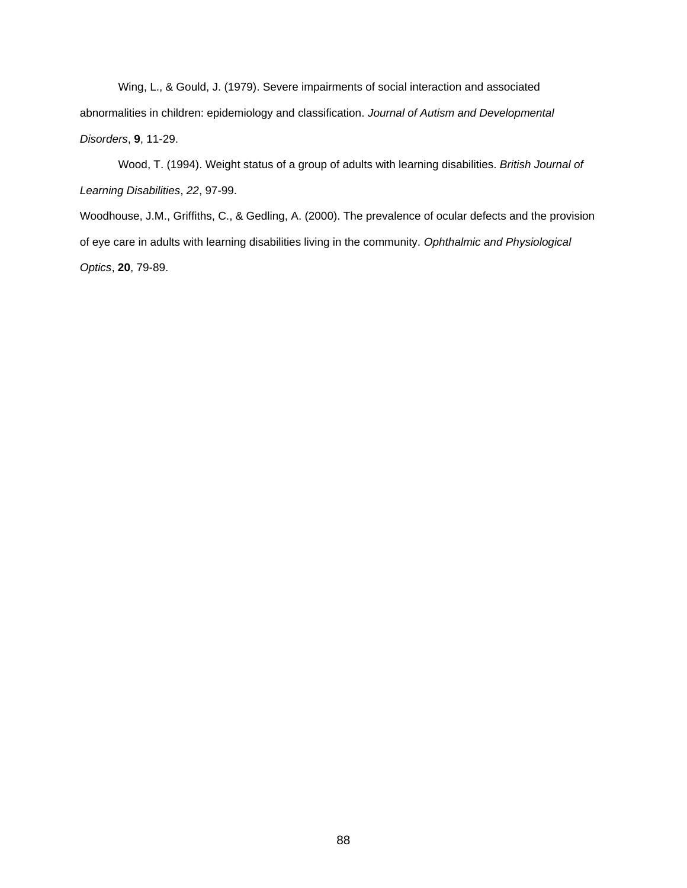Wing, L., & Gould, J. (1979). Severe impairments of social interaction and associated abnormalities in children: epidemiology and classification. *Journal of Autism and Developmental Disorders*, **9**, 11-29.

Wood, T. (1994). Weight status of a group of adults with learning disabilities. *British Journal of Learning Disabilities*, *22*, 97-99.

Woodhouse, J.M., Griffiths, C., & Gedling, A. (2000). The prevalence of ocular defects and the provision of eye care in adults with learning disabilities living in the community. *Ophthalmic and Physiological Optics*, **20**, 79-89.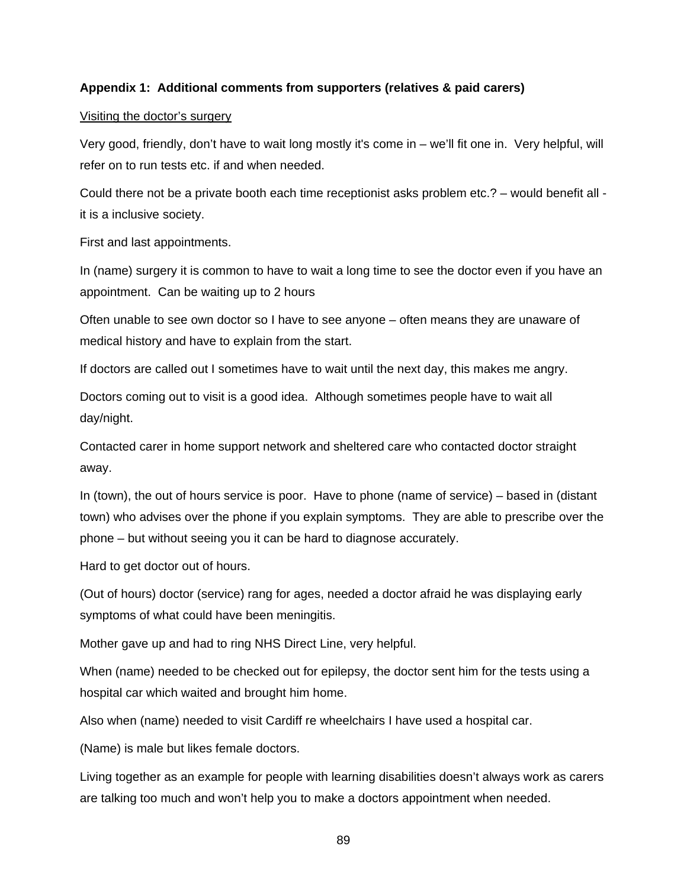# **Appendix 1: Additional comments from supporters (relatives & paid carers)**

## Visiting the doctor's surgery

Very good, friendly, don't have to wait long mostly it's come in – we'll fit one in. Very helpful, will refer on to run tests etc. if and when needed.

Could there not be a private booth each time receptionist asks problem etc.? – would benefit all it is a inclusive society.

First and last appointments.

In (name) surgery it is common to have to wait a long time to see the doctor even if you have an appointment. Can be waiting up to 2 hours

Often unable to see own doctor so I have to see anyone – often means they are unaware of medical history and have to explain from the start.

If doctors are called out I sometimes have to wait until the next day, this makes me angry.

Doctors coming out to visit is a good idea. Although sometimes people have to wait all day/night.

Contacted carer in home support network and sheltered care who contacted doctor straight away.

In (town), the out of hours service is poor. Have to phone (name of service) – based in (distant town) who advises over the phone if you explain symptoms. They are able to prescribe over the phone – but without seeing you it can be hard to diagnose accurately.

Hard to get doctor out of hours.

(Out of hours) doctor (service) rang for ages, needed a doctor afraid he was displaying early symptoms of what could have been meningitis.

Mother gave up and had to ring NHS Direct Line, very helpful.

When (name) needed to be checked out for epilepsy, the doctor sent him for the tests using a hospital car which waited and brought him home.

Also when (name) needed to visit Cardiff re wheelchairs I have used a hospital car.

(Name) is male but likes female doctors.

Living together as an example for people with learning disabilities doesn't always work as carers are talking too much and won't help you to make a doctors appointment when needed.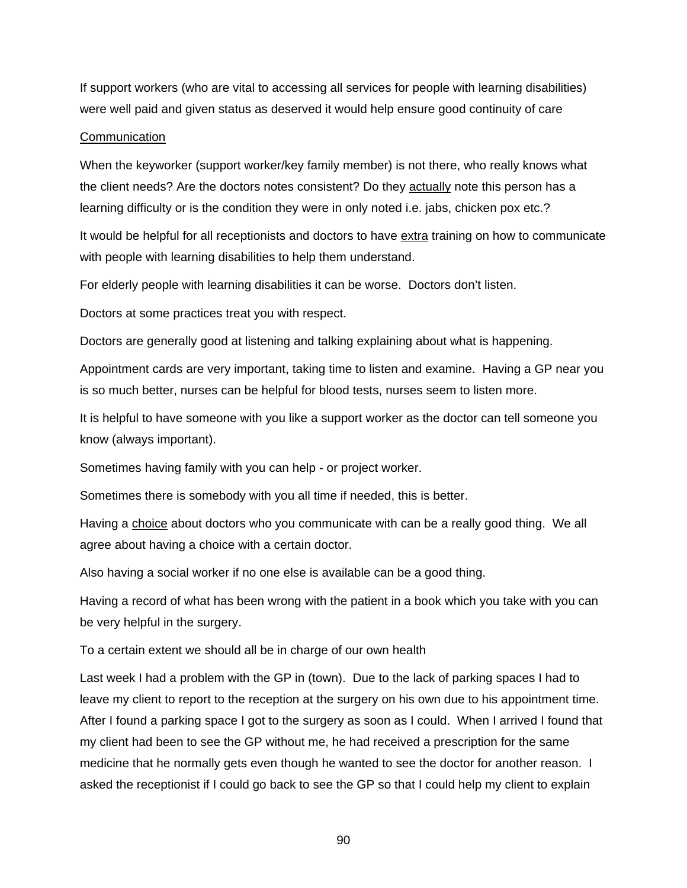If support workers (who are vital to accessing all services for people with learning disabilities) were well paid and given status as deserved it would help ensure good continuity of care

### **Communication**

When the keyworker (support worker/key family member) is not there, who really knows what the client needs? Are the doctors notes consistent? Do they actually note this person has a learning difficulty or is the condition they were in only noted i.e. jabs, chicken pox etc.?

It would be helpful for all receptionists and doctors to have extra training on how to communicate with people with learning disabilities to help them understand.

For elderly people with learning disabilities it can be worse. Doctors don't listen.

Doctors at some practices treat you with respect.

Doctors are generally good at listening and talking explaining about what is happening.

Appointment cards are very important, taking time to listen and examine. Having a GP near you is so much better, nurses can be helpful for blood tests, nurses seem to listen more.

It is helpful to have someone with you like a support worker as the doctor can tell someone you know (always important).

Sometimes having family with you can help - or project worker.

Sometimes there is somebody with you all time if needed, this is better.

Having a choice about doctors who you communicate with can be a really good thing. We all agree about having a choice with a certain doctor.

Also having a social worker if no one else is available can be a good thing.

Having a record of what has been wrong with the patient in a book which you take with you can be very helpful in the surgery.

To a certain extent we should all be in charge of our own health

Last week I had a problem with the GP in (town). Due to the lack of parking spaces I had to leave my client to report to the reception at the surgery on his own due to his appointment time. After I found a parking space I got to the surgery as soon as I could. When I arrived I found that my client had been to see the GP without me, he had received a prescription for the same medicine that he normally gets even though he wanted to see the doctor for another reason. I asked the receptionist if I could go back to see the GP so that I could help my client to explain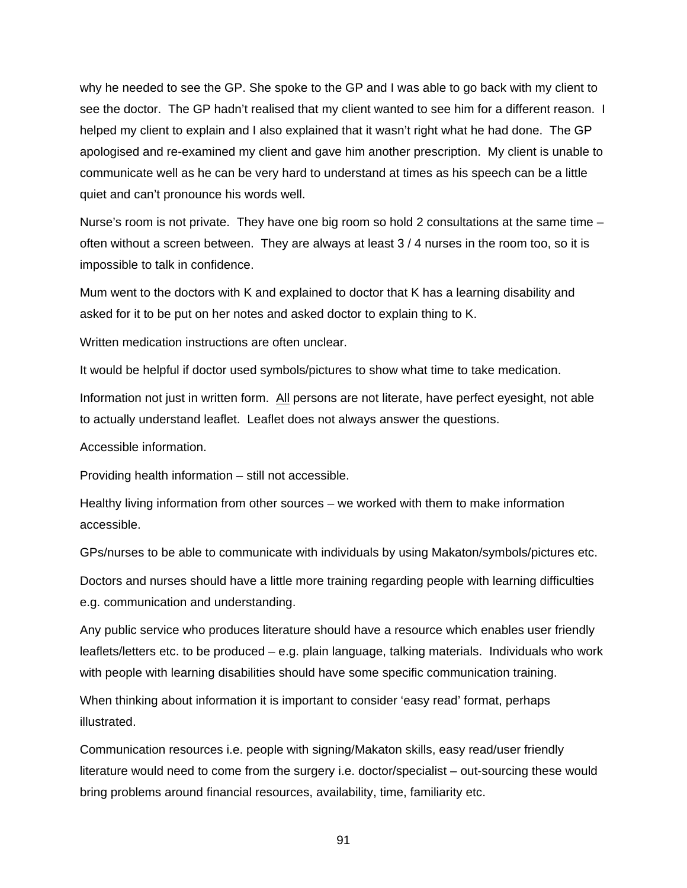why he needed to see the GP. She spoke to the GP and I was able to go back with my client to see the doctor. The GP hadn't realised that my client wanted to see him for a different reason. I helped my client to explain and I also explained that it wasn't right what he had done. The GP apologised and re-examined my client and gave him another prescription. My client is unable to communicate well as he can be very hard to understand at times as his speech can be a little quiet and can't pronounce his words well.

Nurse's room is not private. They have one big room so hold 2 consultations at the same time – often without a screen between. They are always at least 3 / 4 nurses in the room too, so it is impossible to talk in confidence.

Mum went to the doctors with K and explained to doctor that K has a learning disability and asked for it to be put on her notes and asked doctor to explain thing to K.

Written medication instructions are often unclear.

It would be helpful if doctor used symbols/pictures to show what time to take medication.

Information not just in written form. All persons are not literate, have perfect eyesight, not able to actually understand leaflet. Leaflet does not always answer the questions.

Accessible information.

Providing health information – still not accessible.

Healthy living information from other sources – we worked with them to make information accessible.

GPs/nurses to be able to communicate with individuals by using Makaton/symbols/pictures etc.

Doctors and nurses should have a little more training regarding people with learning difficulties e.g. communication and understanding.

Any public service who produces literature should have a resource which enables user friendly leaflets/letters etc. to be produced – e.g. plain language, talking materials. Individuals who work with people with learning disabilities should have some specific communication training.

When thinking about information it is important to consider 'easy read' format, perhaps illustrated.

Communication resources i.e. people with signing/Makaton skills, easy read/user friendly literature would need to come from the surgery i.e. doctor/specialist – out-sourcing these would bring problems around financial resources, availability, time, familiarity etc.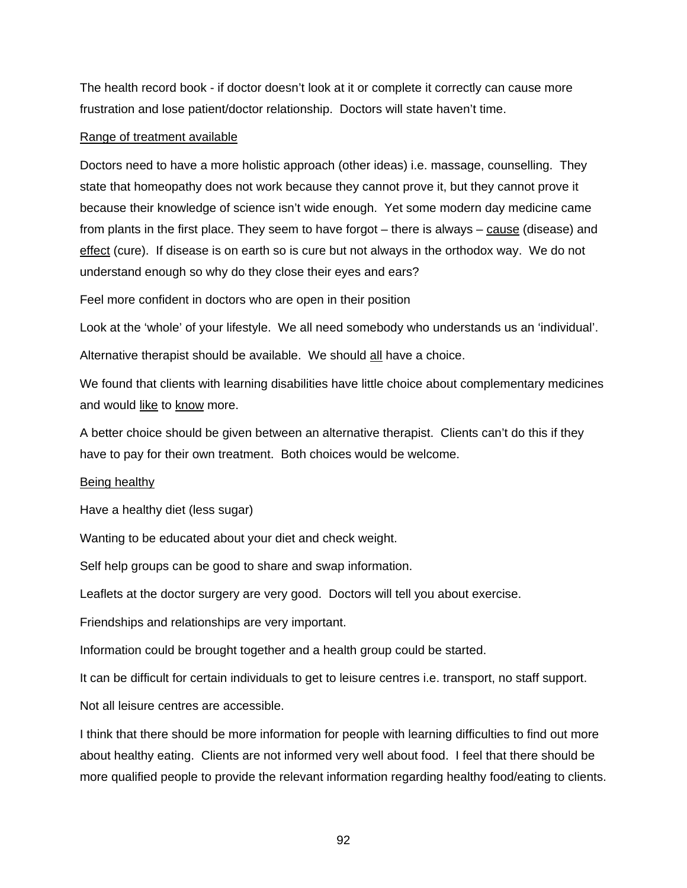The health record book - if doctor doesn't look at it or complete it correctly can cause more frustration and lose patient/doctor relationship. Doctors will state haven't time.

### Range of treatment available

Doctors need to have a more holistic approach (other ideas) i.e. massage, counselling. They state that homeopathy does not work because they cannot prove it, but they cannot prove it because their knowledge of science isn't wide enough. Yet some modern day medicine came from plants in the first place. They seem to have forgot – there is always – cause (disease) and effect (cure). If disease is on earth so is cure but not always in the orthodox way. We do not understand enough so why do they close their eyes and ears?

Feel more confident in doctors who are open in their position

Look at the 'whole' of your lifestyle. We all need somebody who understands us an 'individual'. Alternative therapist should be available. We should all have a choice.

We found that clients with learning disabilities have little choice about complementary medicines and would like to know more.

A better choice should be given between an alternative therapist. Clients can't do this if they have to pay for their own treatment. Both choices would be welcome.

### Being healthy

Have a healthy diet (less sugar)

Wanting to be educated about your diet and check weight.

Self help groups can be good to share and swap information.

Leaflets at the doctor surgery are very good. Doctors will tell you about exercise.

Friendships and relationships are very important.

Information could be brought together and a health group could be started.

It can be difficult for certain individuals to get to leisure centres i.e. transport, no staff support.

Not all leisure centres are accessible.

I think that there should be more information for people with learning difficulties to find out more about healthy eating. Clients are not informed very well about food. I feel that there should be more qualified people to provide the relevant information regarding healthy food/eating to clients.